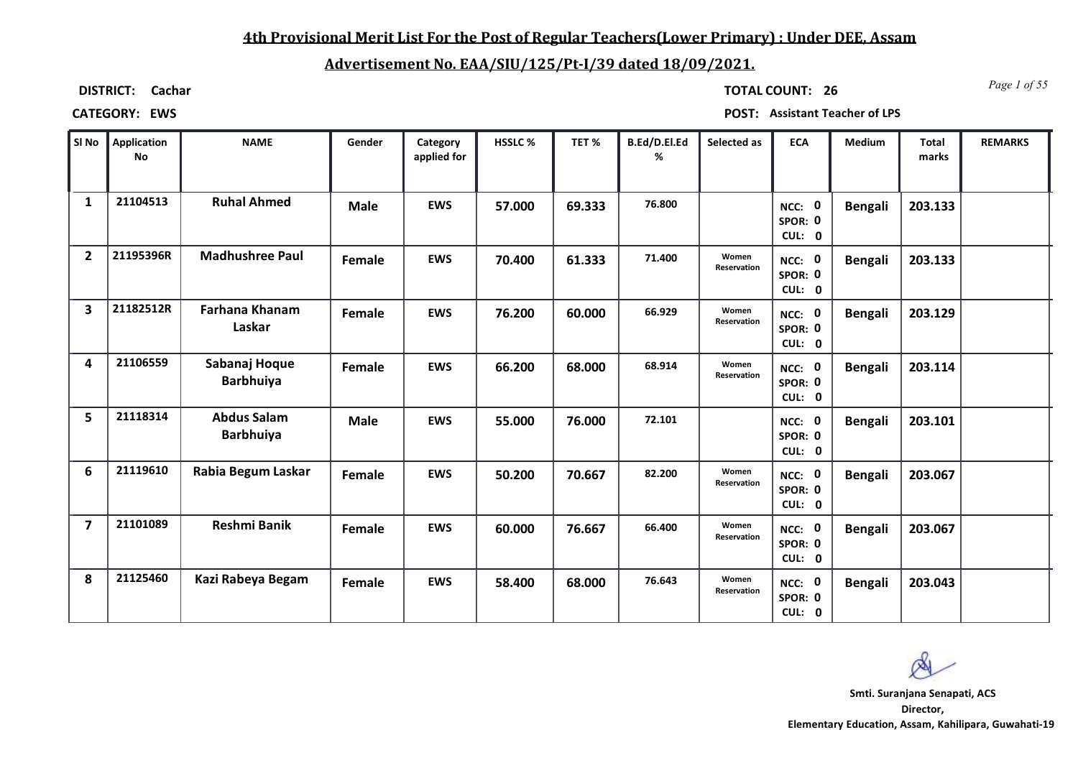# **4th Provisional Merit List For the Post of Regular Teachers(Lower Primary) : Under DEE, Assam**

# **Advertisement No. EAA/SIU/125/Pt-I/39 dated 18/09/2021.**

**DISTRICT: Cachar**

*Page 1 of 55* **TOTAL COUNT: 26**

| SI No          | <b>Application</b><br><b>No</b> | <b>NAME</b>                            | Gender      | Category<br>applied for | HSSLC% | TET%   | B.Ed/D.El.Ed<br>% | Selected as          | <b>ECA</b>                  | Medium         | <b>Total</b><br>marks | <b>REMARKS</b> |
|----------------|---------------------------------|----------------------------------------|-------------|-------------------------|--------|--------|-------------------|----------------------|-----------------------------|----------------|-----------------------|----------------|
| $\mathbf{1}$   | 21104513                        | <b>Ruhal Ahmed</b>                     | <b>Male</b> | <b>EWS</b>              | 57.000 | 69.333 | 76.800            |                      | NCC: 0<br>SPOR: 0<br>CUL: 0 | <b>Bengali</b> | 203.133               |                |
| $\overline{2}$ | 21195396R                       | <b>Madhushree Paul</b>                 | Female      | <b>EWS</b>              | 70.400 | 61.333 | 71.400            | Women<br>Reservation | NCC: 0<br>SPOR: 0<br>CUL: 0 | <b>Bengali</b> | 203.133               |                |
| 3              | 21182512R                       | <b>Farhana Khanam</b><br>Laskar        | Female      | <b>EWS</b>              | 76.200 | 60.000 | 66.929            | Women<br>Reservation | NCC: 0<br>SPOR: 0<br>CUL: 0 | <b>Bengali</b> | 203.129               |                |
| 4              | 21106559                        | Sabanaj Hoque<br><b>Barbhuiya</b>      | Female      | <b>EWS</b>              | 66.200 | 68.000 | 68.914            | Women<br>Reservation | NCC: 0<br>SPOR: 0<br>CUL: 0 | <b>Bengali</b> | 203.114               |                |
| 5              | 21118314                        | <b>Abdus Salam</b><br><b>Barbhuiya</b> | <b>Male</b> | <b>EWS</b>              | 55.000 | 76.000 | 72.101            |                      | NCC: 0<br>SPOR: 0<br>CUL: 0 | <b>Bengali</b> | 203.101               |                |
| 6              | 21119610                        | Rabia Begum Laskar                     | Female      | <b>EWS</b>              | 50.200 | 70.667 | 82.200            | Women<br>Reservation | NCC: 0<br>SPOR: 0<br>CUL: 0 | <b>Bengali</b> | 203.067               |                |
| $\overline{7}$ | 21101089                        | <b>Reshmi Banik</b>                    | Female      | <b>EWS</b>              | 60.000 | 76.667 | 66.400            | Women<br>Reservation | NCC: 0<br>SPOR: 0<br>CUL: 0 | <b>Bengali</b> | 203.067               |                |
| 8              | 21125460                        | Kazi Rabeya Begam                      | Female      | <b>EWS</b>              | 58.400 | 68.000 | 76.643            | Women<br>Reservation | NCC: 0<br>SPOR: 0<br>CUL: 0 | <b>Bengali</b> | 203.043               |                |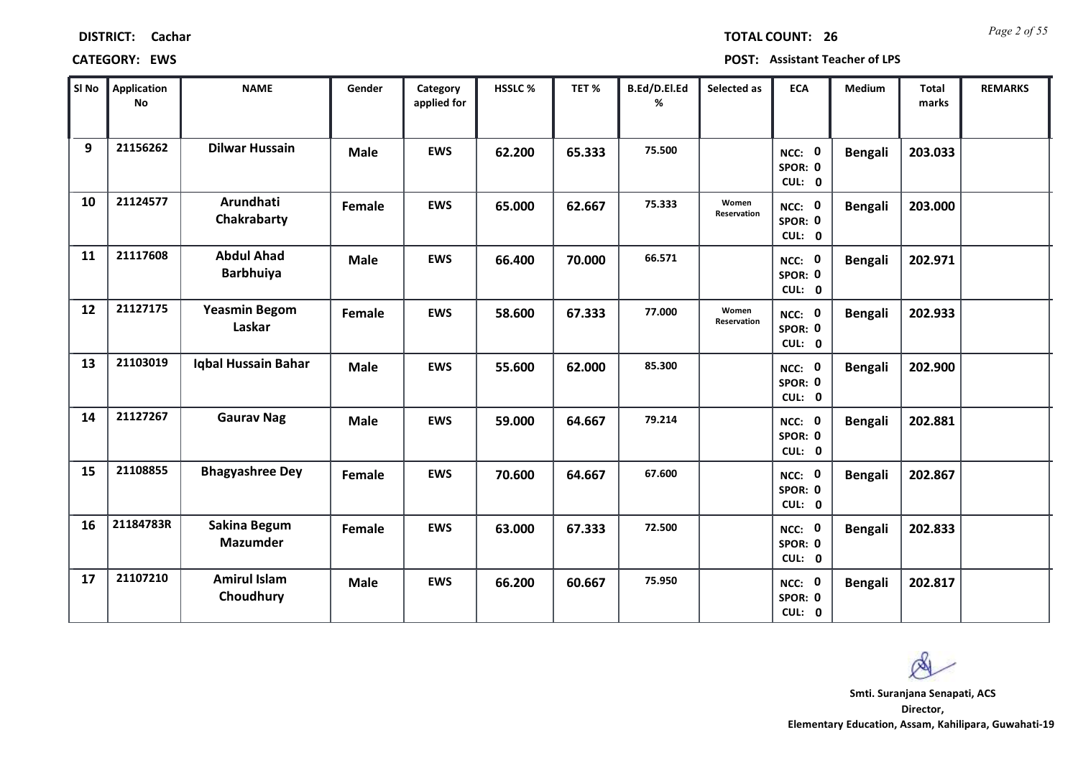| SI No | <b>Application</b><br><b>No</b> | <b>NAME</b>                           | Gender      | Category<br>applied for | <b>HSSLC %</b> | TET %  | B.Ed/D.El.Ed<br>% | Selected as          | <b>ECA</b>                  | <b>Medium</b>  | <b>Total</b><br>marks | <b>REMARKS</b> |
|-------|---------------------------------|---------------------------------------|-------------|-------------------------|----------------|--------|-------------------|----------------------|-----------------------------|----------------|-----------------------|----------------|
| 9     | 21156262                        | <b>Dilwar Hussain</b>                 | <b>Male</b> | <b>EWS</b>              | 62.200         | 65.333 | 75.500            |                      | NCC: 0<br>SPOR: 0<br>CUL: 0 | <b>Bengali</b> | 203.033               |                |
| 10    | 21124577                        | Arundhati<br>Chakrabarty              | Female      | <b>EWS</b>              | 65.000         | 62.667 | 75.333            | Women<br>Reservation | NCC: 0<br>SPOR: 0<br>CUL: 0 | <b>Bengali</b> | 203.000               |                |
| 11    | 21117608                        | <b>Abdul Ahad</b><br><b>Barbhuiya</b> | <b>Male</b> | <b>EWS</b>              | 66.400         | 70.000 | 66.571            |                      | NCC: 0<br>SPOR: 0<br>CUL: 0 | <b>Bengali</b> | 202.971               |                |
| 12    | 21127175                        | <b>Yeasmin Begom</b><br>Laskar        | Female      | <b>EWS</b>              | 58.600         | 67.333 | 77.000            | Women<br>Reservation | NCC: 0<br>SPOR: 0<br>CUL: 0 | <b>Bengali</b> | 202.933               |                |
| 13    | 21103019                        | Iqbal Hussain Bahar                   | <b>Male</b> | <b>EWS</b>              | 55.600         | 62.000 | 85.300            |                      | NCC: 0<br>SPOR: 0<br>CUL: 0 | <b>Bengali</b> | 202.900               |                |
| 14    | 21127267                        | <b>Gaurav Nag</b>                     | <b>Male</b> | <b>EWS</b>              | 59.000         | 64.667 | 79.214            |                      | NCC: 0<br>SPOR: 0<br>CUL: 0 | <b>Bengali</b> | 202.881               |                |
| 15    | 21108855                        | <b>Bhagyashree Dey</b>                | Female      | <b>EWS</b>              | 70.600         | 64.667 | 67.600            |                      | NCC: 0<br>SPOR: 0<br>CUL: 0 | <b>Bengali</b> | 202.867               |                |
| 16    | 21184783R                       | Sakina Begum<br><b>Mazumder</b>       | Female      | <b>EWS</b>              | 63.000         | 67.333 | 72.500            |                      | NCC: 0<br>SPOR: 0<br>CUL: 0 | <b>Bengali</b> | 202.833               |                |
| 17    | 21107210                        | <b>Amirul Islam</b><br>Choudhury      | <b>Male</b> | <b>EWS</b>              | 66.200         | 60.667 | 75.950            |                      | NCC: 0<br>SPOR: 0<br>CUL: 0 | <b>Bengali</b> | 202.817               |                |

### **CATEGORY: EWS POST: Assistant Teacher of LPS**

*Page 2 of 55* **TOTAL COUNT: 26**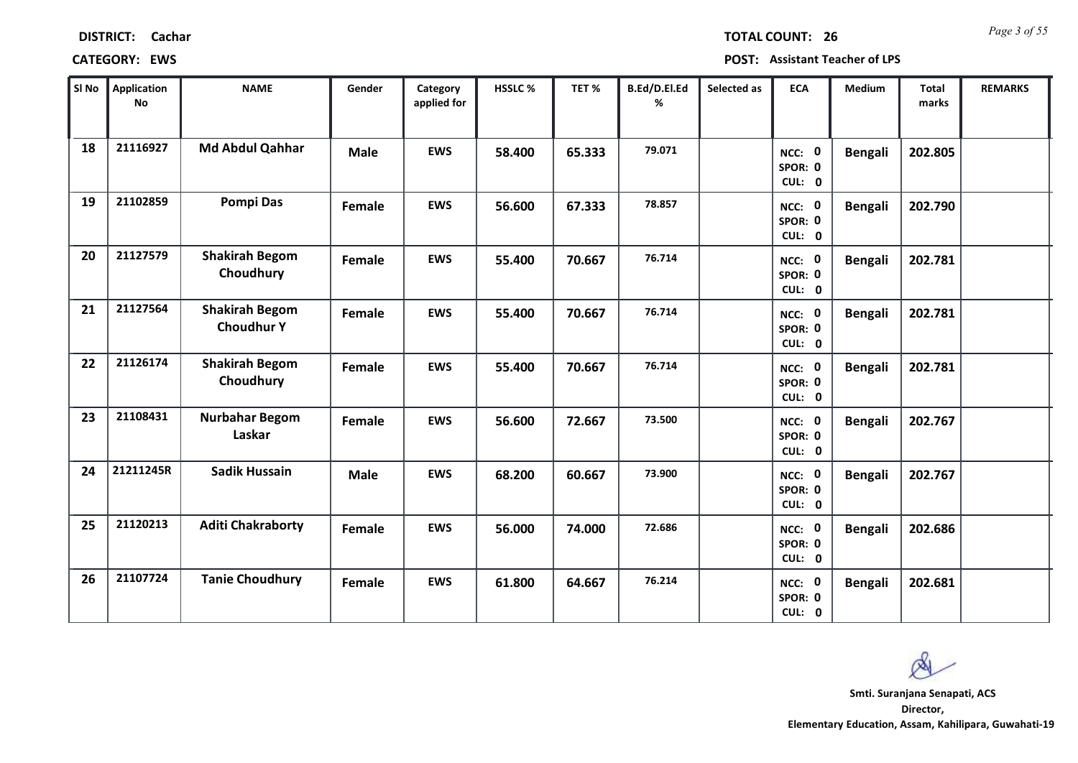| Cachar |
|--------|
|        |

*Page 3 of 55* **TOTAL COUNT: 26**

| SI No | <b>Application</b><br>No | <b>NAME</b>                                | Gender      | Category<br>applied for | HSSLC% | TET %  | B.Ed/D.El.Ed<br>% | Selected as | <b>ECA</b>                  | <b>Medium</b>  | <b>Total</b><br>marks | <b>REMARKS</b> |
|-------|--------------------------|--------------------------------------------|-------------|-------------------------|--------|--------|-------------------|-------------|-----------------------------|----------------|-----------------------|----------------|
| 18    | 21116927                 | Md Abdul Qahhar                            | <b>Male</b> | <b>EWS</b>              | 58.400 | 65.333 | 79.071            |             | NCC: 0<br>SPOR: 0<br>CUL: 0 | <b>Bengali</b> | 202.805               |                |
| 19    | 21102859                 | <b>Pompi Das</b>                           | Female      | <b>EWS</b>              | 56.600 | 67.333 | 78.857            |             | NCC: 0<br>SPOR: 0<br>CUL: 0 | <b>Bengali</b> | 202.790               |                |
| 20    | 21127579                 | <b>Shakirah Begom</b><br>Choudhury         | Female      | <b>EWS</b>              | 55.400 | 70.667 | 76.714            |             | NCC: 0<br>SPOR: 0<br>CUL: 0 | <b>Bengali</b> | 202.781               |                |
| 21    | 21127564                 | <b>Shakirah Begom</b><br><b>Choudhur Y</b> | Female      | <b>EWS</b>              | 55.400 | 70.667 | 76.714            |             | NCC: 0<br>SPOR: 0<br>CUL: 0 | <b>Bengali</b> | 202.781               |                |
| 22    | 21126174                 | <b>Shakirah Begom</b><br>Choudhury         | Female      | <b>EWS</b>              | 55.400 | 70.667 | 76.714            |             | NCC: 0<br>SPOR: 0<br>CUL: 0 | <b>Bengali</b> | 202.781               |                |
| 23    | 21108431                 | <b>Nurbahar Begom</b><br>Laskar            | Female      | <b>EWS</b>              | 56.600 | 72.667 | 73.500            |             | NCC: 0<br>SPOR: 0<br>CUL: 0 | <b>Bengali</b> | 202.767               |                |
| 24    | 21211245R                | <b>Sadik Hussain</b>                       | <b>Male</b> | <b>EWS</b>              | 68.200 | 60.667 | 73.900            |             | NCC: 0<br>SPOR: 0<br>CUL: 0 | <b>Bengali</b> | 202.767               |                |
| 25    | 21120213                 | <b>Aditi Chakraborty</b>                   | Female      | <b>EWS</b>              | 56.000 | 74.000 | 72.686            |             | NCC: 0<br>SPOR: 0<br>CUL: 0 | <b>Bengali</b> | 202.686               |                |
| 26    | 21107724                 | <b>Tanie Choudhury</b>                     | Female      | <b>EWS</b>              | 61.800 | 64.667 | 76.214            |             | NCC: 0<br>SPOR: 0<br>CUL: 0 | <b>Bengali</b> | 202.681               |                |

 $\infty$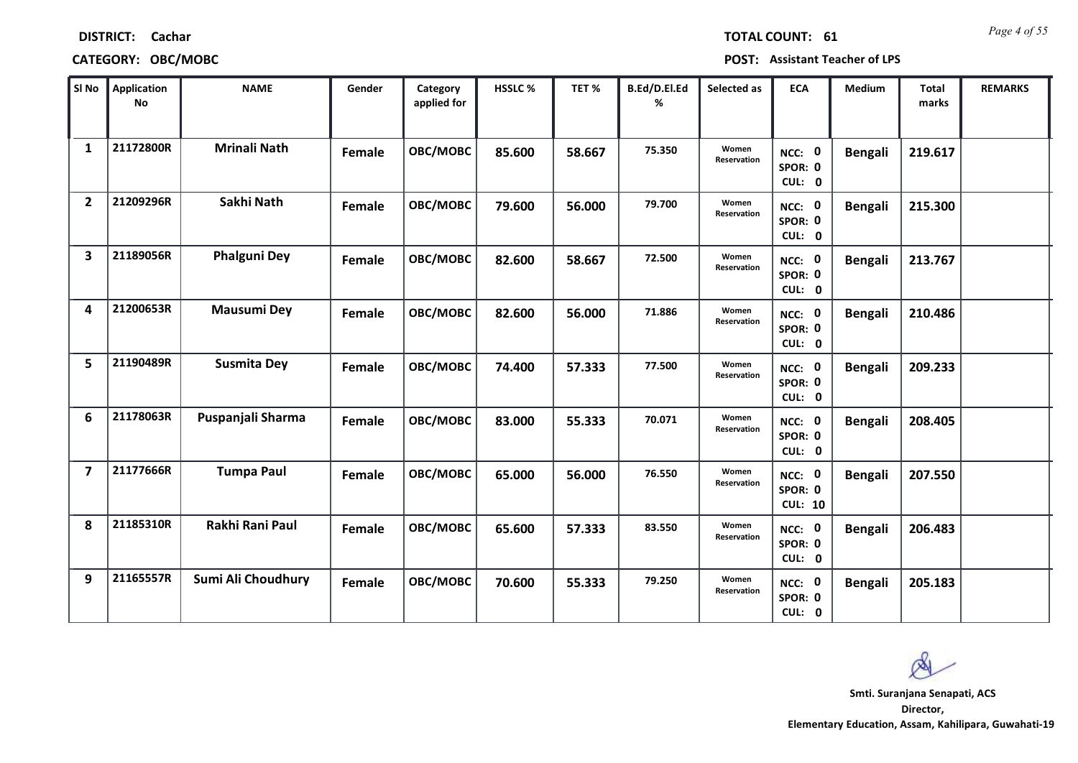| SI No                   | <b>Application</b><br>No | <b>NAME</b>         | Gender | Category<br>applied for | HSSLC% | TET %  | B.Ed/D.El.Ed<br>% | Selected as          | <b>ECA</b>                          | Medium         | <b>Total</b><br>marks | <b>REMARKS</b> |
|-------------------------|--------------------------|---------------------|--------|-------------------------|--------|--------|-------------------|----------------------|-------------------------------------|----------------|-----------------------|----------------|
| $\mathbf{1}$            | 21172800R                | <b>Mrinali Nath</b> | Female | OBC/MOBC                | 85.600 | 58.667 | 75.350            | Women<br>Reservation | NCC: 0<br>SPOR: 0<br>CUL: 0         | <b>Bengali</b> | 219.617               |                |
| $\overline{2}$          | 21209296R                | Sakhi Nath          | Female | OBC/MOBC                | 79.600 | 56.000 | 79.700            | Women<br>Reservation | NCC: 0<br>SPOR: 0<br>CUL: 0         | <b>Bengali</b> | 215.300               |                |
| $\overline{\mathbf{3}}$ | 21189056R                | <b>Phalguni Dey</b> | Female | OBC/MOBC                | 82.600 | 58.667 | 72.500            | Women<br>Reservation | NCC: 0<br>SPOR: 0<br>CUL: 0         | <b>Bengali</b> | 213.767               |                |
| 4                       | 21200653R                | <b>Mausumi Dey</b>  | Female | OBC/MOBC                | 82.600 | 56.000 | 71.886            | Women<br>Reservation | NCC: 0<br>SPOR: 0<br>CUL: 0         | <b>Bengali</b> | 210.486               |                |
| 5                       | 21190489R                | <b>Susmita Dey</b>  | Female | OBC/MOBC                | 74.400 | 57.333 | 77.500            | Women<br>Reservation | NCC: 0<br>SPOR: 0<br>CUL: 0         | <b>Bengali</b> | 209.233               |                |
| 6                       | 21178063R                | Puspanjali Sharma   | Female | OBC/MOBC                | 83.000 | 55.333 | 70.071            | Women<br>Reservation | NCC: 0<br>SPOR: 0<br>CUL: 0         | <b>Bengali</b> | 208.405               |                |
| $\overline{7}$          | 21177666R                | <b>Tumpa Paul</b>   | Female | OBC/MOBC                | 65.000 | 56.000 | 76.550            | Women<br>Reservation | NCC: 0<br>SPOR: 0<br><b>CUL: 10</b> | <b>Bengali</b> | 207.550               |                |
| 8                       | 21185310R                | Rakhi Rani Paul     | Female | OBC/MOBC                | 65.600 | 57.333 | 83.550            | Women<br>Reservation | NCC: 0<br>SPOR: 0<br>CUL: 0         | <b>Bengali</b> | 206.483               |                |
| 9                       | 21165557R                | Sumi Ali Choudhury  | Female | OBC/MOBC                | 70.600 | 55.333 | 79.250            | Women<br>Reservation | NCC: 0<br>SPOR: 0<br>CUL: 0         | <b>Bengali</b> | 205.183               |                |

**DISTRICT: Cachar**

*Page 4 of 55* **TOTAL COUNT: 61**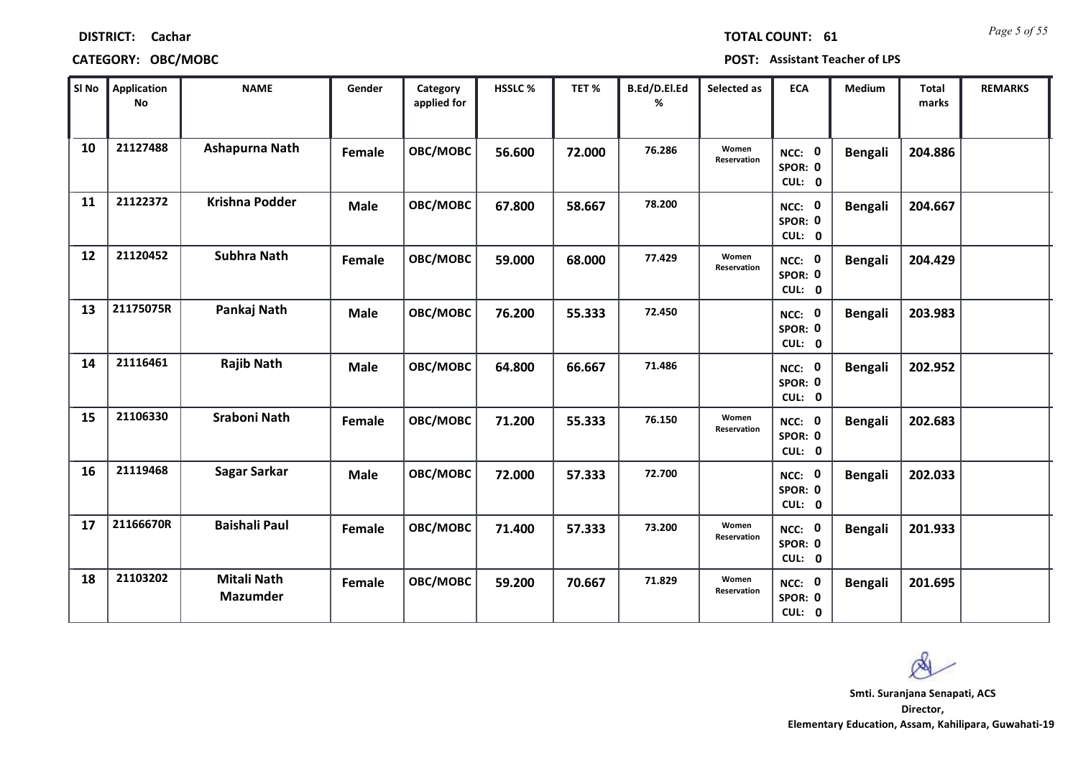| SI No | <b>Application</b><br><b>No</b> | <b>NAME</b>                           | Gender      | Category<br>applied for | HSSLC % | TET %  | B.Ed/D.El.Ed<br>% | Selected as          | <b>ECA</b>                         | Medium         | <b>Total</b><br>marks | <b>REMARKS</b> |
|-------|---------------------------------|---------------------------------------|-------------|-------------------------|---------|--------|-------------------|----------------------|------------------------------------|----------------|-----------------------|----------------|
| 10    | 21127488                        | Ashapurna Nath                        | Female      | OBC/MOBC                | 56.600  | 72.000 | 76.286            | Women<br>Reservation | NCC: 0<br>SPOR: 0<br>CUL: 0        | Bengali        | 204.886               |                |
| 11    | 21122372                        | <b>Krishna Podder</b>                 | <b>Male</b> | OBC/MOBC                | 67.800  | 58.667 | 78.200            |                      | NCC: 0<br>SPOR: 0<br>CUL: 0        | <b>Bengali</b> | 204.667               |                |
| 12    | 21120452                        | <b>Subhra Nath</b>                    | Female      | OBC/MOBC                | 59.000  | 68.000 | 77.429            | Women<br>Reservation | NCC: 0<br>SPOR: 0<br>CUL: 0        | <b>Bengali</b> | 204.429               |                |
| 13    | 21175075R                       | Pankaj Nath                           | <b>Male</b> | OBC/MOBC                | 76.200  | 55.333 | 72.450            |                      | NCC: 0<br>SPOR: 0<br>CUL: 0        | <b>Bengali</b> | 203.983               |                |
| 14    | 21116461                        | <b>Rajib Nath</b>                     | <b>Male</b> | OBC/MOBC                | 64.800  | 66.667 | 71.486            |                      | <b>NCC: 0</b><br>SPOR: 0<br>CUL: 0 | <b>Bengali</b> | 202.952               |                |
| 15    | 21106330                        | <b>Sraboni Nath</b>                   | Female      | OBC/MOBC                | 71.200  | 55.333 | 76.150            | Women<br>Reservation | NCC: 0<br>SPOR: 0<br>CUL: 0        | <b>Bengali</b> | 202.683               |                |
| 16    | 21119468                        | Sagar Sarkar                          | <b>Male</b> | OBC/MOBC                | 72.000  | 57.333 | 72.700            |                      | NCC: 0<br>SPOR: 0<br>CUL: 0        | <b>Bengali</b> | 202.033               |                |
| 17    | 21166670R                       | <b>Baishali Paul</b>                  | Female      | OBC/MOBC                | 71.400  | 57.333 | 73.200            | Women<br>Reservation | NCC: 0<br>SPOR: 0<br>CUL: 0        | <b>Bengali</b> | 201.933               |                |
| 18    | 21103202                        | <b>Mitali Nath</b><br><b>Mazumder</b> | Female      | OBC/MOBC                | 59.200  | 70.667 | 71.829            | Women<br>Reservation | NCC: 0<br>SPOR: 0<br>CUL: 0        | <b>Bengali</b> | 201.695               |                |

# **CATEGORY: OBC/MOBC POST: Assistant Teacher of LPS**

*Page 5 of 55* **TOTAL COUNT: 61**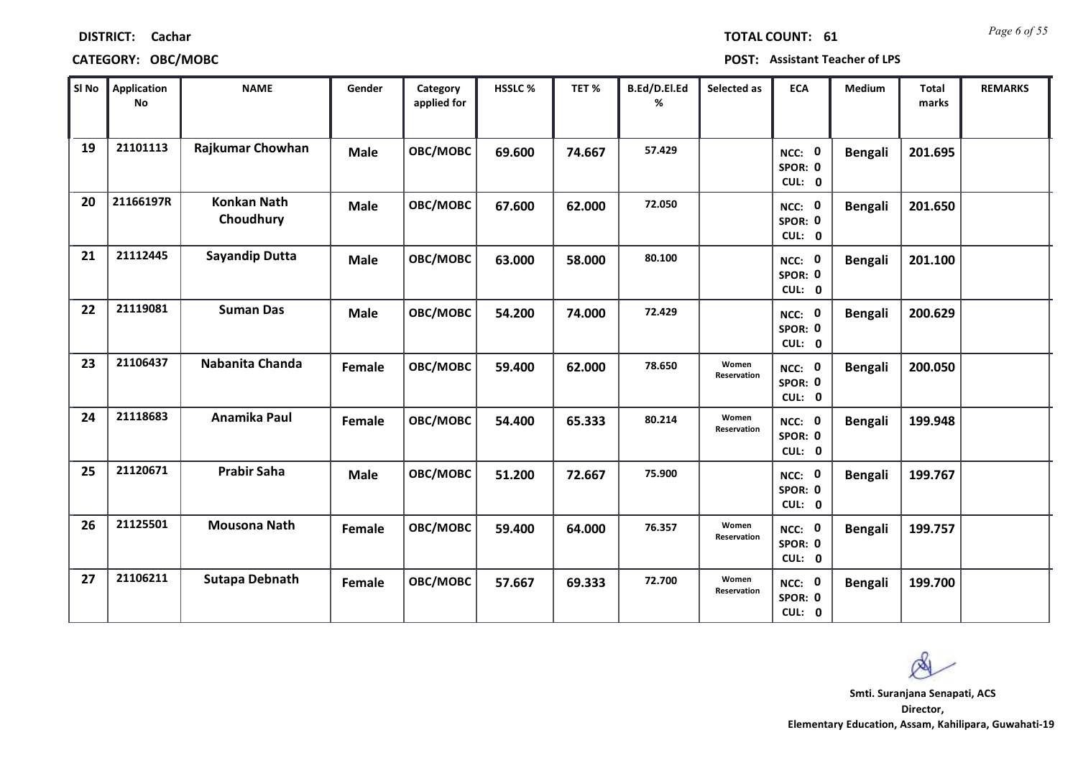| SI No | <b>Application</b><br><b>No</b> | <b>NAME</b>                     | Gender      | Category<br>applied for | HSSLC % | TET%   | B.Ed/D.El.Ed<br>℅ | Selected as          | <b>ECA</b>                  | Medium         | <b>Total</b><br>marks | <b>REMARKS</b> |
|-------|---------------------------------|---------------------------------|-------------|-------------------------|---------|--------|-------------------|----------------------|-----------------------------|----------------|-----------------------|----------------|
| 19    | 21101113                        | Rajkumar Chowhan                | <b>Male</b> | OBC/MOBC                | 69.600  | 74.667 | 57.429            |                      | NCC: 0<br>SPOR: 0<br>CUL: 0 | <b>Bengali</b> | 201.695               |                |
| 20    | 21166197R                       | <b>Konkan Nath</b><br>Choudhury | <b>Male</b> | OBC/MOBC                | 67.600  | 62.000 | 72.050            |                      | NCC: 0<br>SPOR: 0<br>CUL: 0 | <b>Bengali</b> | 201.650               |                |
| 21    | 21112445                        | <b>Sayandip Dutta</b>           | <b>Male</b> | OBC/MOBC                | 63.000  | 58.000 | 80.100            |                      | NCC: 0<br>SPOR: 0<br>CUL: 0 | <b>Bengali</b> | 201.100               |                |
| 22    | 21119081                        | <b>Suman Das</b>                | <b>Male</b> | OBC/MOBC                | 54.200  | 74.000 | 72.429            |                      | NCC: 0<br>SPOR: 0<br>CUL: 0 | <b>Bengali</b> | 200.629               |                |
| 23    | 21106437                        | Nabanita Chanda                 | Female      | OBC/MOBC                | 59.400  | 62.000 | 78.650            | Women<br>Reservation | NCC: 0<br>SPOR: 0<br>CUL: 0 | <b>Bengali</b> | 200.050               |                |
| 24    | 21118683                        | Anamika Paul                    | Female      | OBC/MOBC                | 54.400  | 65.333 | 80.214            | Women<br>Reservation | NCC: 0<br>SPOR: 0<br>CUL: 0 | <b>Bengali</b> | 199.948               |                |
| 25    | 21120671                        | <b>Prabir Saha</b>              | <b>Male</b> | OBC/MOBC                | 51.200  | 72.667 | 75.900            |                      | NCC: 0<br>SPOR: 0<br>CUL: 0 | <b>Bengali</b> | 199.767               |                |
| 26    | 21125501                        | <b>Mousona Nath</b>             | Female      | OBC/MOBC                | 59.400  | 64.000 | 76.357            | Women<br>Reservation | NCC: 0<br>SPOR: 0<br>CUL: 0 | <b>Bengali</b> | 199.757               |                |
| 27    | 21106211                        | <b>Sutapa Debnath</b>           | Female      | OBC/MOBC                | 57.667  | 69.333 | 72.700            | Women<br>Reservation | NCC: 0<br>SPOR: 0<br>CUL: 0 | <b>Bengali</b> | 199.700               |                |

# **DISTRICT: Cachar**

*Page 6 of 55* **TOTAL COUNT: 61**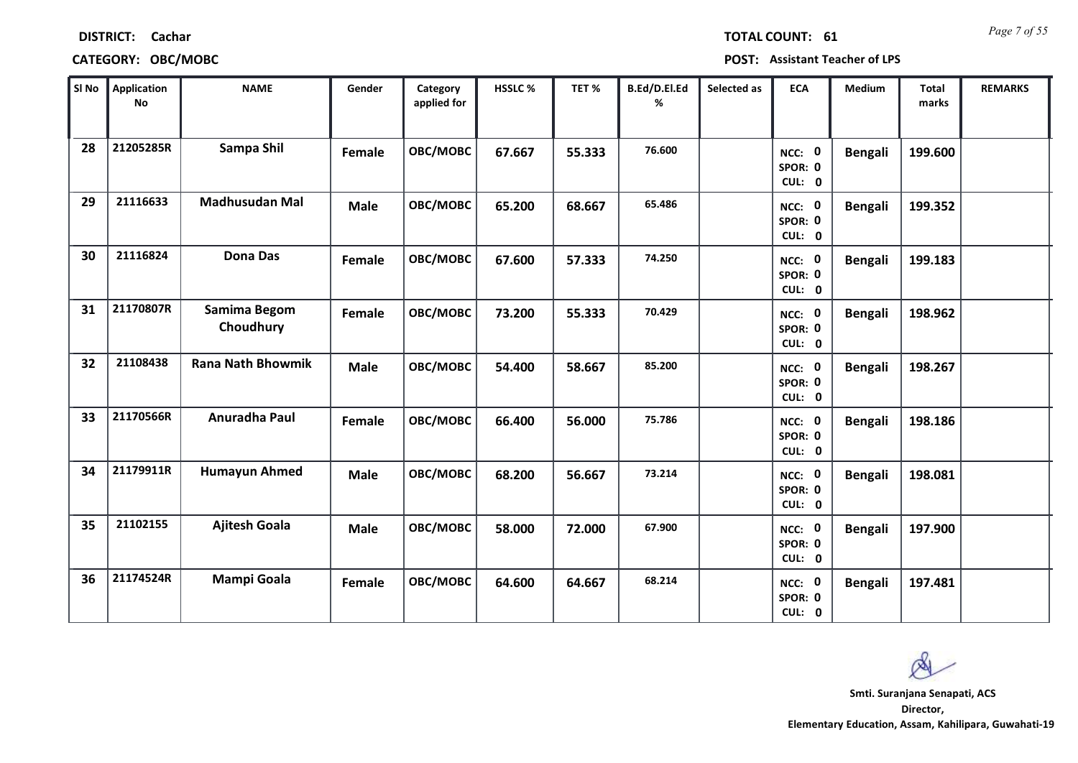| SI No | Application<br>No | <b>NAME</b>               | Gender      | Category<br>applied for | HSSLC % | TET%   | B.Ed/D.El.Ed<br>% | Selected as | <b>ECA</b>                  | Medium         | <b>Total</b><br>marks | <b>REMARKS</b> |
|-------|-------------------|---------------------------|-------------|-------------------------|---------|--------|-------------------|-------------|-----------------------------|----------------|-----------------------|----------------|
| 28    | 21205285R         | Sampa Shil                | Female      | OBC/MOBC                | 67.667  | 55.333 | 76.600            |             | NCC: 0<br>SPOR: 0<br>CUL: 0 | <b>Bengali</b> | 199.600               |                |
| 29    | 21116633          | <b>Madhusudan Mal</b>     | <b>Male</b> | OBC/MOBC                | 65.200  | 68.667 | 65.486            |             | NCC: 0<br>SPOR: 0<br>CUL: 0 | <b>Bengali</b> | 199.352               |                |
| 30    | 21116824          | <b>Dona Das</b>           | Female      | OBC/MOBC                | 67.600  | 57.333 | 74.250            |             | NCC: 0<br>SPOR: 0<br>CUL: 0 | <b>Bengali</b> | 199.183               |                |
| 31    | 21170807R         | Samima Begom<br>Choudhury | Female      | OBC/MOBC                | 73.200  | 55.333 | 70.429            |             | NCC: 0<br>SPOR: 0<br>CUL: 0 | <b>Bengali</b> | 198.962               |                |
| 32    | 21108438          | <b>Rana Nath Bhowmik</b>  | <b>Male</b> | OBC/MOBC                | 54.400  | 58.667 | 85.200            |             | NCC: 0<br>SPOR: 0<br>CUL: 0 | <b>Bengali</b> | 198.267               |                |
| 33    | 21170566R         | Anuradha Paul             | Female      | <b>OBC/MOBC</b>         | 66.400  | 56.000 | 75.786            |             | NCC: 0<br>SPOR: 0<br>CUL: 0 | <b>Bengali</b> | 198.186               |                |
| 34    | 21179911R         | <b>Humayun Ahmed</b>      | <b>Male</b> | OBC/MOBC                | 68.200  | 56.667 | 73.214            |             | NCC: 0<br>SPOR: 0<br>CUL: 0 | <b>Bengali</b> | 198.081               |                |
| 35    | 21102155          | <b>Ajitesh Goala</b>      | <b>Male</b> | OBC/MOBC                | 58.000  | 72.000 | 67.900            |             | NCC: 0<br>SPOR: 0<br>CUL: 0 | <b>Bengali</b> | 197.900               |                |
| 36    | 21174524R         | <b>Mampi Goala</b>        | Female      | OBC/MOBC                | 64.600  | 64.667 | 68.214            |             | NCC: 0<br>SPOR: 0<br>CUL: 0 | <b>Bengali</b> | 197.481               |                |

**CATEGORY: OBC/MOBC POST: Assistant Teacher of LPS**

*Page 7 of 55* **TOTAL COUNT: 61**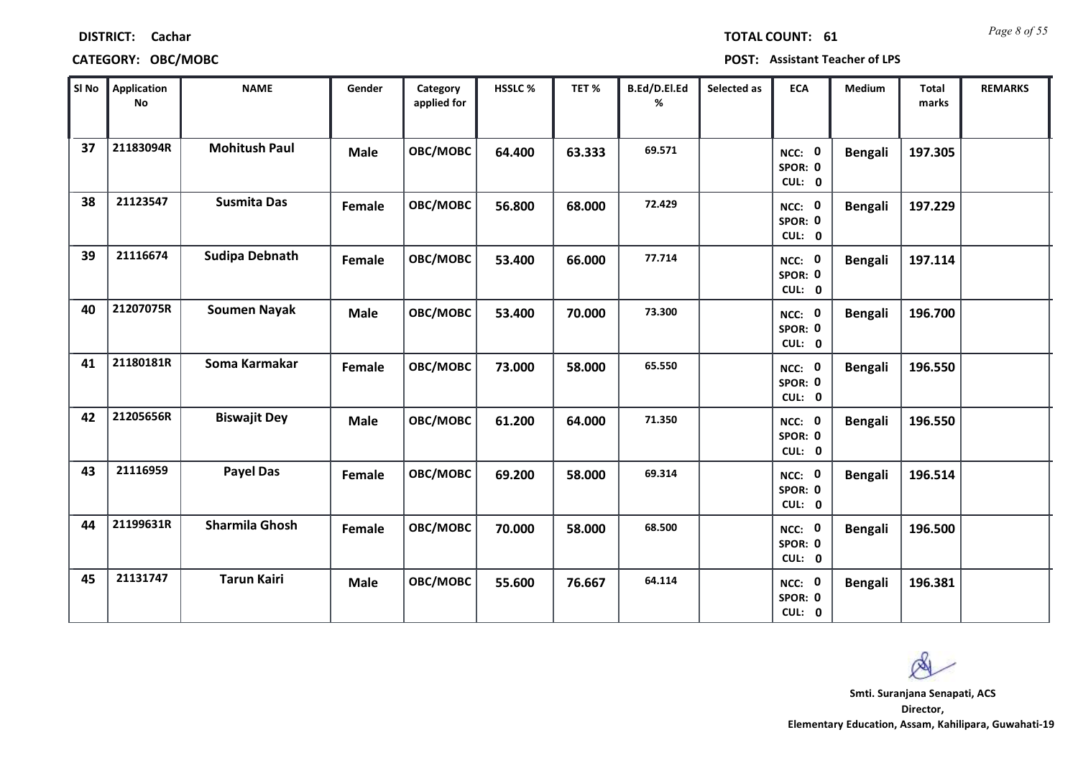| SI No | <b>Application</b><br>No | <b>NAME</b>           | Gender      | Category<br>applied for | HSSLC % | TET%   | B.Ed/D.El.Ed<br>% | Selected as | <b>ECA</b>                  | Medium         | Total<br>marks | <b>REMARKS</b> |
|-------|--------------------------|-----------------------|-------------|-------------------------|---------|--------|-------------------|-------------|-----------------------------|----------------|----------------|----------------|
| 37    | 21183094R                | <b>Mohitush Paul</b>  | <b>Male</b> | OBC/MOBC                | 64.400  | 63.333 | 69.571            |             | NCC: 0<br>SPOR: 0<br>CUL: 0 | <b>Bengali</b> | 197.305        |                |
| 38    | 21123547                 | <b>Susmita Das</b>    | Female      | OBC/MOBC                | 56.800  | 68.000 | 72.429            |             | NCC: 0<br>SPOR: 0<br>CUL: 0 | <b>Bengali</b> | 197.229        |                |
| 39    | 21116674                 | <b>Sudipa Debnath</b> | Female      | OBC/MOBC                | 53.400  | 66.000 | 77.714            |             | NCC: 0<br>SPOR: 0<br>CUL: 0 | <b>Bengali</b> | 197.114        |                |
| 40    | 21207075R                | <b>Soumen Nayak</b>   | <b>Male</b> | OBC/MOBC                | 53.400  | 70.000 | 73.300            |             | NCC: 0<br>SPOR: 0<br>CUL: 0 | <b>Bengali</b> | 196.700        |                |
| 41    | 21180181R                | Soma Karmakar         | Female      | OBC/MOBC                | 73.000  | 58.000 | 65.550            |             | NCC: 0<br>SPOR: 0<br>CUL: 0 | <b>Bengali</b> | 196.550        |                |
| 42    | 21205656R                | <b>Biswajit Dey</b>   | <b>Male</b> | OBC/MOBC                | 61.200  | 64.000 | 71.350            |             | NCC: 0<br>SPOR: 0<br>CUL: 0 | <b>Bengali</b> | 196.550        |                |
| 43    | 21116959                 | <b>Payel Das</b>      | Female      | OBC/MOBC                | 69.200  | 58.000 | 69.314            |             | NCC: 0<br>SPOR: 0<br>CUL: 0 | <b>Bengali</b> | 196.514        |                |
| 44    | 21199631R                | <b>Sharmila Ghosh</b> | Female      | OBC/MOBC                | 70.000  | 58.000 | 68.500            |             | NCC: 0<br>SPOR: 0<br>CUL: 0 | <b>Bengali</b> | 196.500        |                |
| 45    | 21131747                 | <b>Tarun Kairi</b>    | <b>Male</b> | OBC/MOBC                | 55.600  | 76.667 | 64.114            |             | NCC: 0<br>SPOR: 0<br>CUL: 0 | <b>Bengali</b> | 196.381        |                |

**DISTRICT: Cachar**

**Director, Elementary Education, Assam, Kahilipara, Guwahati-19 Smti. Suranjana Senapati, ACS**



*Page 8 of 55* **TOTAL COUNT: 61**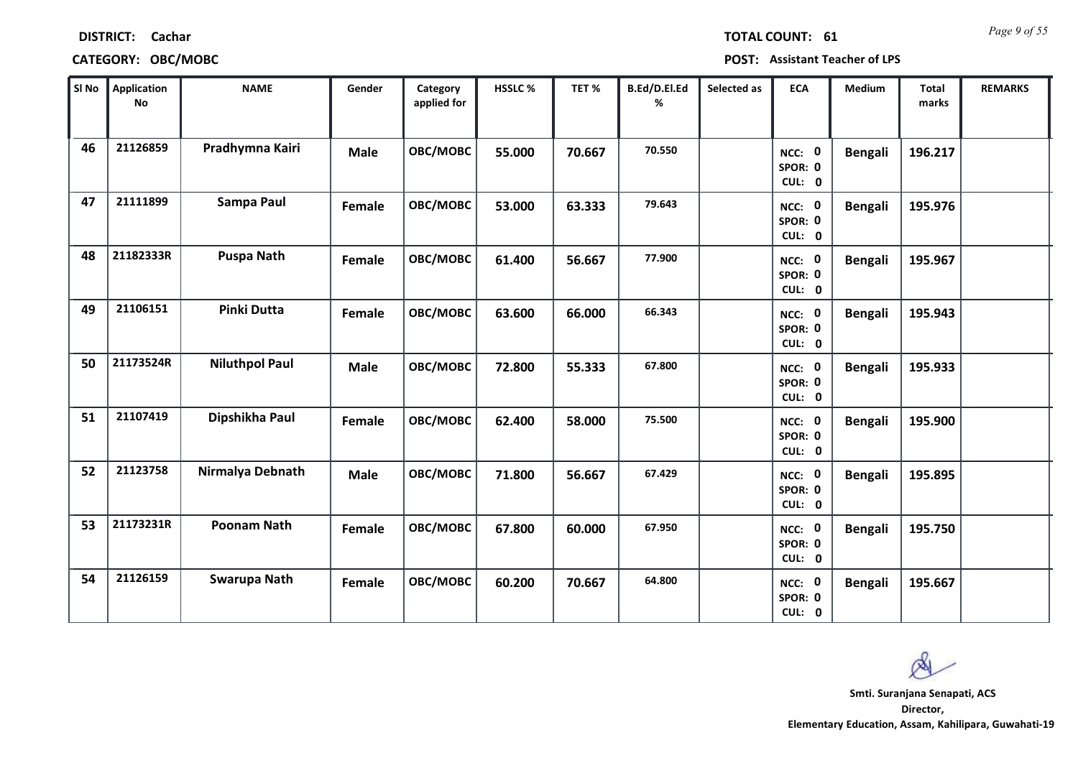| SI No | <b>Application</b><br>No | <b>NAME</b>           | Gender      | Category<br>applied for | HSSLC % | TET %  | B.Ed/D.El.Ed<br>% | Selected as | <b>ECA</b>                  | Medium         | <b>Total</b><br>marks | <b>REMARKS</b> |
|-------|--------------------------|-----------------------|-------------|-------------------------|---------|--------|-------------------|-------------|-----------------------------|----------------|-----------------------|----------------|
| 46    | 21126859                 | Pradhymna Kairi       | <b>Male</b> | OBC/MOBC                | 55.000  | 70.667 | 70.550            |             | NCC: 0<br>SPOR: 0<br>CUL: 0 | <b>Bengali</b> | 196.217               |                |
| 47    | 21111899                 | Sampa Paul            | Female      | OBC/MOBC                | 53.000  | 63.333 | 79.643            |             | NCC: 0<br>SPOR: 0<br>CUL: 0 | <b>Bengali</b> | 195.976               |                |
| 48    | 21182333R                | <b>Puspa Nath</b>     | Female      | OBC/MOBC                | 61.400  | 56.667 | 77.900            |             | NCC: 0<br>SPOR: 0<br>CUL: 0 | <b>Bengali</b> | 195.967               |                |
| 49    | 21106151                 | <b>Pinki Dutta</b>    | Female      | OBC/MOBC                | 63.600  | 66.000 | 66.343            |             | NCC: 0<br>SPOR: 0<br>CUL: 0 | <b>Bengali</b> | 195.943               |                |
| 50    | 21173524R                | <b>Niluthpol Paul</b> | <b>Male</b> | OBC/MOBC                | 72.800  | 55.333 | 67.800            |             | NCC: 0<br>SPOR: 0<br>CUL: 0 | <b>Bengali</b> | 195.933               |                |
| 51    | 21107419                 | Dipshikha Paul        | Female      | OBC/MOBC                | 62.400  | 58.000 | 75.500            |             | NCC: 0<br>SPOR: 0<br>CUL: 0 | <b>Bengali</b> | 195.900               |                |
| 52    | 21123758                 | Nirmalya Debnath      | <b>Male</b> | OBC/MOBC                | 71.800  | 56.667 | 67.429            |             | NCC: 0<br>SPOR: 0<br>CUL: 0 | <b>Bengali</b> | 195.895               |                |
| 53    | 21173231R                | <b>Poonam Nath</b>    | Female      | OBC/MOBC                | 67.800  | 60.000 | 67.950            |             | NCC: 0<br>SPOR: 0<br>CUL: 0 | <b>Bengali</b> | 195.750               |                |
| 54    | 21126159                 | Swarupa Nath          | Female      | OBC/MOBC                | 60.200  | 70.667 | 64.800            |             | NCC: 0<br>SPOR: 0<br>CUL: 0 | <b>Bengali</b> | 195.667               |                |

# **CATEGORY: OBC/MOBC POST: Assistant Teacher of LPS**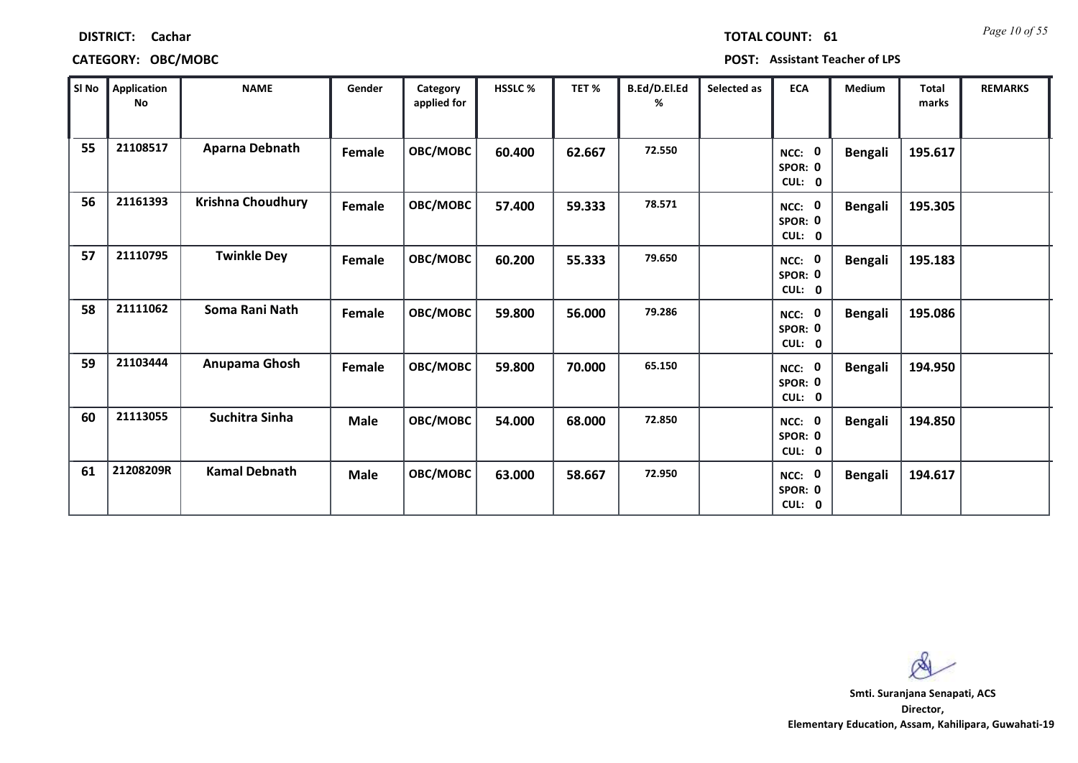| SI No | Application<br>No | <b>NAME</b>          | Gender      | Category<br>applied for | HSSLC% | TET%   | B.Ed/D.El.Ed<br>% | Selected as | <b>ECA</b>                  | Medium         | Total<br>marks | <b>REMARKS</b> |
|-------|-------------------|----------------------|-------------|-------------------------|--------|--------|-------------------|-------------|-----------------------------|----------------|----------------|----------------|
| 55    | 21108517          | Aparna Debnath       | Female      | OBC/MOBC                | 60.400 | 62.667 | 72.550            |             | NCC: 0<br>SPOR: 0<br>CUL: 0 | <b>Bengali</b> | 195.617        |                |
| 56    | 21161393          | Krishna Choudhury    | Female      | <b>OBC/MOBC</b>         | 57.400 | 59.333 | 78.571            |             | NCC: 0<br>SPOR: 0<br>CUL: 0 | <b>Bengali</b> | 195.305        |                |
| 57    | 21110795          | <b>Twinkle Dey</b>   | Female      | OBC/MOBC                | 60.200 | 55.333 | 79.650            |             | NCC: 0<br>SPOR: 0<br>CUL: 0 | <b>Bengali</b> | 195.183        |                |
| 58    | 21111062          | Soma Rani Nath       | Female      | OBC/MOBC                | 59.800 | 56.000 | 79.286            |             | NCC: 0<br>SPOR: 0<br>CUL: 0 | <b>Bengali</b> | 195.086        |                |
| 59    | 21103444          | Anupama Ghosh        | Female      | OBC/MOBC                | 59.800 | 70.000 | 65.150            |             | NCC: 0<br>SPOR: 0<br>CUL: 0 | <b>Bengali</b> | 194.950        |                |
| 60    | 21113055          | Suchitra Sinha       | <b>Male</b> | OBC/MOBC                | 54.000 | 68.000 | 72.850            |             | NCC: 0<br>SPOR: 0<br>CUL: 0 | <b>Bengali</b> | 194.850        |                |
| 61    | 21208209R         | <b>Kamal Debnath</b> | Male        | OBC/MOBC                | 63.000 | 58.667 | 72.950            |             | NCC: 0<br>SPOR: 0<br>CUL: 0 | <b>Bengali</b> | 194.617        |                |

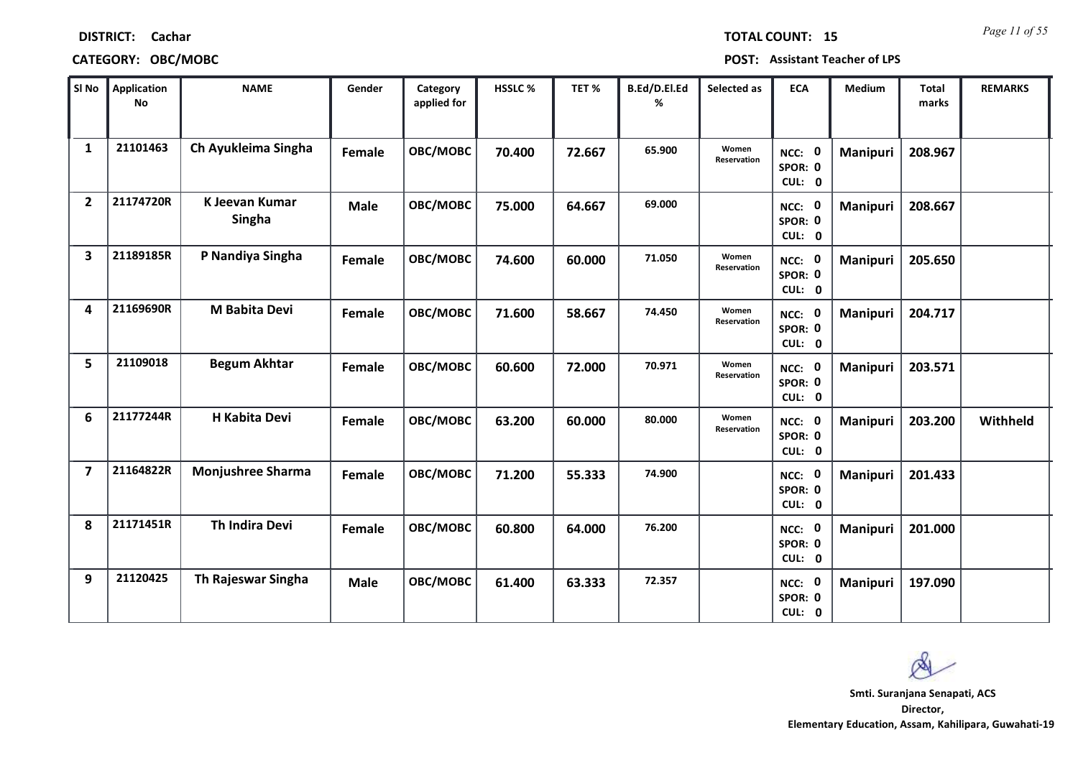| <b>DISTRICT:</b> | Cachar |
|------------------|--------|
|------------------|--------|

*Page 11 of 55* **TOTAL COUNT: 15**

| SI <sub>No</sub>        | <b>Application</b><br><b>No</b> | <b>NAME</b>                     | Gender      | Category<br>applied for | HSSLC% | TET %  | B.Ed/D.El.Ed<br>% | Selected as                 | <b>ECA</b>                  | Medium   | <b>Total</b><br>marks | <b>REMARKS</b> |
|-------------------------|---------------------------------|---------------------------------|-------------|-------------------------|--------|--------|-------------------|-----------------------------|-----------------------------|----------|-----------------------|----------------|
| $\mathbf{1}$            | 21101463                        | Ch Ayukleima Singha             | Female      | OBC/MOBC                | 70.400 | 72.667 | 65.900            | Women<br><b>Reservation</b> | NCC: 0<br>SPOR: 0<br>CUL: 0 | Manipuri | 208.967               |                |
| $\overline{2}$          | 21174720R                       | K Jeevan Kumar<br><b>Singha</b> | <b>Male</b> | OBC/MOBC                | 75.000 | 64.667 | 69.000            |                             | NCC: 0<br>SPOR: 0<br>CUL: 0 | Manipuri | 208.667               |                |
| $\overline{\mathbf{3}}$ | 21189185R                       | P Nandiya Singha                | Female      | OBC/MOBC                | 74.600 | 60.000 | 71.050            | Women<br>Reservation        | NCC: 0<br>SPOR: 0<br>CUL: 0 | Manipuri | 205.650               |                |
| 4                       | 21169690R                       | <b>M Babita Devi</b>            | Female      | OBC/MOBC                | 71.600 | 58.667 | 74.450            | Women<br>Reservation        | NCC: 0<br>SPOR: 0<br>CUL: 0 | Manipuri | 204.717               |                |
| 5                       | 21109018                        | <b>Begum Akhtar</b>             | Female      | OBC/MOBC                | 60.600 | 72.000 | 70.971            | Women<br>Reservation        | NCC: 0<br>SPOR: 0<br>CUL: 0 | Manipuri | 203.571               |                |
| 6                       | 21177244R                       | H Kabita Devi                   | Female      | OBC/MOBC                | 63.200 | 60.000 | 80.000            | Women<br>Reservation        | NCC: 0<br>SPOR: 0<br>CUL: 0 | Manipuri | 203.200               | Withheld       |
| $\overline{\mathbf{z}}$ | 21164822R                       | <b>Monjushree Sharma</b>        | Female      | OBC/MOBC                | 71.200 | 55.333 | 74.900            |                             | NCC: 0<br>SPOR: 0<br>CUL: 0 | Manipuri | 201.433               |                |
| 8                       | 21171451R                       | Th Indira Devi                  | Female      | OBC/MOBC                | 60.800 | 64.000 | 76.200            |                             | NCC: 0<br>SPOR: 0<br>CUL: 0 | Manipuri | 201.000               |                |
| 9                       | 21120425                        | Th Rajeswar Singha              | <b>Male</b> | OBC/MOBC                | 61.400 | 63.333 | 72.357            |                             | NCC: 0<br>SPOR: 0<br>CUL: 0 | Manipuri | 197.090               |                |

 $\infty$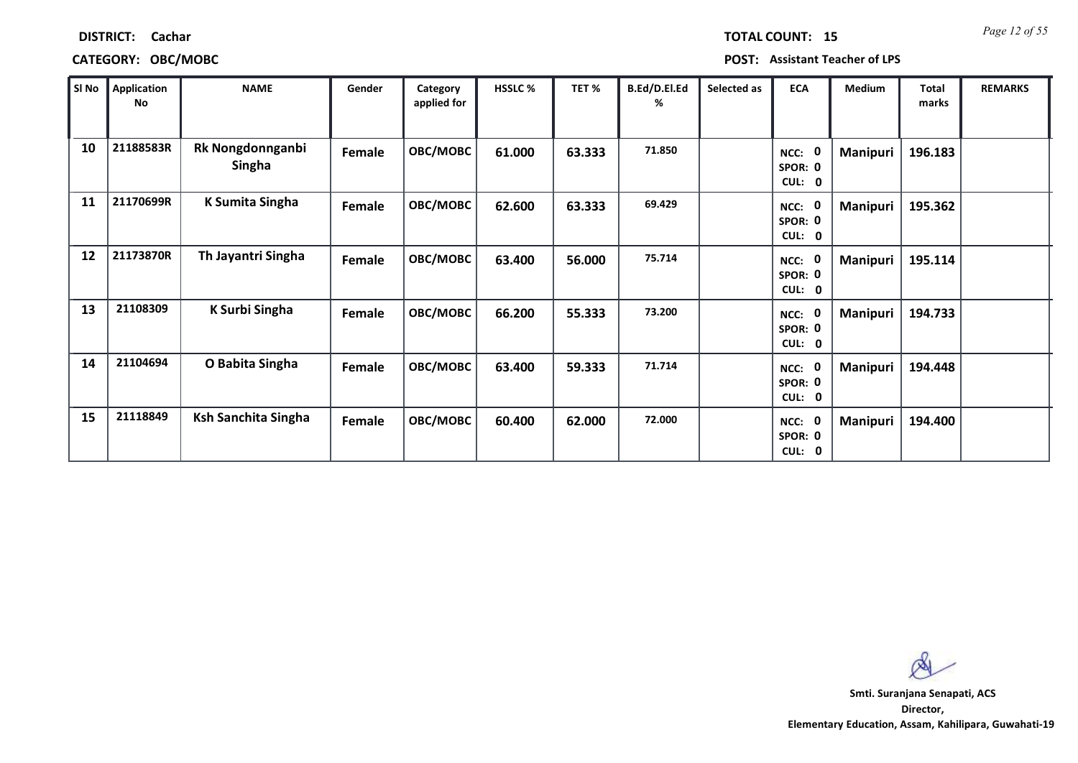| <b>DISTRICT:</b> | Cachar |
|------------------|--------|
|------------------|--------|

| SI No | Application<br>No | <b>NAME</b>                       | Gender | Category<br>applied for | HSSLC % | TET%   | B.Ed/D.El.Ed<br>℅ | Selected as | <b>ECA</b>                                             | Medium          | <b>Total</b><br>marks | <b>REMARKS</b> |
|-------|-------------------|-----------------------------------|--------|-------------------------|---------|--------|-------------------|-------------|--------------------------------------------------------|-----------------|-----------------------|----------------|
| 10    | 21188583R         | Rk Nongdonnganbi<br><b>Singha</b> | Female | OBC/MOBC                | 61.000  | 63.333 | 71.850            |             | $\mathbf 0$<br>NCC:<br>SPOR: 0<br>CUL: 0               | <b>Manipuri</b> | 196.183               |                |
| 11    | 21170699R         | <b>K Sumita Singha</b>            | Female | OBC/MOBC                | 62.600  | 63.333 | 69.429            |             | NCC:<br><sup>0</sup><br>SPOR: 0<br>CUL: 0              | Manipuri        | 195.362               |                |
| 12    | 21173870R         | Th Jayantri Singha                | Female | OBC/MOBC                | 63.400  | 56.000 | 75.714            |             | NCC:<br>0<br>SPOR: 0<br>CUL: 0                         | Manipuri        | 195.114               |                |
| 13    | 21108309          | K Surbi Singha                    | Female | OBC/MOBC                | 66.200  | 55.333 | 73.200            |             | $\mathbf{0}$<br>NCC:<br>SPOR: 0<br>CUL:<br>$\mathbf 0$ | Manipuri        | 194.733               |                |
| 14    | 21104694          | O Babita Singha                   | Female | OBC/MOBC                | 63.400  | 59.333 | 71.714            |             | NCC: 0<br>SPOR: 0<br>CUL: 0                            | Manipuri        | 194.448               |                |
| 15    | 21118849          | Ksh Sanchita Singha               | Female | OBC/MOBC                | 60.400  | 62.000 | 72.000            |             | NCC: 0<br>SPOR: 0<br>CUL: 0                            | <b>Manipuri</b> | 194.400               |                |

 $\infty$ 

*Page 12 of 55* **TOTAL COUNT: 15**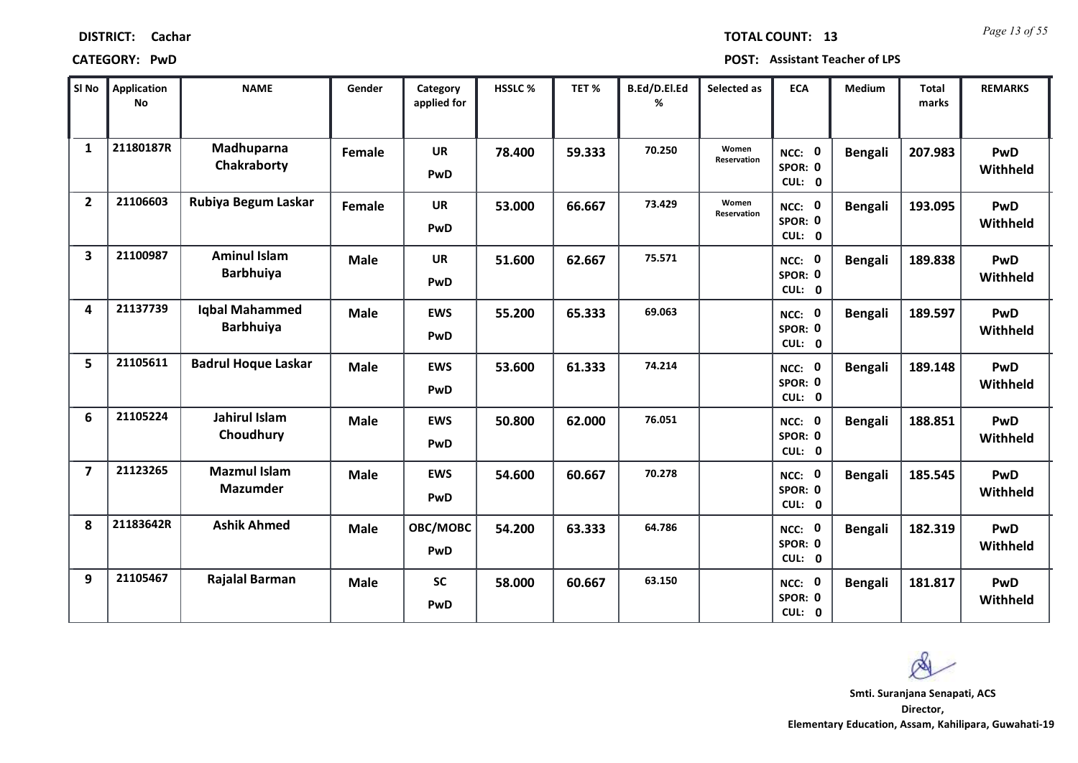| <b>DISTRICT:</b> | Cachar |
|------------------|--------|
|------------------|--------|

*Page 13 of 55* **TOTAL COUNT: 13**

**CATEGORY: PwD POST: Assistant Teacher of LPS**

| SI No                   | <b>Application</b><br><b>No</b> | <b>NAME</b>                               | Gender      | Category<br>applied for | HSSLC % | TET %  | B.Ed/D.El.Ed<br>% | Selected as                 | <b>ECA</b>                  | Medium         | <b>Total</b><br>marks | <b>REMARKS</b>         |
|-------------------------|---------------------------------|-------------------------------------------|-------------|-------------------------|---------|--------|-------------------|-----------------------------|-----------------------------|----------------|-----------------------|------------------------|
| $\mathbf{1}$            | 21180187R                       | Madhuparna<br>Chakraborty                 | Female      | <b>UR</b><br>PwD        | 78.400  | 59.333 | 70.250            | Women<br><b>Reservation</b> | NCC: 0<br>SPOR: 0<br>CUL: 0 | <b>Bengali</b> | 207.983               | PwD<br>Withheld        |
| $\overline{2}$          | 21106603                        | Rubiya Begum Laskar                       | Female      | <b>UR</b><br>PwD        | 53.000  | 66.667 | 73.429            | Women<br>Reservation        | NCC: 0<br>SPOR: 0<br>CUL: 0 | <b>Bengali</b> | 193.095               | PwD<br>Withheld        |
| $\overline{\mathbf{3}}$ | 21100987                        | <b>Aminul Islam</b><br><b>Barbhuiya</b>   | <b>Male</b> | <b>UR</b><br>PwD        | 51.600  | 62.667 | 75.571            |                             | NCC: 0<br>SPOR: 0<br>CUL: 0 | <b>Bengali</b> | 189.838               | PwD<br>Withheld        |
| 4                       | 21137739                        | <b>Iqbal Mahammed</b><br><b>Barbhuiya</b> | <b>Male</b> | <b>EWS</b><br>PwD       | 55.200  | 65.333 | 69.063            |                             | NCC: 0<br>SPOR: 0<br>CUL: 0 | <b>Bengali</b> | 189.597               | PwD<br>Withheld        |
| 5                       | 21105611                        | <b>Badrul Hoque Laskar</b>                | <b>Male</b> | <b>EWS</b><br>PwD       | 53.600  | 61.333 | 74.214            |                             | NCC: 0<br>SPOR: 0<br>CUL: 0 | <b>Bengali</b> | 189.148               | PwD<br>Withheld        |
| 6                       | 21105224                        | Jahirul Islam<br>Choudhury                | <b>Male</b> | <b>EWS</b><br>PwD       | 50.800  | 62.000 | 76.051            |                             | NCC: 0<br>SPOR: 0<br>CUL: 0 | <b>Bengali</b> | 188.851               | PwD<br>Withheld        |
| $\overline{\mathbf{z}}$ | 21123265                        | <b>Mazmul Islam</b><br><b>Mazumder</b>    | <b>Male</b> | <b>EWS</b><br>PwD       | 54.600  | 60.667 | 70.278            |                             | NCC: 0<br>SPOR: 0<br>CUL: 0 | <b>Bengali</b> | 185.545               | PwD<br>Withheld        |
| 8                       | 21183642R                       | <b>Ashik Ahmed</b>                        | <b>Male</b> | OBC/MOBC<br>PwD         | 54.200  | 63.333 | 64.786            |                             | NCC: 0<br>SPOR: 0<br>CUL: 0 | <b>Bengali</b> | 182.319               | PwD<br>Withheld        |
| 9                       | 21105467                        | <b>Rajalal Barman</b>                     | <b>Male</b> | <b>SC</b><br>PwD        | 58.000  | 60.667 | 63.150            |                             | NCC: 0<br>SPOR: 0<br>CUL: 0 | <b>Bengali</b> | 181.817               | <b>PwD</b><br>Withheld |

 $\infty$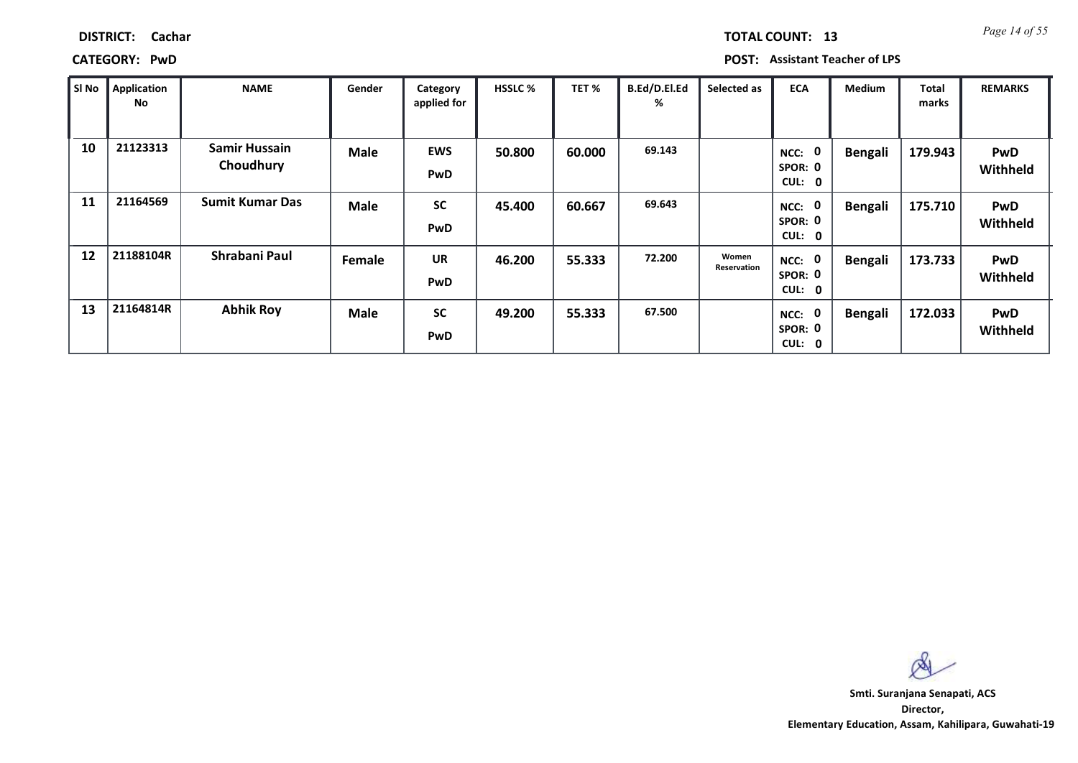*Page 14 of 55* **TOTAL COUNT: 13**

**CATEGORY: PwD POST: Assistant Teacher of LPS**

| SI No | <b>Application</b><br>No | <b>NAME</b>                       | Gender      | Category<br>applied for | <b>HSSLC %</b> | TET %  | B.Ed/D.El.Ed<br>% | Selected as          | <b>ECA</b>                                         | <b>Medium</b>  | <b>Total</b><br>marks | <b>REMARKS</b>         |
|-------|--------------------------|-----------------------------------|-------------|-------------------------|----------------|--------|-------------------|----------------------|----------------------------------------------------|----------------|-----------------------|------------------------|
| 10    | 21123313                 | <b>Samir Hussain</b><br>Choudhury | <b>Male</b> | <b>EWS</b><br>PwD       | 50.800         | 60.000 | 69.143            |                      | 0<br>NCC:<br>SPOR: 0<br><b>CUL:</b><br>$\mathbf 0$ | Bengali        | 179.943               | <b>PwD</b><br>Withheld |
| 11    | 21164569                 | <b>Sumit Kumar Das</b>            | <b>Male</b> | <b>SC</b><br>PwD        | 45.400         | 60.667 | 69.643            |                      | 0<br>NCC:<br>SPOR: 0<br>CUL:<br>0                  | <b>Bengali</b> | 175.710               | <b>PwD</b><br>Withheld |
| 12    | 21188104R                | Shrabani Paul                     | Female      | <b>UR</b><br>PwD        | 46.200         | 55.333 | 72.200            | Women<br>Reservation | $\mathbf 0$<br>NCC:<br>SPOR: 0<br>CUL:<br>0        | Bengali        | 173.733               | <b>PwD</b><br>Withheld |
| 13    | 21164814R                | <b>Abhik Roy</b>                  | <b>Male</b> | <b>SC</b><br>PwD        | 49.200         | 55.333 | 67.500            |                      | 0<br>NCC:<br>SPOR: 0<br>CUL: 0                     | Bengali        | 172.033               | <b>PwD</b><br>Withheld |

 $\infty$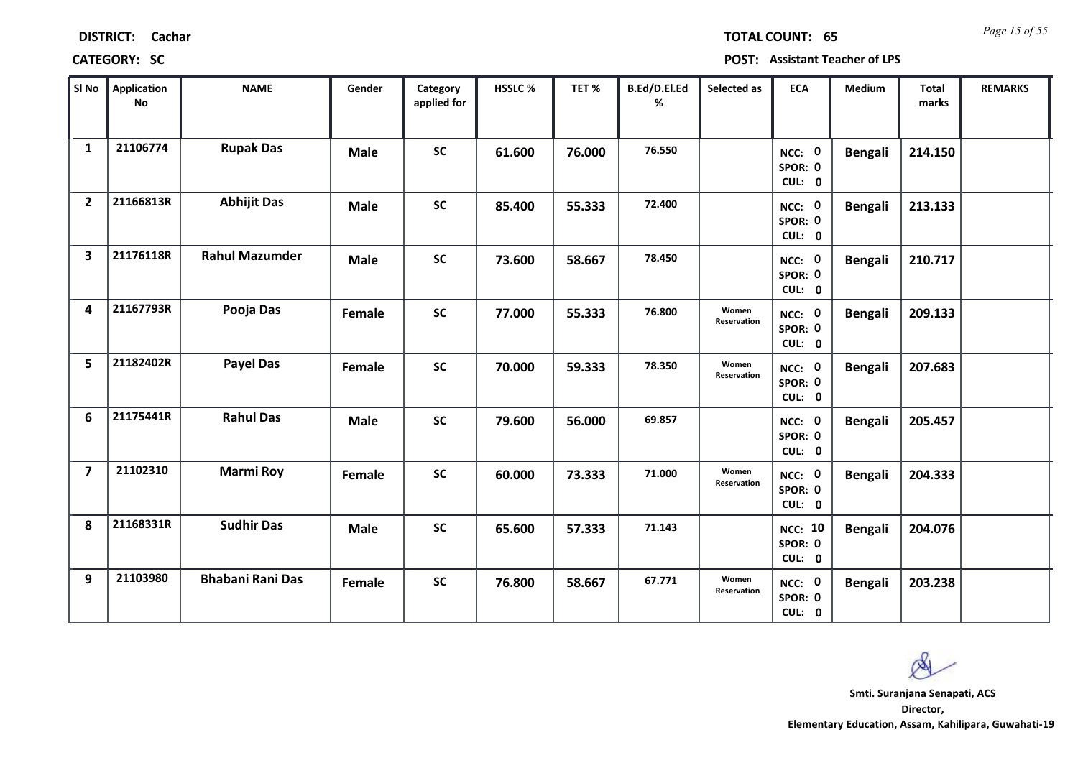| <b>DISTRICT:</b> | Cachar |
|------------------|--------|
|------------------|--------|

*Page 15 of 55* **TOTAL COUNT: 65**

| SI No                   | <b>Application</b><br>No | <b>NAME</b>             | Gender      | Category<br>applied for | <b>HSSLC%</b> | TET %  | B.Ed/D.El.Ed<br>% | Selected as          | <b>ECA</b>                          | <b>Medium</b>  | <b>Total</b><br>marks | <b>REMARKS</b> |
|-------------------------|--------------------------|-------------------------|-------------|-------------------------|---------------|--------|-------------------|----------------------|-------------------------------------|----------------|-----------------------|----------------|
| $\mathbf{1}$            | 21106774                 | <b>Rupak Das</b>        | <b>Male</b> | <b>SC</b>               | 61.600        | 76.000 | 76.550            |                      | NCC: 0<br>SPOR: 0<br>CUL: 0         | <b>Bengali</b> | 214.150               |                |
| $\overline{2}$          | 21166813R                | <b>Abhijit Das</b>      | <b>Male</b> | <b>SC</b>               | 85.400        | 55.333 | 72.400            |                      | NCC: 0<br>SPOR: 0<br>CUL: 0         | <b>Bengali</b> | 213.133               |                |
| $\overline{\mathbf{3}}$ | 21176118R                | <b>Rahul Mazumder</b>   | <b>Male</b> | <b>SC</b>               | 73.600        | 58.667 | 78.450            |                      | NCC: 0<br>SPOR: 0<br>CUL: 0         | <b>Bengali</b> | 210.717               |                |
| 4                       | 21167793R                | Pooja Das               | Female      | <b>SC</b>               | 77.000        | 55.333 | 76.800            | Women<br>Reservation | NCC: 0<br>SPOR: 0<br>CUL: 0         | <b>Bengali</b> | 209.133               |                |
| 5                       | 21182402R                | <b>Payel Das</b>        | Female      | <b>SC</b>               | 70.000        | 59.333 | 78.350            | Women<br>Reservation | NCC: 0<br>SPOR: 0<br>CUL: 0         | <b>Bengali</b> | 207.683               |                |
| 6                       | 21175441R                | <b>Rahul Das</b>        | <b>Male</b> | SC                      | 79.600        | 56.000 | 69.857            |                      | NCC: 0<br>SPOR: 0<br>CUL: 0         | <b>Bengali</b> | 205.457               |                |
| $\overline{\mathbf{z}}$ | 21102310                 | <b>Marmi Roy</b>        | Female      | <b>SC</b>               | 60.000        | 73.333 | 71.000            | Women<br>Reservation | NCC: 0<br>SPOR: 0<br>CUL: 0         | <b>Bengali</b> | 204.333               |                |
| 8                       | 21168331R                | <b>Sudhir Das</b>       | <b>Male</b> | <b>SC</b>               | 65.600        | 57.333 | 71.143            |                      | <b>NCC: 10</b><br>SPOR: 0<br>CUL: 0 | <b>Bengali</b> | 204.076               |                |
| 9                       | 21103980                 | <b>Bhabani Rani Das</b> | Female      | <b>SC</b>               | 76.800        | 58.667 | 67.771            | Women<br>Reservation | NCC: 0<br>SPOR: 0<br>CUL: 0         | <b>Bengali</b> | 203.238               |                |

 $\infty$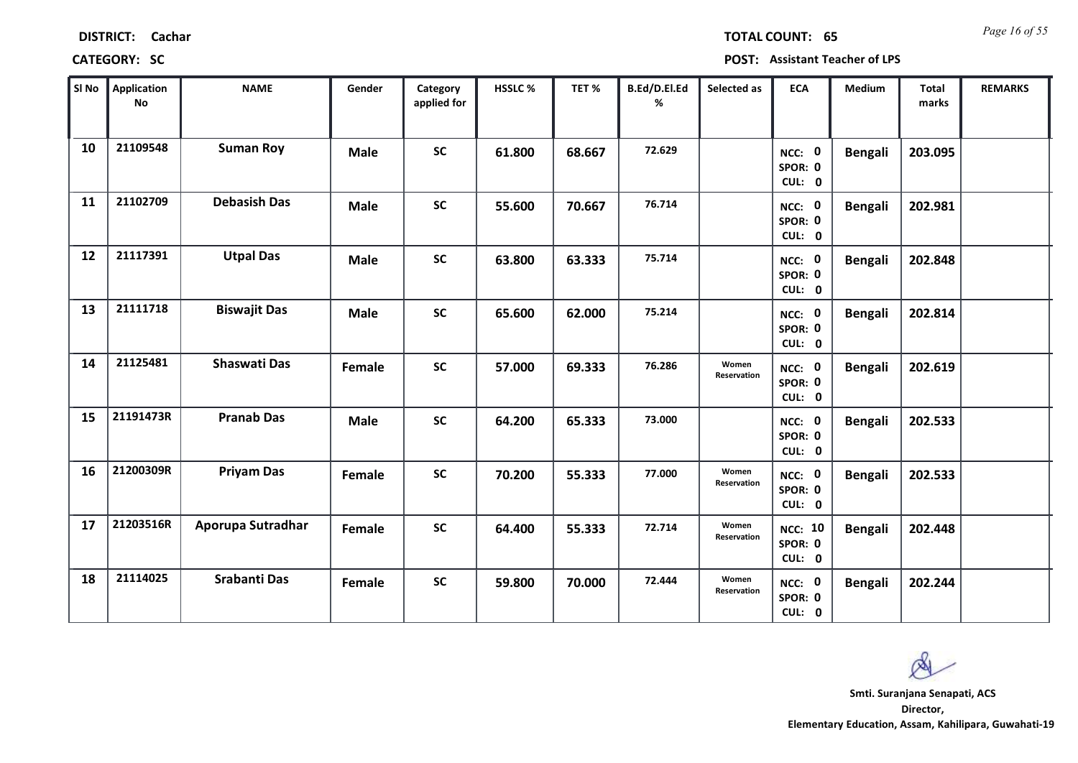| Si No $\ $ | Application<br>No | <b>NAME</b>         | Gender      | Category<br>applied for | HSSLC% | TET %  | B.Ed/D.El.Ed<br>% | Selected as          | <b>ECA</b>                          | <b>Medium</b>  | Total<br>marks | <b>REMARKS</b> |
|------------|-------------------|---------------------|-------------|-------------------------|--------|--------|-------------------|----------------------|-------------------------------------|----------------|----------------|----------------|
| 10         | 21109548          | <b>Suman Roy</b>    | <b>Male</b> | <b>SC</b>               | 61.800 | 68.667 | 72.629            |                      | NCC: 0<br>SPOR: 0<br>CUL: 0         | <b>Bengali</b> | 203.095        |                |
| 11         | 21102709          | <b>Debasish Das</b> | Male        | <b>SC</b>               | 55.600 | 70.667 | 76.714            |                      | NCC: 0<br>SPOR: 0<br>CUL: 0         | <b>Bengali</b> | 202.981        |                |
| 12         | 21117391          | <b>Utpal Das</b>    | <b>Male</b> | $\mathsf{sc}$           | 63.800 | 63.333 | 75.714            |                      | NCC: 0<br>SPOR: 0<br>CUL: 0         | <b>Bengali</b> | 202.848        |                |
| 13         | 21111718          | <b>Biswajit Das</b> | <b>Male</b> | <b>SC</b>               | 65.600 | 62.000 | 75.214            |                      | NCC: 0<br>SPOR: 0<br>CUL: 0         | <b>Bengali</b> | 202.814        |                |
| 14         | 21125481          | <b>Shaswati Das</b> | Female      | $\mathsf{SC}$           | 57.000 | 69.333 | 76.286            | Women<br>Reservation | NCC: 0<br>SPOR: 0<br>CUL: 0         | <b>Bengali</b> | 202.619        |                |
| 15         | 21191473R         | <b>Pranab Das</b>   | Male        | $\mathsf{SC}$           | 64.200 | 65.333 | 73.000            |                      | NCC: 0<br>SPOR: 0<br>CUL: 0         | <b>Bengali</b> | 202.533        |                |
| 16         | 21200309R         | <b>Priyam Das</b>   | Female      | $\mathsf{SC}$           | 70.200 | 55.333 | 77.000            | Women<br>Reservation | NCC: 0<br>SPOR: 0<br>CUL: 0         | <b>Bengali</b> | 202.533        |                |
| 17         | 21203516R         | Aporupa Sutradhar   | Female      | <b>SC</b>               | 64.400 | 55.333 | 72.714            | Women<br>Reservation | <b>NCC: 10</b><br>SPOR: 0<br>CUL: 0 | <b>Bengali</b> | 202.448        |                |
| 18         | 21114025          | Srabanti Das        | Female      | <b>SC</b>               | 59.800 | 70.000 | 72.444            | Women<br>Reservation | NCC: 0<br>SPOR: 0<br>CUL: 0         | <b>Bengali</b> | 202.244        |                |

### **CATEGORY: SC POST: Assistant Teacher of LPS**

**Director, Elementary Education, Assam, Kahilipara, Guwahati-19 Smti. Suranjana Senapati, ACS**

 $\alpha$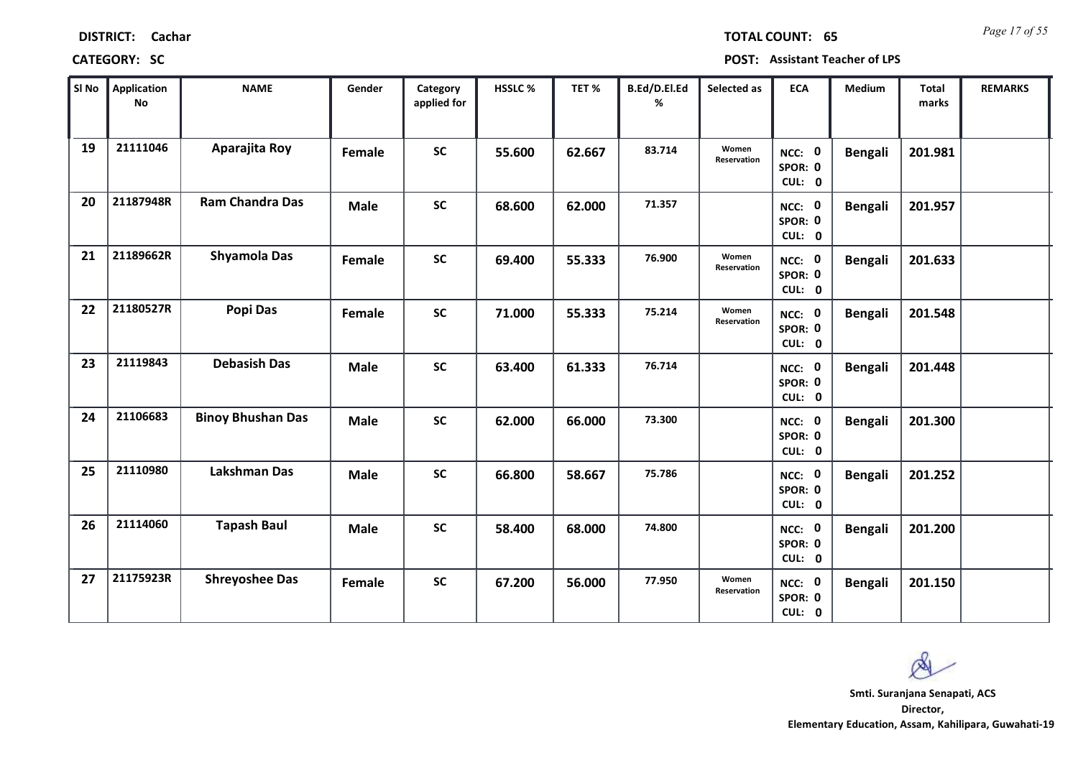*Page 17 of 55* **TOTAL COUNT: 65**

**CATEGORY: SC POST: Assistant Teacher of LPS**

| SI No | <b>Application</b><br>No | <b>NAME</b>              | Gender      | Category<br>applied for | HSSLC % | TET %  | B.Ed/D.El.Ed<br>% | Selected as          | <b>ECA</b>                  | <b>Medium</b>  | <b>Total</b><br>marks | <b>REMARKS</b> |
|-------|--------------------------|--------------------------|-------------|-------------------------|---------|--------|-------------------|----------------------|-----------------------------|----------------|-----------------------|----------------|
| 19    | 21111046                 | Aparajita Roy            | Female      | <b>SC</b>               | 55.600  | 62.667 | 83.714            | Women<br>Reservation | NCC: 0<br>SPOR: 0<br>CUL: 0 | <b>Bengali</b> | 201.981               |                |
| 20    | 21187948R                | <b>Ram Chandra Das</b>   | <b>Male</b> | <b>SC</b>               | 68.600  | 62.000 | 71.357            |                      | NCC: 0<br>SPOR: 0<br>CUL: 0 | <b>Bengali</b> | 201.957               |                |
| 21    | 21189662R                | <b>Shyamola Das</b>      | Female      | <b>SC</b>               | 69.400  | 55.333 | 76.900            | Women<br>Reservation | NCC: 0<br>SPOR: 0<br>CUL: 0 | <b>Bengali</b> | 201.633               |                |
| 22    | 21180527R                | Popi Das                 | Female      | <b>SC</b>               | 71.000  | 55.333 | 75.214            | Women<br>Reservation | NCC: 0<br>SPOR: 0<br>CUL: 0 | <b>Bengali</b> | 201.548               |                |
| 23    | 21119843                 | <b>Debasish Das</b>      | <b>Male</b> | <b>SC</b>               | 63.400  | 61.333 | 76.714            |                      | NCC: 0<br>SPOR: 0<br>CUL: 0 | <b>Bengali</b> | 201.448               |                |
| 24    | 21106683                 | <b>Binoy Bhushan Das</b> | <b>Male</b> | <b>SC</b>               | 62.000  | 66.000 | 73.300            |                      | NCC: 0<br>SPOR: 0<br>CUL: 0 | <b>Bengali</b> | 201.300               |                |
| 25    | 21110980                 | Lakshman Das             | <b>Male</b> | <b>SC</b>               | 66.800  | 58.667 | 75.786            |                      | NCC: 0<br>SPOR: 0<br>CUL: 0 | <b>Bengali</b> | 201.252               |                |
| 26    | 21114060                 | <b>Tapash Baul</b>       | <b>Male</b> | <b>SC</b>               | 58.400  | 68.000 | 74.800            |                      | NCC: 0<br>SPOR: 0<br>CUL: 0 | <b>Bengali</b> | 201.200               |                |
| 27    | 21175923R                | <b>Shreyoshee Das</b>    | Female      | <b>SC</b>               | 67.200  | 56.000 | 77.950            | Women<br>Reservation | NCC: 0<br>SPOR: 0<br>CUL: 0 | <b>Bengali</b> | 201.150               |                |

 $\infty$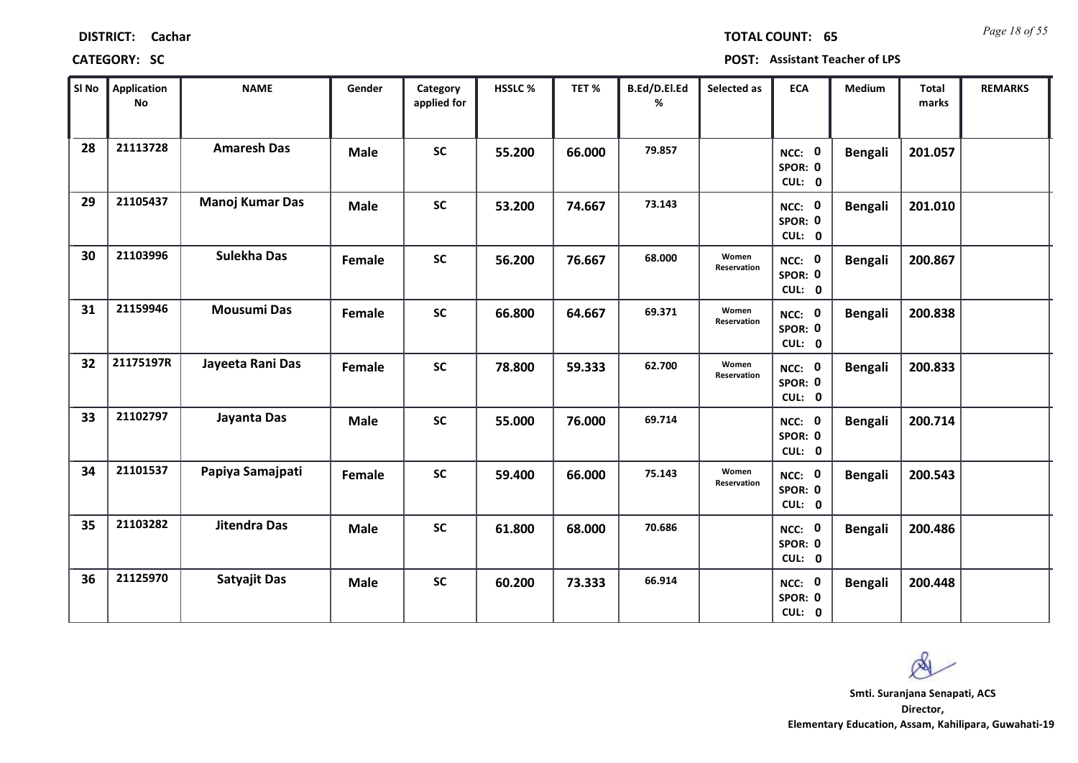| <b>DISTRICT:</b> | Cachar |
|------------------|--------|
|------------------|--------|

*Page 18 of 55* **TOTAL COUNT: 65**

| SI <sub>No</sub> | <b>Application</b><br>No | <b>NAME</b>         | Gender      | Category<br>applied for | <b>HSSLC%</b> | TET %  | B.Ed/D.El.Ed<br>% | Selected as          | <b>ECA</b>                  | <b>Medium</b>  | Total<br>marks | <b>REMARKS</b> |
|------------------|--------------------------|---------------------|-------------|-------------------------|---------------|--------|-------------------|----------------------|-----------------------------|----------------|----------------|----------------|
| 28               | 21113728                 | <b>Amaresh Das</b>  | <b>Male</b> | <b>SC</b>               | 55.200        | 66.000 | 79.857            |                      | NCC: 0<br>SPOR: 0<br>CUL: 0 | <b>Bengali</b> | 201.057        |                |
| 29               | 21105437                 | Manoj Kumar Das     | <b>Male</b> | <b>SC</b>               | 53.200        | 74.667 | 73.143            |                      | NCC: 0<br>SPOR: 0<br>CUL: 0 | <b>Bengali</b> | 201.010        |                |
| 30               | 21103996                 | Sulekha Das         | Female      | <b>SC</b>               | 56.200        | 76.667 | 68.000            | Women<br>Reservation | NCC: 0<br>SPOR: 0<br>CUL: 0 | <b>Bengali</b> | 200.867        |                |
| 31               | 21159946                 | <b>Mousumi Das</b>  | Female      | <b>SC</b>               | 66.800        | 64.667 | 69.371            | Women<br>Reservation | NCC: 0<br>SPOR: 0<br>CUL: 0 | <b>Bengali</b> | 200.838        |                |
| 32               | 21175197R                | Jayeeta Rani Das    | Female      | <b>SC</b>               | 78.800        | 59.333 | 62.700            | Women<br>Reservation | NCC: 0<br>SPOR: 0<br>CUL: 0 | <b>Bengali</b> | 200.833        |                |
| 33               | 21102797                 | Jayanta Das         | <b>Male</b> | <b>SC</b>               | 55.000        | 76.000 | 69.714            |                      | NCC: 0<br>SPOR: 0<br>CUL: 0 | <b>Bengali</b> | 200.714        |                |
| 34               | 21101537                 | Papiya Samajpati    | Female      | <b>SC</b>               | 59.400        | 66.000 | 75.143            | Women<br>Reservation | NCC: 0<br>SPOR: 0<br>CUL: 0 | <b>Bengali</b> | 200.543        |                |
| 35               | 21103282                 | <b>Jitendra Das</b> | <b>Male</b> | <b>SC</b>               | 61.800        | 68.000 | 70.686            |                      | NCC: 0<br>SPOR: 0<br>CUL: 0 | <b>Bengali</b> | 200.486        |                |
| 36               | 21125970                 | <b>Satyajit Das</b> | <b>Male</b> | <b>SC</b>               | 60.200        | 73.333 | 66.914            |                      | NCC: 0<br>SPOR: 0<br>CUL: 0 | <b>Bengali</b> | 200.448        |                |

 $\infty$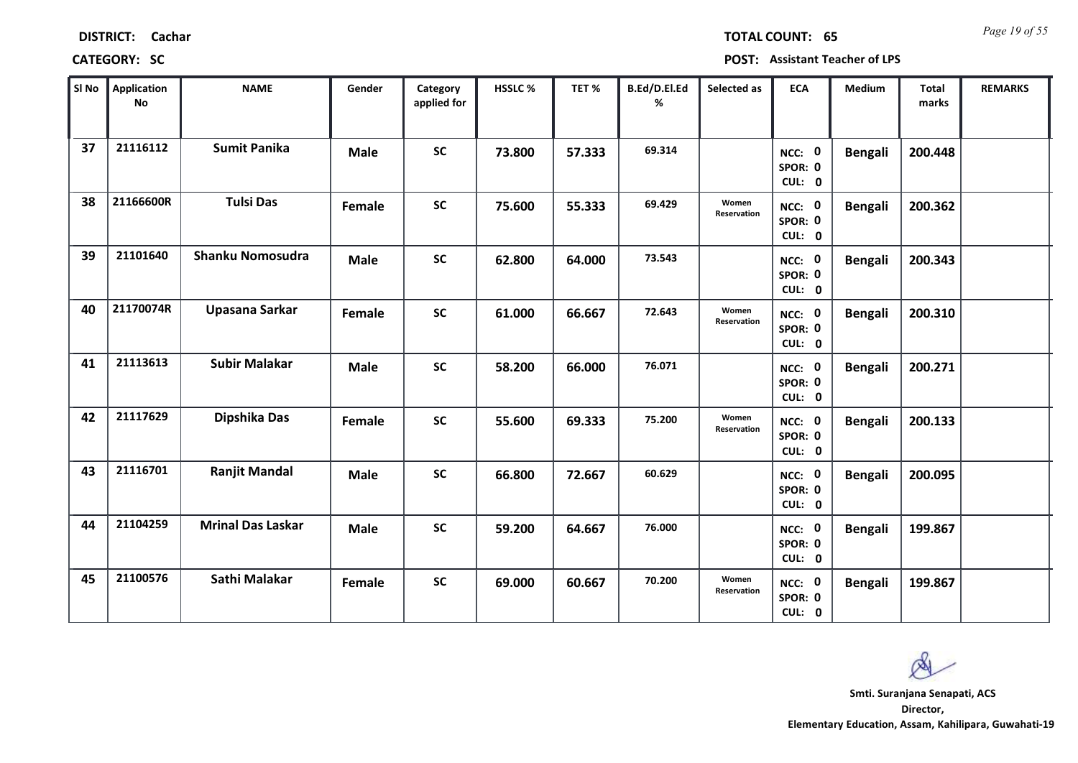| Sl No | Application<br>No | <b>NAME</b>              | Gender      | Category<br>applied for | HSSLC% | TET%   | <b>B.Ed/D.El.Ed</b><br>% | Selected as          | <b>ECA</b>                  | <b>Medium</b>  | <b>Total</b><br>marks | <b>REMARKS</b> |
|-------|-------------------|--------------------------|-------------|-------------------------|--------|--------|--------------------------|----------------------|-----------------------------|----------------|-----------------------|----------------|
| 37    | 21116112          | <b>Sumit Panika</b>      | <b>Male</b> | <b>SC</b>               | 73.800 | 57.333 | 69.314                   |                      | NCC: 0<br>SPOR: 0<br>CUL: 0 | <b>Bengali</b> | 200.448               |                |
| 38    | 21166600R         | <b>Tulsi Das</b>         | Female      | <b>SC</b>               | 75.600 | 55.333 | 69.429                   | Women<br>Reservation | NCC: 0<br>SPOR: 0<br>CUL: 0 | <b>Bengali</b> | 200.362               |                |
| 39    | 21101640          | <b>Shanku Nomosudra</b>  | <b>Male</b> | <b>SC</b>               | 62.800 | 64.000 | 73.543                   |                      | NCC: 0<br>SPOR: 0<br>CUL: 0 | <b>Bengali</b> | 200.343               |                |
| 40    | 21170074R         | Upasana Sarkar           | Female      | <b>SC</b>               | 61.000 | 66.667 | 72.643                   | Women<br>Reservation | NCC: 0<br>SPOR: 0<br>CUL: 0 | <b>Bengali</b> | 200.310               |                |
| 41    | 21113613          | <b>Subir Malakar</b>     | <b>Male</b> | <b>SC</b>               | 58.200 | 66.000 | 76.071                   |                      | NCC: 0<br>SPOR: 0<br>CUL: 0 | <b>Bengali</b> | 200.271               |                |
| 42    | 21117629          | Dipshika Das             | Female      | <b>SC</b>               | 55.600 | 69.333 | 75.200                   | Women<br>Reservation | NCC: 0<br>SPOR: 0<br>CUL: 0 | <b>Bengali</b> | 200.133               |                |
| 43    | 21116701          | <b>Ranjit Mandal</b>     | <b>Male</b> | <b>SC</b>               | 66.800 | 72.667 | 60.629                   |                      | NCC: 0<br>SPOR: 0<br>CUL: 0 | <b>Bengali</b> | 200.095               |                |
| 44    | 21104259          | <b>Mrinal Das Laskar</b> | <b>Male</b> | <b>SC</b>               | 59.200 | 64.667 | 76.000                   |                      | NCC: 0<br>SPOR: 0<br>CUL: 0 | <b>Bengali</b> | 199.867               |                |
| 45    | 21100576          | Sathi Malakar            | Female      | <b>SC</b>               | 69.000 | 60.667 | 70.200                   | Women<br>Reservation | NCC: 0<br>SPOR: 0<br>CUL: 0 | <b>Bengali</b> | 199.867               |                |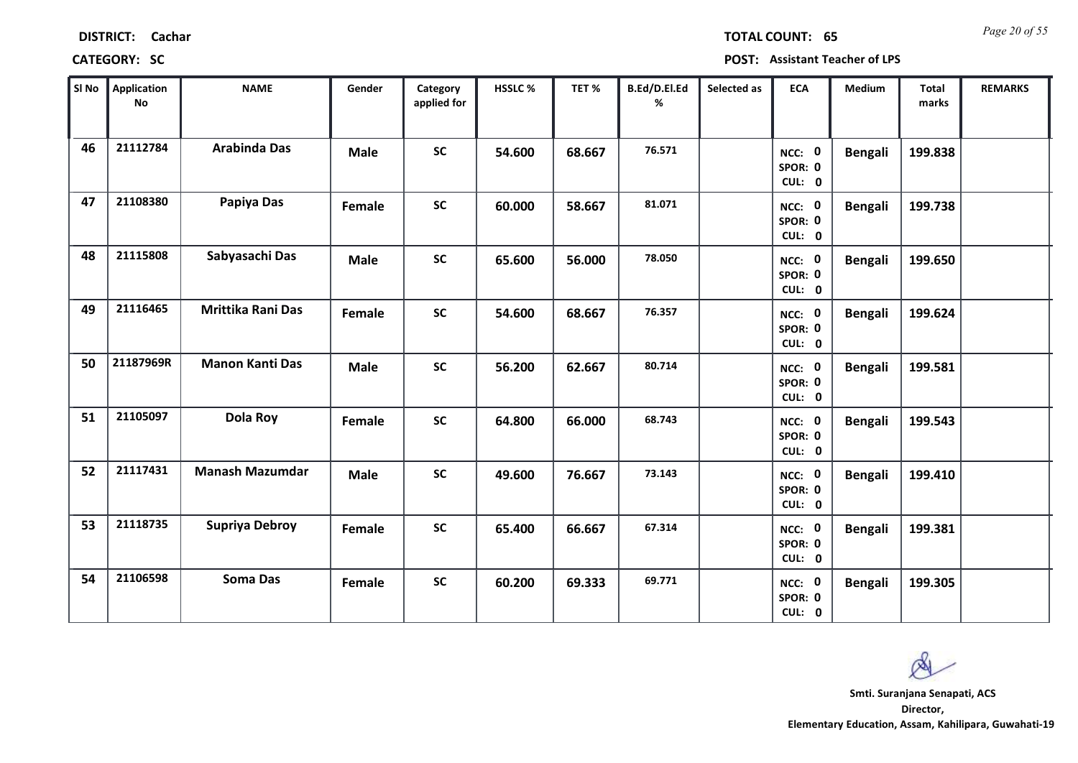| Sl No | Application<br><b>No</b> | <b>NAME</b>              | Gender      | Category<br>applied for | HSSLC% | TET%   | B.Ed/D.El.Ed<br>% | Selected as | <b>ECA</b>                            | <b>Medium</b>  | Total<br>marks | <b>REMARKS</b> |
|-------|--------------------------|--------------------------|-------------|-------------------------|--------|--------|-------------------|-------------|---------------------------------------|----------------|----------------|----------------|
| 46    | 21112784                 | <b>Arabinda Das</b>      | <b>Male</b> | <b>SC</b>               | 54.600 | 68.667 | 76.571            |             | NCC: 0<br>SPOR: 0                     | <b>Bengali</b> | 199.838        |                |
| 47    | 21108380                 | Papiya Das               | Female      | <b>SC</b>               | 60.000 | 58.667 | 81.071            |             | CUL: 0<br>NCC: 0<br>SPOR: 0<br>CUL: 0 | <b>Bengali</b> | 199.738        |                |
| 48    | 21115808                 | Sabyasachi Das           | <b>Male</b> | <b>SC</b>               | 65.600 | 56.000 | 78.050            |             | NCC: 0<br>SPOR: 0<br>CUL: 0           | <b>Bengali</b> | 199.650        |                |
| 49    | 21116465                 | <b>Mrittika Rani Das</b> | Female      | <b>SC</b>               | 54.600 | 68.667 | 76.357            |             | NCC: 0<br>SPOR: 0<br>CUL: 0           | <b>Bengali</b> | 199.624        |                |
| 50    | 21187969R                | <b>Manon Kanti Das</b>   | <b>Male</b> | <b>SC</b>               | 56.200 | 62.667 | 80.714            |             | NCC: 0<br>SPOR: 0<br>CUL: 0           | <b>Bengali</b> | 199.581        |                |
| 51    | 21105097                 | Dola Roy                 | Female      | <b>SC</b>               | 64.800 | 66.000 | 68.743            |             | NCC: 0<br>SPOR: 0<br>CUL: 0           | <b>Bengali</b> | 199.543        |                |
| 52    | 21117431                 | <b>Manash Mazumdar</b>   | <b>Male</b> | <b>SC</b>               | 49.600 | 76.667 | 73.143            |             | NCC: 0<br>SPOR: 0<br>CUL: 0           | <b>Bengali</b> | 199.410        |                |
| 53    | 21118735                 | <b>Supriya Debroy</b>    | Female      | <b>SC</b>               | 65.400 | 66.667 | 67.314            |             | NCC: 0<br>SPOR: 0<br>CUL: 0           | <b>Bengali</b> | 199.381        |                |
| 54    | 21106598                 | <b>Soma Das</b>          | Female      | <b>SC</b>               | 60.200 | 69.333 | 69.771            |             | NCC: 0<br>SPOR: 0<br>CUL: 0           | <b>Bengali</b> | 199.305        |                |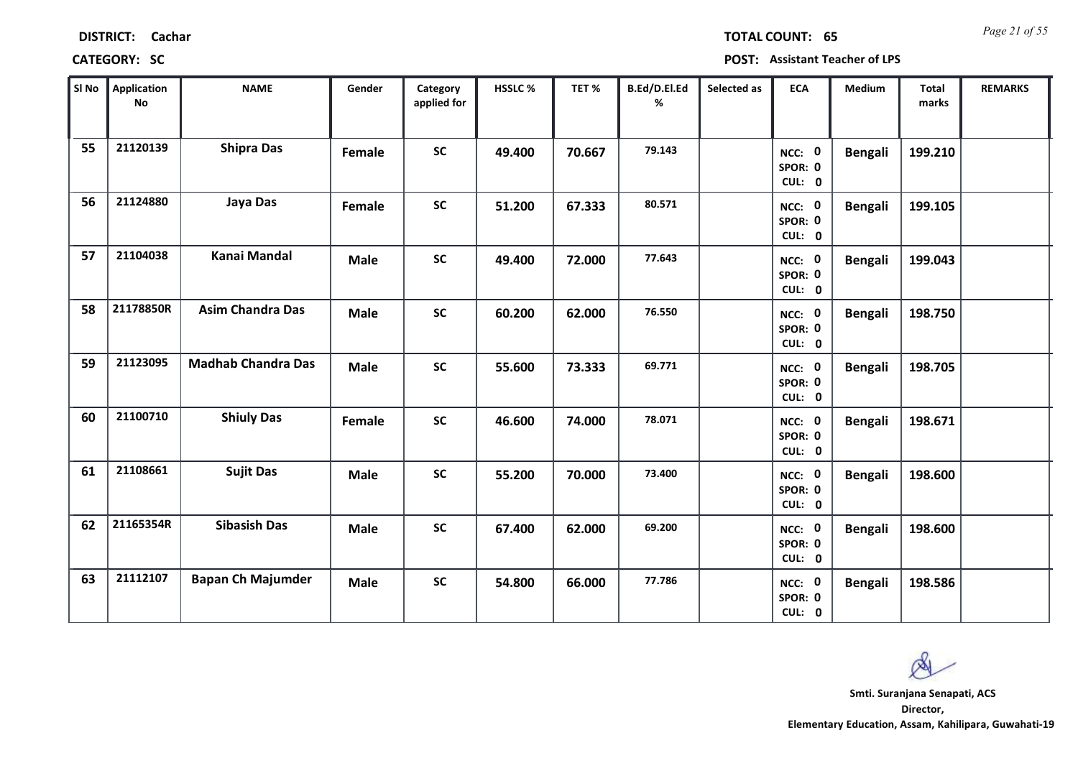| Sl No | Application<br><b>No</b> | <b>NAME</b>               | Gender      | Category<br>applied for | HSSLC% | TET %  | B.Ed/D.El.Ed<br>% | Selected as | <b>ECA</b>                  | Medium         | <b>Total</b><br>marks | <b>REMARKS</b> |
|-------|--------------------------|---------------------------|-------------|-------------------------|--------|--------|-------------------|-------------|-----------------------------|----------------|-----------------------|----------------|
| 55    | 21120139                 | <b>Shipra Das</b>         | Female      | <b>SC</b>               | 49.400 | 70.667 | 79.143            |             | NCC: 0<br>SPOR: 0<br>CUL: 0 | <b>Bengali</b> | 199.210               |                |
| 56    | 21124880                 | Jaya Das                  | Female      | $\mathsf{SC}$           | 51.200 | 67.333 | 80.571            |             | NCC: 0<br>SPOR: 0<br>CUL: 0 | <b>Bengali</b> | 199.105               |                |
| 57    | 21104038                 | Kanai Mandal              | <b>Male</b> | <b>SC</b>               | 49.400 | 72.000 | 77.643            |             | NCC: 0<br>SPOR: 0<br>CUL: 0 | <b>Bengali</b> | 199.043               |                |
| 58    | 21178850R                | <b>Asim Chandra Das</b>   | <b>Male</b> | <b>SC</b>               | 60.200 | 62.000 | 76.550            |             | NCC: 0<br>SPOR: 0<br>CUL: 0 | <b>Bengali</b> | 198.750               |                |
| 59    | 21123095                 | <b>Madhab Chandra Das</b> | <b>Male</b> | SC                      | 55.600 | 73.333 | 69.771            |             | NCC: 0<br>SPOR: 0<br>CUL: 0 | <b>Bengali</b> | 198.705               |                |
| 60    | 21100710                 | <b>Shiuly Das</b>         | Female      | <b>SC</b>               | 46.600 | 74.000 | 78.071            |             | NCC: 0<br>SPOR: 0<br>CUL: 0 | <b>Bengali</b> | 198.671               |                |
| 61    | 21108661                 | <b>Sujit Das</b>          | <b>Male</b> | SC                      | 55.200 | 70.000 | 73.400            |             | NCC: 0<br>SPOR: 0<br>CUL: 0 | <b>Bengali</b> | 198.600               |                |
| 62    | 21165354R                | <b>Sibasish Das</b>       | <b>Male</b> | <b>SC</b>               | 67.400 | 62.000 | 69.200            |             | NCC: 0<br>SPOR: 0<br>CUL: 0 | <b>Bengali</b> | 198.600               |                |
| 63    | 21112107                 | <b>Bapan Ch Majumder</b>  | <b>Male</b> | <b>SC</b>               | 54.800 | 66.000 | 77.786            |             | NCC: 0<br>SPOR: 0<br>CUL: 0 | <b>Bengali</b> | 198.586               |                |

# **CATEGORY: SC POST: Assistant Teacher of LPS**

**Director, Elementary Education, Assam, Kahilipara, Guwahati-19 Smti. Suranjana Senapati, ACS**

Ø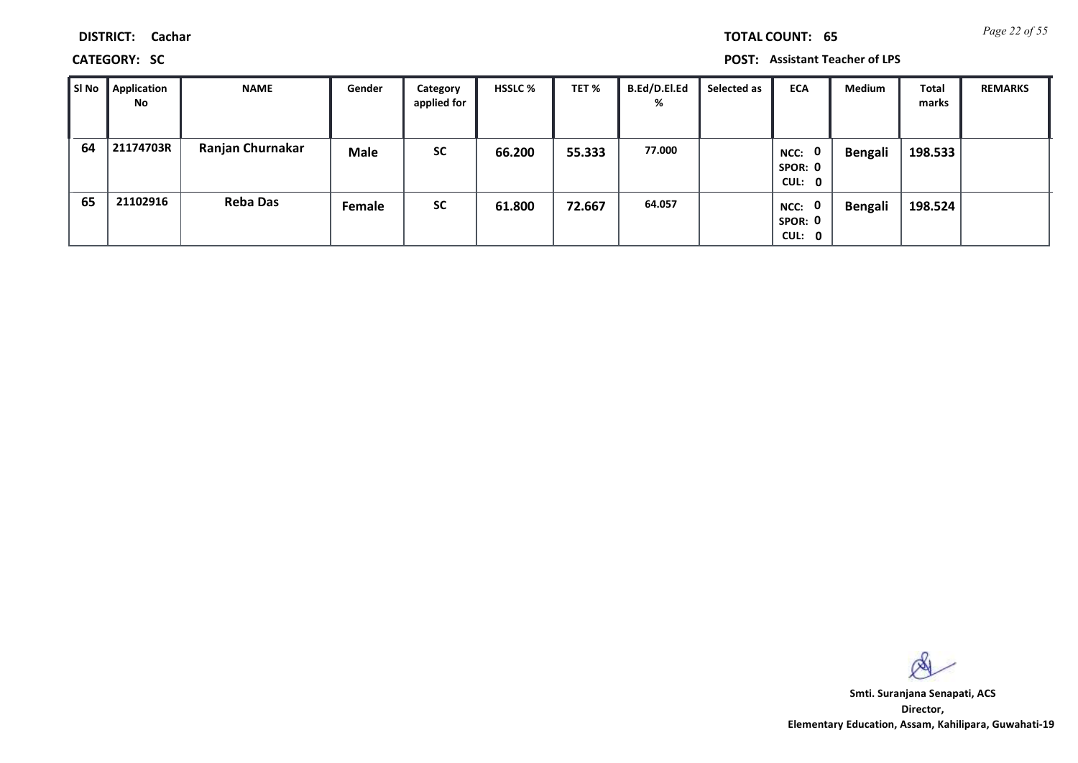**CATEGORY: SC POST: Assistant Teacher of LPS**

| ∥ SI No | Application<br>No | <b>NAME</b>      | Gender      | Category<br>applied for | <b>HSSLC %</b> | TET %  | <b>B.Ed/D.El.Ed</b><br>% | Selected as | <b>ECA</b>                               | Medium         | <b>Total</b><br>marks | <b>REMARKS</b> |
|---------|-------------------|------------------|-------------|-------------------------|----------------|--------|--------------------------|-------------|------------------------------------------|----------------|-----------------------|----------------|
| 64      | 21174703R         | Ranjan Churnakar | <b>Male</b> | <b>SC</b>               | 66.200         | 55.333 | 77.000                   |             | $\mathbf 0$<br>NCC:<br>SPOR: 0<br>CUL: 0 | <b>Bengali</b> | 198.533               |                |
| 65      | 21102916          | <b>Reba Das</b>  | Female      | <b>SC</b>               | 61.800         | 72.667 | 64.057                   |             | $\mathbf 0$<br>NCC:<br>SPOR: 0<br>CUL: 0 | <b>Bengali</b> | 198.524               |                |

 $\infty$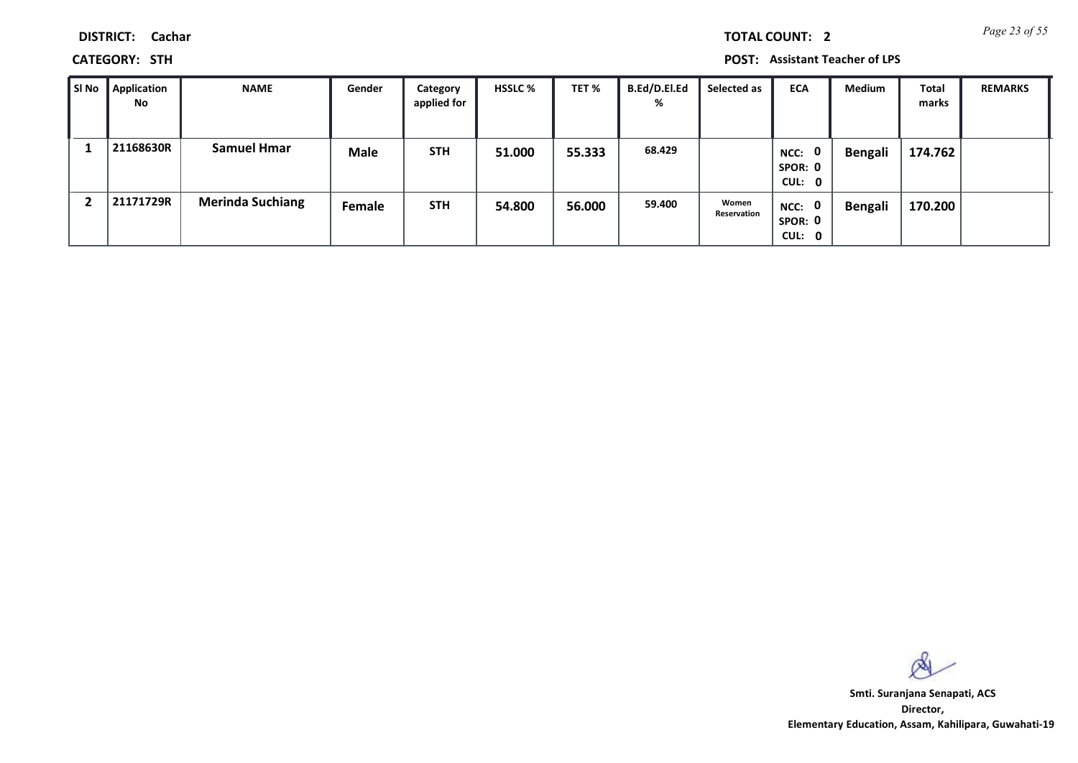*Page 23 of 55* **TOTAL COUNT: 2**

**DISTRICT: Cachar**

**CATEGORY: STH POST: Assistant Teacher of LPS**

| l SI No | Application<br>No | <b>NAME</b>             | Gender      | Category<br>applied for | <b>HSSLC %</b> | TET %  | <b>B.Ed/D.El.Ed</b><br>% | Selected as          | <b>ECA</b>                               | Medium  | <b>Total</b><br>marks | <b>REMARKS</b> |
|---------|-------------------|-------------------------|-------------|-------------------------|----------------|--------|--------------------------|----------------------|------------------------------------------|---------|-----------------------|----------------|
|         | 21168630R         | <b>Samuel Hmar</b>      | <b>Male</b> | <b>STH</b>              | 51.000         | 55.333 | 68.429                   |                      | $\mathbf 0$<br>NCC:<br>SPOR: 0<br>CUL: 0 | Bengali | 174.762               |                |
|         | 21171729R         | <b>Merinda Suchiang</b> | Female      | <b>STH</b>              | 54.800         | 56.000 | 59.400                   | Women<br>Reservation | NCC: 0<br>SPOR: 0<br>CUL: 0              | Bengali | 170.200               |                |

 $\infty$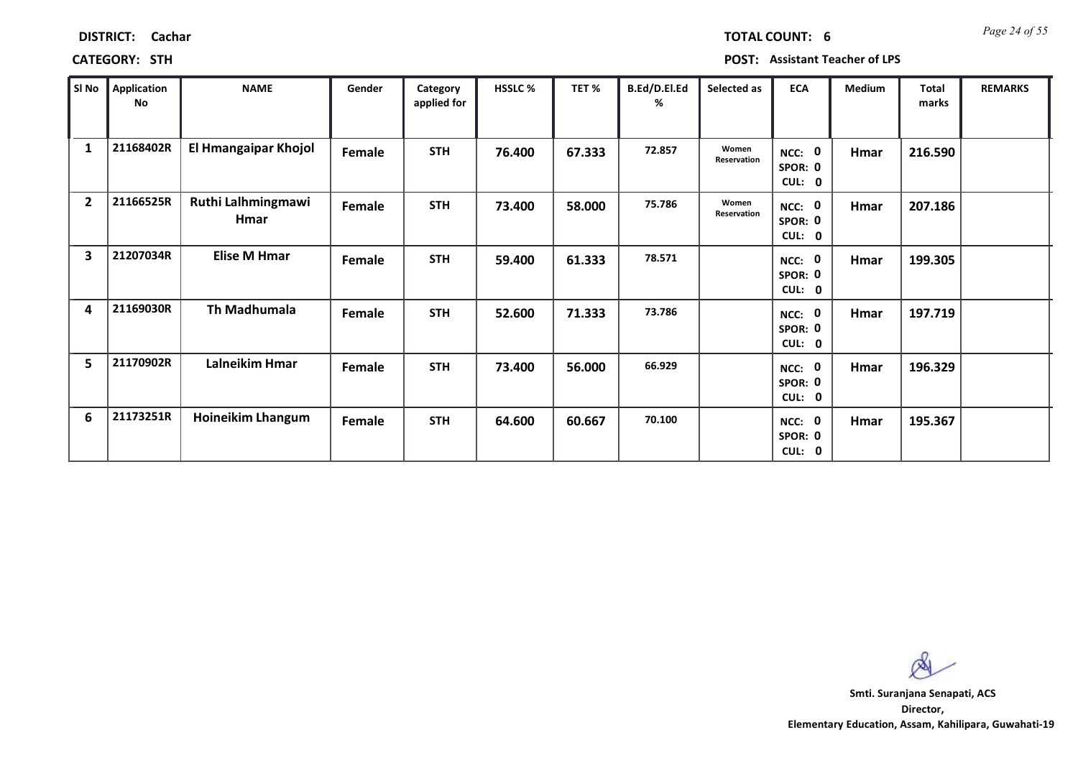| <b>DISTRICT:</b> | Cachar |
|------------------|--------|
|                  |        |

*Page 24 of 55* **TOTAL COUNT: 6**

| SI No          | <b>Application</b><br>No | <b>NAME</b>                | Gender | Category<br>applied for | <b>HSSLC %</b> | TET %  | B.Ed/D.El.Ed<br>% | Selected as          | <b>ECA</b>                            | <b>Medium</b> | <b>Total</b><br>marks | <b>REMARKS</b> |
|----------------|--------------------------|----------------------------|--------|-------------------------|----------------|--------|-------------------|----------------------|---------------------------------------|---------------|-----------------------|----------------|
| $\mathbf{1}$   | 21168402R                | El Hmangaipar Khojol       | Female | <b>STH</b>              | 76.400         | 67.333 | 72.857            | Women<br>Reservation | NCC: 0<br>SPOR: 0<br>CUL:<br>0        | Hmar          | 216.590               |                |
| $\overline{2}$ | 21166525R                | Ruthi Lalhmingmawi<br>Hmar | Female | <b>STH</b>              | 73.400         | 58.000 | 75.786            | Women<br>Reservation | NCC: 0<br>SPOR: 0<br>CUL: 0           | Hmar          | 207.186               |                |
| 3              | 21207034R                | <b>Elise M Hmar</b>        | Female | <b>STH</b>              | 59.400         | 61.333 | 78.571            |                      | NCC: 0<br>SPOR: 0<br>CUL: 0           | Hmar          | 199.305               |                |
| 4              | 21169030R                | Th Madhumala               | Female | <b>STH</b>              | 52.600         | 71.333 | 73.786            |                      | NCC: 0<br>SPOR: 0<br><b>CUL:</b><br>0 | Hmar          | 197.719               |                |
| 5              | 21170902R                | Lalneikim Hmar             | Female | <b>STH</b>              | 73.400         | 56.000 | 66.929            |                      | NCC: 0<br>SPOR: 0<br>CUL: 0           | Hmar          | 196.329               |                |
| 6              | 21173251R                | <b>Hoineikim Lhangum</b>   | Female | <b>STH</b>              | 64.600         | 60.667 | 70.100            |                      | NCC: 0<br>SPOR: 0<br>CUL: 0           | Hmar          | 195.367               |                |

 $\infty$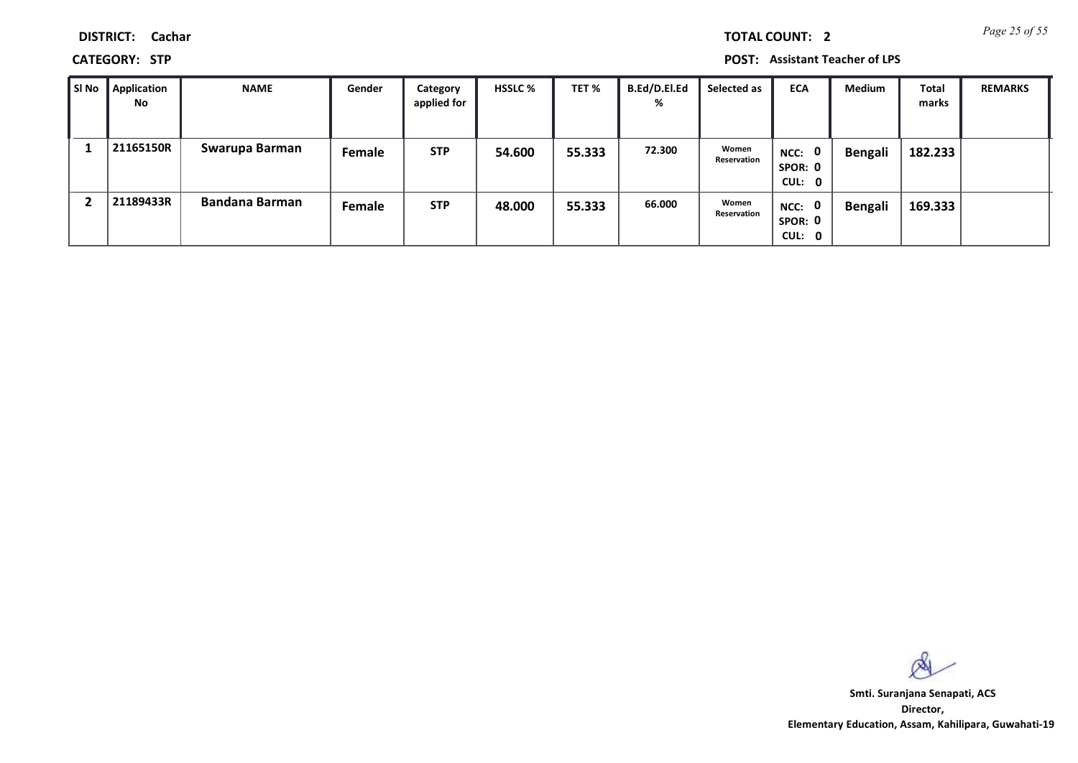*Page 25 of 55* **TOTAL COUNT: 2**

**DISTRICT: Cachar**

**CATEGORY: STP POST: Assistant Teacher of LPS**

| l SI No | Application<br>No | <b>NAME</b>           | Gender | Category<br>applied for | <b>HSSLC %</b> | TET %  | B.Ed/D.El.Ed<br>% | Selected as          | <b>ECA</b>                    | <b>Medium</b>  | <b>Total</b><br>marks | <b>REMARKS</b> |
|---------|-------------------|-----------------------|--------|-------------------------|----------------|--------|-------------------|----------------------|-------------------------------|----------------|-----------------------|----------------|
|         | 21165150R         | Swarupa Barman        | Female | <b>STP</b>              | 54.600         | 55.333 | 72.300            | Women<br>Reservation | $NCC:$ 0<br>SPOR: 0<br>CUL: 0 | <b>Bengali</b> | 182.233               |                |
|         | 21189433R         | <b>Bandana Barman</b> | Female | <b>STP</b>              | 48.000         | 55.333 | 66.000            | Women<br>Reservation | NCC: 0<br>SPOR: 0<br>CUL: 0   | Bengali        | 169.333               |                |

 $\infty$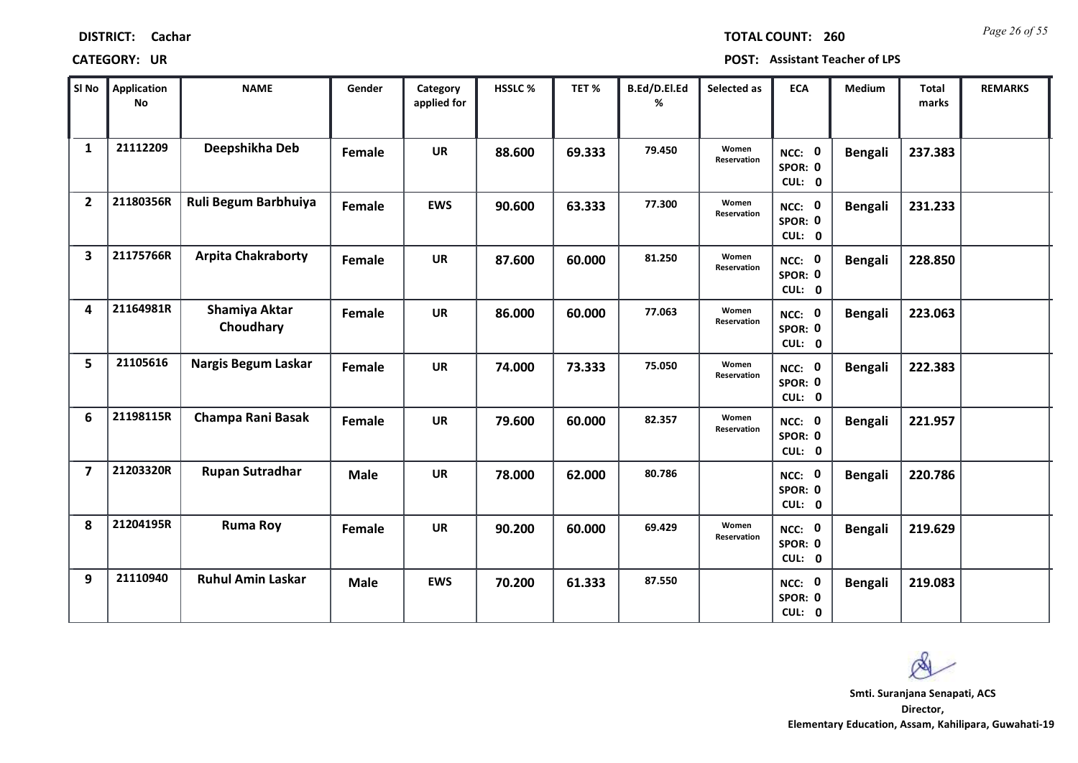| <b>DISTRICT:</b> | Cachar |
|------------------|--------|
|------------------|--------|

*Page 26 of 55* **TOTAL COUNT: 260**

| SI No          | <b>Application</b><br>No | <b>NAME</b>                | Gender      | Category<br>applied for | <b>HSSLC%</b> | TET %  | B.Ed/D.El.Ed<br>% | Selected as          | <b>ECA</b>                  | <b>Medium</b>  | <b>Total</b><br>marks | <b>REMARKS</b> |
|----------------|--------------------------|----------------------------|-------------|-------------------------|---------------|--------|-------------------|----------------------|-----------------------------|----------------|-----------------------|----------------|
| $\mathbf{1}$   | 21112209                 | Deepshikha Deb             | Female      | <b>UR</b>               | 88.600        | 69.333 | 79.450            | Women<br>Reservation | NCC: 0<br>SPOR: 0<br>CUL: 0 | <b>Bengali</b> | 237.383               |                |
| $\overline{2}$ | 21180356R                | Ruli Begum Barbhuiya       | Female      | <b>EWS</b>              | 90.600        | 63.333 | 77.300            | Women<br>Reservation | NCC: 0<br>SPOR: 0<br>CUL: 0 | <b>Bengali</b> | 231.233               |                |
| 3              | 21175766R                | <b>Arpita Chakraborty</b>  | Female      | <b>UR</b>               | 87.600        | 60.000 | 81.250            | Women<br>Reservation | NCC: 0<br>SPOR: 0<br>CUL: 0 | <b>Bengali</b> | 228.850               |                |
| 4              | 21164981R                | Shamiya Aktar<br>Choudhary | Female      | <b>UR</b>               | 86.000        | 60.000 | 77.063            | Women<br>Reservation | NCC: 0<br>SPOR: 0<br>CUL: 0 | <b>Bengali</b> | 223.063               |                |
| 5              | 21105616                 | Nargis Begum Laskar        | Female      | <b>UR</b>               | 74.000        | 73.333 | 75.050            | Women<br>Reservation | NCC: 0<br>SPOR: 0<br>CUL: 0 | <b>Bengali</b> | 222.383               |                |
| 6              | 21198115R                | Champa Rani Basak          | Female      | <b>UR</b>               | 79.600        | 60.000 | 82.357            | Women<br>Reservation | NCC: 0<br>SPOR: 0<br>CUL: 0 | <b>Bengali</b> | 221.957               |                |
| $\overline{7}$ | 21203320R                | <b>Rupan Sutradhar</b>     | <b>Male</b> | <b>UR</b>               | 78.000        | 62.000 | 80.786            |                      | NCC: 0<br>SPOR: 0<br>CUL: 0 | <b>Bengali</b> | 220.786               |                |
| 8              | 21204195R                | <b>Ruma Roy</b>            | Female      | <b>UR</b>               | 90.200        | 60.000 | 69.429            | Women<br>Reservation | NCC: 0<br>SPOR: 0<br>CUL: 0 | <b>Bengali</b> | 219.629               |                |
| 9              | 21110940                 | <b>Ruhul Amin Laskar</b>   | <b>Male</b> | <b>EWS</b>              | 70.200        | 61.333 | 87.550            |                      | NCC: 0<br>SPOR: 0<br>CUL: 0 | <b>Bengali</b> | 219.083               |                |

 $\infty$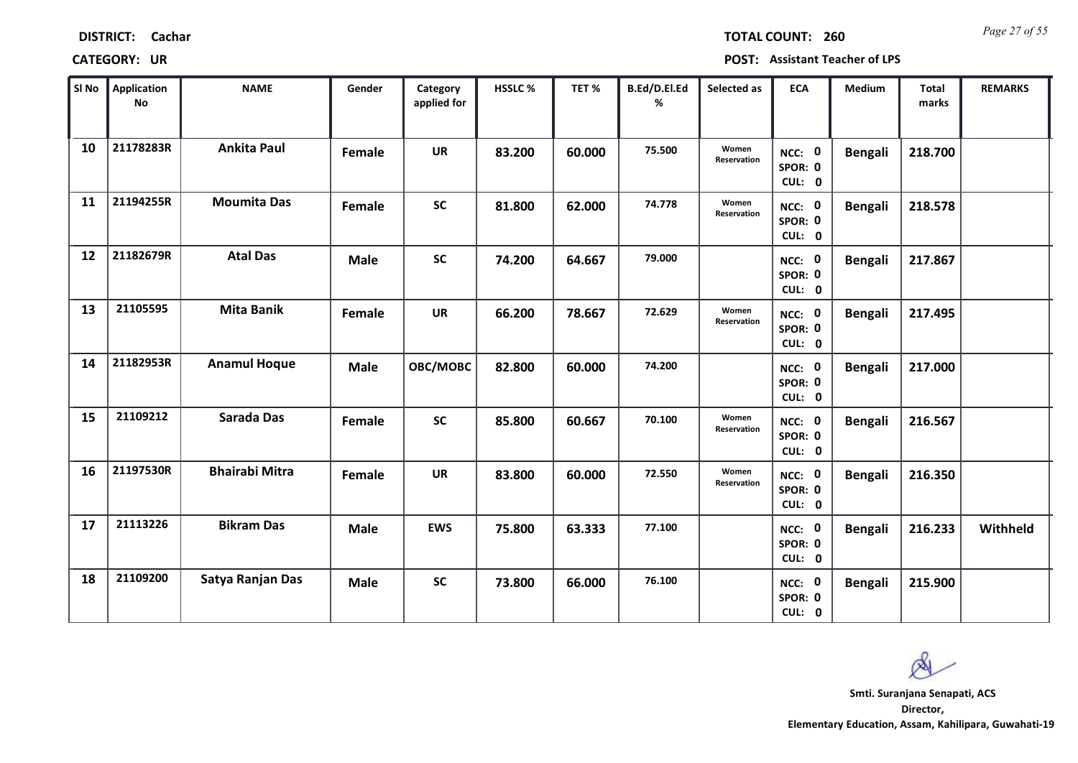*Page 27 of 55* **TOTAL COUNT: 260**

| SI No | <b>Application</b><br>No | <b>NAME</b>           | Gender      | Category<br>applied for | HSSLC % | TET%   | B.Ed/D.El.Ed<br>% | Selected as          | <b>ECA</b>                  | Medium         | Total<br>marks | <b>REMARKS</b> |
|-------|--------------------------|-----------------------|-------------|-------------------------|---------|--------|-------------------|----------------------|-----------------------------|----------------|----------------|----------------|
| 10    | 21178283R                | <b>Ankita Paul</b>    | Female      | <b>UR</b>               | 83.200  | 60.000 | 75.500            | Women<br>Reservation | NCC: 0<br>SPOR: 0<br>CUL: 0 | <b>Bengali</b> | 218.700        |                |
| 11    | 21194255R                | <b>Moumita Das</b>    | Female      | <b>SC</b>               | 81.800  | 62.000 | 74.778            | Women<br>Reservation | NCC: 0<br>SPOR: 0<br>CUL: 0 | <b>Bengali</b> | 218.578        |                |
| 12    | 21182679R                | <b>Atal Das</b>       | <b>Male</b> | <b>SC</b>               | 74.200  | 64.667 | 79.000            |                      | NCC: 0<br>SPOR: 0<br>CUL: 0 | <b>Bengali</b> | 217.867        |                |
| 13    | 21105595                 | <b>Mita Banik</b>     | Female      | <b>UR</b>               | 66.200  | 78.667 | 72.629            | Women<br>Reservation | NCC: 0<br>SPOR: 0<br>CUL: 0 | <b>Bengali</b> | 217.495        |                |
| 14    | 21182953R                | <b>Anamul Hoque</b>   | <b>Male</b> | OBC/MOBC                | 82.800  | 60.000 | 74.200            |                      | NCC: 0<br>SPOR: 0<br>CUL: 0 | <b>Bengali</b> | 217.000        |                |
| 15    | 21109212                 | Sarada Das            | Female      | <b>SC</b>               | 85.800  | 60.667 | 70.100            | Women<br>Reservation | NCC: 0<br>SPOR: 0<br>CUL: 0 | <b>Bengali</b> | 216.567        |                |
| 16    | 21197530R                | <b>Bhairabi Mitra</b> | Female      | <b>UR</b>               | 83.800  | 60.000 | 72.550            | Women<br>Reservation | NCC: 0<br>SPOR: 0<br>CUL: 0 | <b>Bengali</b> | 216.350        |                |
| 17    | 21113226                 | <b>Bikram Das</b>     | <b>Male</b> | <b>EWS</b>              | 75.800  | 63.333 | 77.100            |                      | NCC: 0<br>SPOR: 0<br>CUL: 0 | <b>Bengali</b> | 216.233        | Withheld       |
| 18    | 21109200                 | Satya Ranjan Das      | <b>Male</b> | <b>SC</b>               | 73.800  | 66.000 | 76.100            |                      | NCC: 0<br>SPOR: 0<br>CUL: 0 | <b>Bengali</b> | 215.900        |                |

 $\infty$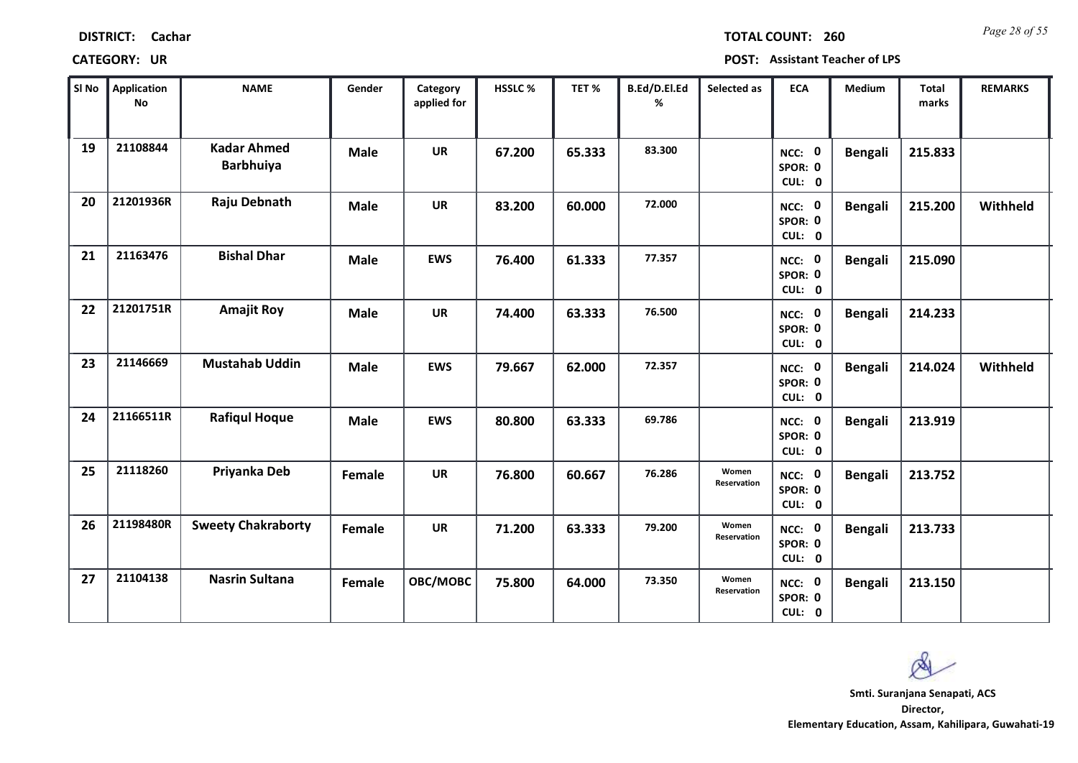| <b>DISTRICT:</b> | Cachar |
|------------------|--------|
|------------------|--------|

*Page 28 of 55* **TOTAL COUNT: 260**

**CATEGORY: UR POST: Assistant Teacher of LPS**

| SI <sub>No</sub> | <b>Application</b><br>No | <b>NAME</b>                            | Gender      | Category<br>applied for | HSSLC % | TET %  | B.Ed/D.El.Ed<br>% | Selected as          | <b>ECA</b>                  | <b>Medium</b>  | <b>Total</b><br>marks | <b>REMARKS</b> |
|------------------|--------------------------|----------------------------------------|-------------|-------------------------|---------|--------|-------------------|----------------------|-----------------------------|----------------|-----------------------|----------------|
| 19               | 21108844                 | <b>Kadar Ahmed</b><br><b>Barbhuiya</b> | <b>Male</b> | <b>UR</b>               | 67.200  | 65.333 | 83.300            |                      | NCC: 0<br>SPOR: 0<br>CUL: 0 | <b>Bengali</b> | 215.833               |                |
| 20               | 21201936R                | Raju Debnath                           | <b>Male</b> | <b>UR</b>               | 83.200  | 60.000 | 72.000            |                      | NCC: 0<br>SPOR: 0<br>CUL: 0 | <b>Bengali</b> | 215.200               | Withheld       |
| 21               | 21163476                 | <b>Bishal Dhar</b>                     | <b>Male</b> | <b>EWS</b>              | 76.400  | 61.333 | 77.357            |                      | NCC: 0<br>SPOR: 0<br>CUL: 0 | <b>Bengali</b> | 215.090               |                |
| 22               | 21201751R                | <b>Amajit Roy</b>                      | <b>Male</b> | <b>UR</b>               | 74.400  | 63.333 | 76.500            |                      | NCC: 0<br>SPOR: 0<br>CUL: 0 | <b>Bengali</b> | 214.233               |                |
| 23               | 21146669                 | <b>Mustahab Uddin</b>                  | <b>Male</b> | <b>EWS</b>              | 79.667  | 62.000 | 72.357            |                      | NCC: 0<br>SPOR: 0<br>CUL: 0 | <b>Bengali</b> | 214.024               | Withheld       |
| 24               | 21166511R                | <b>Rafiqul Hoque</b>                   | <b>Male</b> | <b>EWS</b>              | 80.800  | 63.333 | 69.786            |                      | NCC: 0<br>SPOR: 0<br>CUL: 0 | <b>Bengali</b> | 213.919               |                |
| 25               | 21118260                 | Priyanka Deb                           | Female      | <b>UR</b>               | 76.800  | 60.667 | 76.286            | Women<br>Reservation | NCC: 0<br>SPOR: 0<br>CUL: 0 | <b>Bengali</b> | 213.752               |                |
| 26               | 21198480R                | <b>Sweety Chakraborty</b>              | Female      | <b>UR</b>               | 71.200  | 63.333 | 79.200            | Women<br>Reservation | NCC: 0<br>SPOR: 0<br>CUL: 0 | <b>Bengali</b> | 213.733               |                |
| 27               | 21104138                 | <b>Nasrin Sultana</b>                  | Female      | OBC/MOBC                | 75.800  | 64.000 | 73.350            | Women<br>Reservation | NCC: 0<br>SPOR: 0<br>CUL: 0 | <b>Bengali</b> | 213.150               |                |

 $\infty$ **Smti. Suranjana Senapati, ACSDirector,**

**Elementary Education, Assam, Kahilipara, Guwahati-19**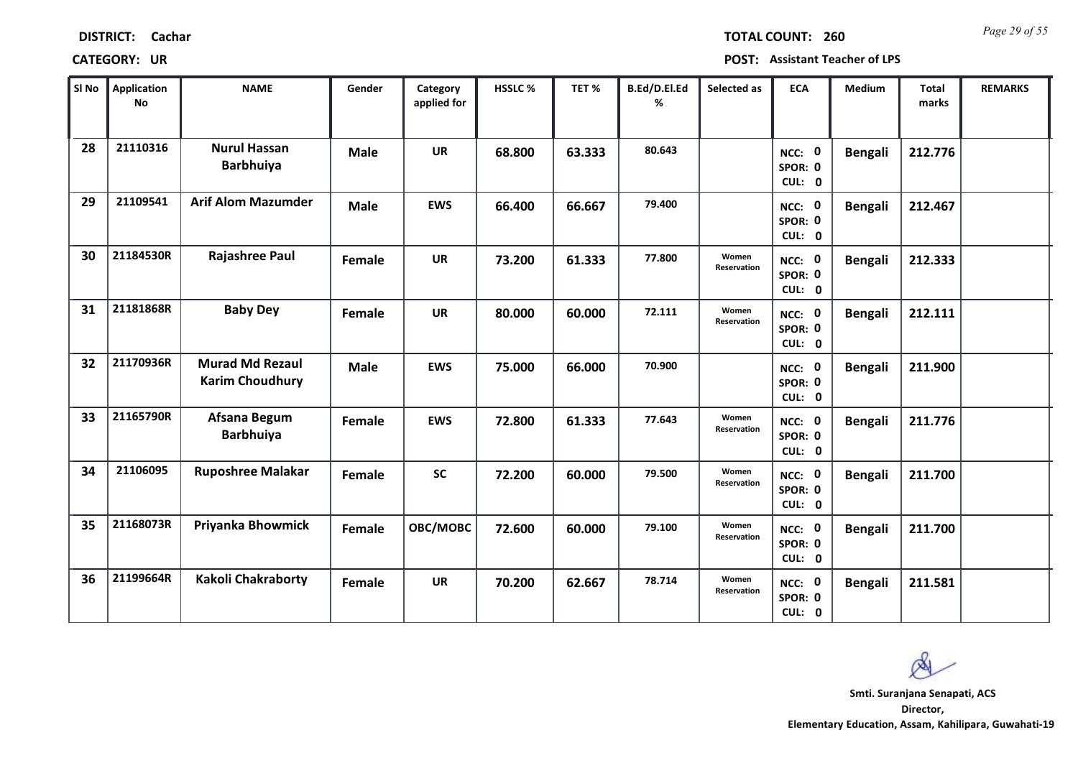| <b>DISTRICT:</b> | Cachar |
|------------------|--------|
|------------------|--------|

*Page 29 of 55* **TOTAL COUNT: 260**

| SI No | <b>Application</b><br>No | <b>NAME</b>                                      | Gender      | Category<br>applied for | <b>HSSLC %</b> | TET %  | B.Ed/D.El.Ed<br>% | Selected as          | <b>ECA</b>                  | <b>Medium</b>  | <b>Total</b><br>marks | <b>REMARKS</b> |
|-------|--------------------------|--------------------------------------------------|-------------|-------------------------|----------------|--------|-------------------|----------------------|-----------------------------|----------------|-----------------------|----------------|
| 28    | 21110316                 | <b>Nurul Hassan</b><br><b>Barbhuiya</b>          | <b>Male</b> | <b>UR</b>               | 68.800         | 63.333 | 80.643            |                      | NCC: 0<br>SPOR: 0<br>CUL: 0 | <b>Bengali</b> | 212.776               |                |
| 29    | 21109541                 | <b>Arif Alom Mazumder</b>                        | <b>Male</b> | <b>EWS</b>              | 66.400         | 66.667 | 79.400            |                      | NCC: 0<br>SPOR: 0<br>CUL: 0 | <b>Bengali</b> | 212.467               |                |
| 30    | 21184530R                | <b>Rajashree Paul</b>                            | Female      | <b>UR</b>               | 73.200         | 61.333 | 77.800            | Women<br>Reservation | NCC: 0<br>SPOR: 0<br>CUL: 0 | <b>Bengali</b> | 212.333               |                |
| 31    | 21181868R                | <b>Baby Dey</b>                                  | Female      | <b>UR</b>               | 80.000         | 60.000 | 72.111            | Women<br>Reservation | NCC: 0<br>SPOR: 0<br>CUL: 0 | <b>Bengali</b> | 212.111               |                |
| 32    | 21170936R                | <b>Murad Md Rezaul</b><br><b>Karim Choudhury</b> | <b>Male</b> | <b>EWS</b>              | 75.000         | 66.000 | 70.900            |                      | NCC: 0<br>SPOR: 0<br>CUL: 0 | <b>Bengali</b> | 211.900               |                |
| 33    | 21165790R                | Afsana Begum<br><b>Barbhuiya</b>                 | Female      | <b>EWS</b>              | 72.800         | 61.333 | 77.643            | Women<br>Reservation | NCC: 0<br>SPOR: 0<br>CUL: 0 | <b>Bengali</b> | 211.776               |                |
| 34    | 21106095                 | <b>Ruposhree Malakar</b>                         | Female      | <b>SC</b>               | 72.200         | 60.000 | 79.500            | Women<br>Reservation | NCC: 0<br>SPOR: 0<br>CUL: 0 | <b>Bengali</b> | 211.700               |                |
| 35    | 21168073R                | Priyanka Bhowmick                                | Female      | OBC/MOBC                | 72.600         | 60.000 | 79.100            | Women<br>Reservation | NCC: 0<br>SPOR: 0<br>CUL: 0 | <b>Bengali</b> | 211.700               |                |
| 36    | 21199664R                | Kakoli Chakraborty                               | Female      | <b>UR</b>               | 70.200         | 62.667 | 78.714            | Women<br>Reservation | NCC: 0<br>SPOR: 0<br>CUL: 0 | <b>Bengali</b> | 211.581               |                |

 $\infty$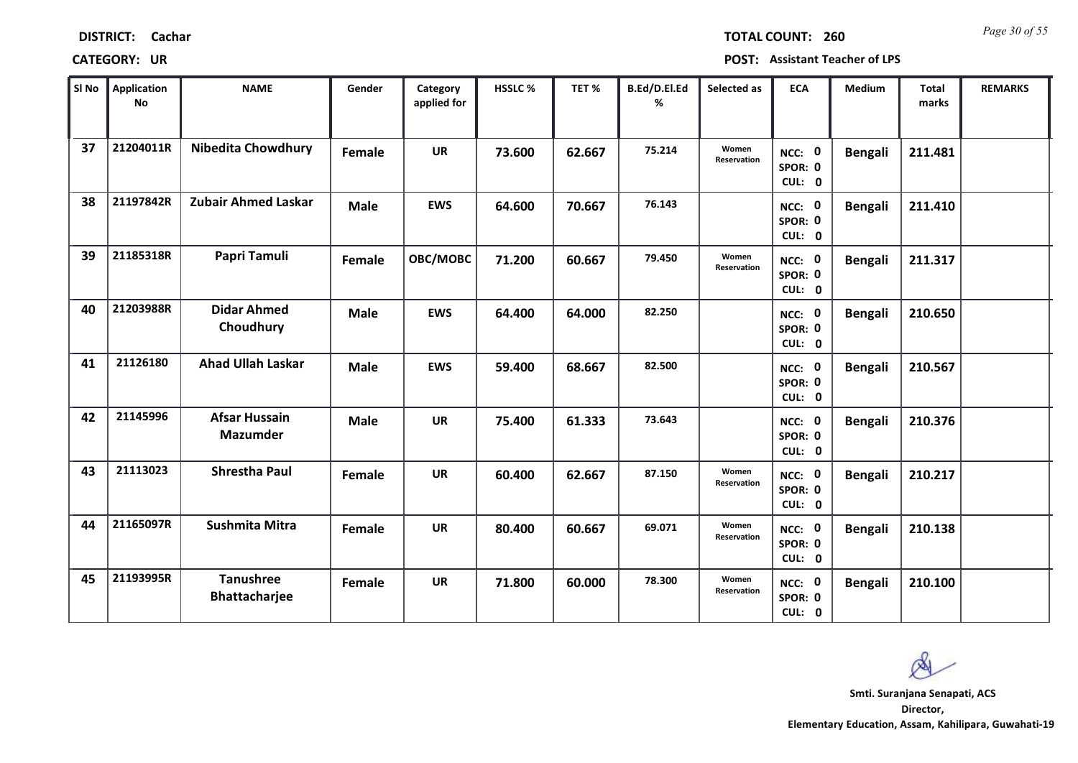*Page 30 of 55* **TOTAL COUNT: 260**

| SI <sub>No</sub> | <b>Application</b><br>No | <b>NAME</b>                              | Gender      | Category<br>applied for | <b>HSSLC%</b> | TET %  | B.Ed/D.El.Ed<br>% | Selected as          | <b>ECA</b>                  | <b>Medium</b>  | <b>Total</b><br>marks | <b>REMARKS</b> |
|------------------|--------------------------|------------------------------------------|-------------|-------------------------|---------------|--------|-------------------|----------------------|-----------------------------|----------------|-----------------------|----------------|
| 37               | 21204011R                | <b>Nibedita Chowdhury</b>                | Female      | <b>UR</b>               | 73.600        | 62.667 | 75.214            | Women<br>Reservation | NCC: 0<br>SPOR: 0<br>CUL: 0 | <b>Bengali</b> | 211.481               |                |
| 38               | 21197842R                | Zubair Ahmed Laskar                      | <b>Male</b> | <b>EWS</b>              | 64.600        | 70.667 | 76.143            |                      | NCC: 0<br>SPOR: 0<br>CUL: 0 | <b>Bengali</b> | 211.410               |                |
| 39               | 21185318R                | Papri Tamuli                             | Female      | OBC/MOBC                | 71.200        | 60.667 | 79.450            | Women<br>Reservation | NCC: 0<br>SPOR: 0<br>CUL: 0 | <b>Bengali</b> | 211.317               |                |
| 40               | 21203988R                | <b>Didar Ahmed</b><br>Choudhury          | <b>Male</b> | <b>EWS</b>              | 64.400        | 64.000 | 82.250            |                      | NCC: 0<br>SPOR: 0<br>CUL: 0 | <b>Bengali</b> | 210.650               |                |
| 41               | 21126180                 | <b>Ahad Ullah Laskar</b>                 | <b>Male</b> | <b>EWS</b>              | 59.400        | 68.667 | 82.500            |                      | NCC: 0<br>SPOR: 0<br>CUL: 0 | <b>Bengali</b> | 210.567               |                |
| 42               | 21145996                 | <b>Afsar Hussain</b><br><b>Mazumder</b>  | <b>Male</b> | <b>UR</b>               | 75.400        | 61.333 | 73.643            |                      | NCC: 0<br>SPOR: 0<br>CUL: 0 | <b>Bengali</b> | 210.376               |                |
| 43               | 21113023                 | <b>Shrestha Paul</b>                     | Female      | <b>UR</b>               | 60.400        | 62.667 | 87.150            | Women<br>Reservation | NCC: 0<br>SPOR: 0<br>CUL: 0 | <b>Bengali</b> | 210.217               |                |
| 44               | 21165097R                | <b>Sushmita Mitra</b>                    | Female      | <b>UR</b>               | 80.400        | 60.667 | 69.071            | Women<br>Reservation | NCC: 0<br>SPOR: 0<br>CUL: 0 | <b>Bengali</b> | 210.138               |                |
| 45               | 21193995R                | <b>Tanushree</b><br><b>Bhattacharjee</b> | Female      | <b>UR</b>               | 71.800        | 60.000 | 78.300            | Women<br>Reservation | NCC: 0<br>SPOR: 0<br>CUL: 0 | <b>Bengali</b> | 210.100               |                |

 $\infty$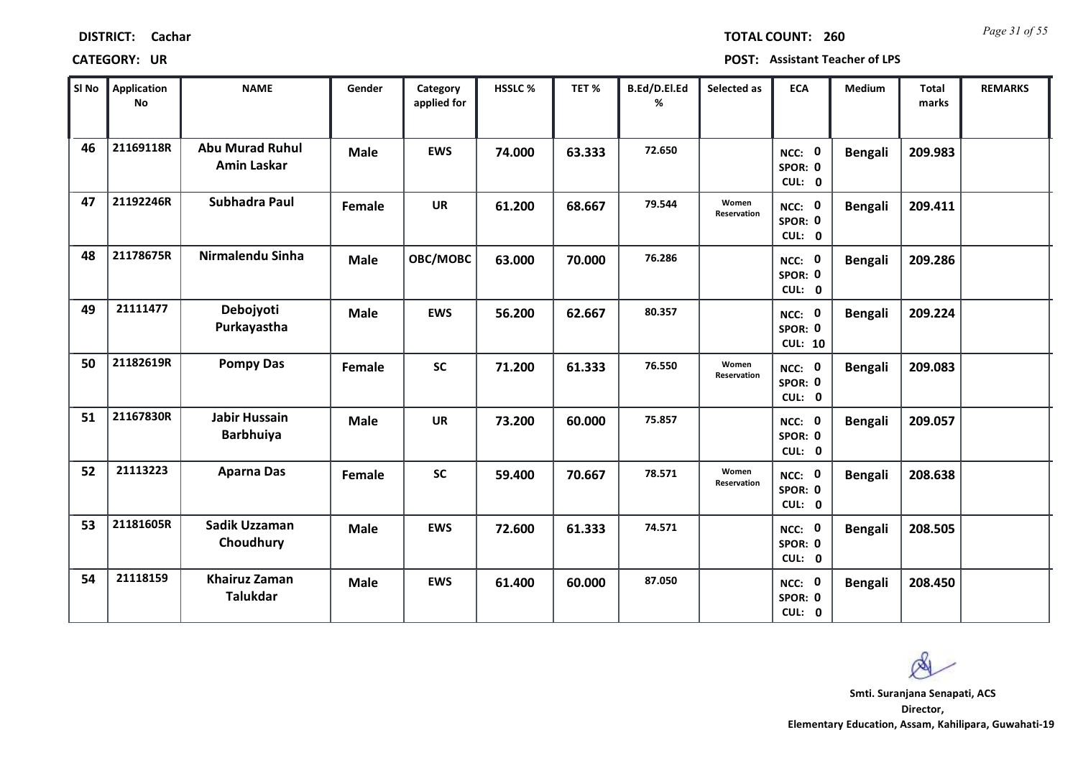| <b>DISTRICT:</b> | Cachar |
|------------------|--------|
|------------------|--------|

*Page 31 of 55* **TOTAL COUNT: 260**

| SI No | Application<br>No | <b>NAME</b>                                  | Gender      | Category<br>applied for | <b>HSSLC%</b> | TET %  | B.Ed/D.El.Ed<br>% | Selected as          | <b>ECA</b>                          | <b>Medium</b>  | <b>Total</b><br>marks | <b>REMARKS</b> |
|-------|-------------------|----------------------------------------------|-------------|-------------------------|---------------|--------|-------------------|----------------------|-------------------------------------|----------------|-----------------------|----------------|
| 46    | 21169118R         | <b>Abu Murad Ruhul</b><br><b>Amin Laskar</b> | <b>Male</b> | <b>EWS</b>              | 74.000        | 63.333 | 72.650            |                      | NCC: 0<br>SPOR: 0<br>CUL: 0         | <b>Bengali</b> | 209.983               |                |
| 47    | 21192246R         | Subhadra Paul                                | Female      | <b>UR</b>               | 61.200        | 68.667 | 79.544            | Women<br>Reservation | NCC: 0<br>SPOR: 0<br>CUL: 0         | <b>Bengali</b> | 209.411               |                |
| 48    | 21178675R         | Nirmalendu Sinha                             | <b>Male</b> | OBC/MOBC                | 63.000        | 70.000 | 76.286            |                      | NCC: 0<br>SPOR: 0<br>CUL: 0         | <b>Bengali</b> | 209.286               |                |
| 49    | 21111477          | Debojyoti<br>Purkayastha                     | <b>Male</b> | <b>EWS</b>              | 56.200        | 62.667 | 80.357            |                      | NCC: 0<br>SPOR: 0<br><b>CUL: 10</b> | <b>Bengali</b> | 209.224               |                |
| 50    | 21182619R         | <b>Pompy Das</b>                             | Female      | <b>SC</b>               | 71.200        | 61.333 | 76.550            | Women<br>Reservation | NCC: 0<br>SPOR: 0<br>CUL: 0         | <b>Bengali</b> | 209.083               |                |
| 51    | 21167830R         | <b>Jabir Hussain</b><br><b>Barbhuiya</b>     | <b>Male</b> | <b>UR</b>               | 73.200        | 60.000 | 75.857            |                      | NCC: 0<br>SPOR: 0<br>CUL: 0         | <b>Bengali</b> | 209.057               |                |
| 52    | 21113223          | <b>Aparna Das</b>                            | Female      | <b>SC</b>               | 59.400        | 70.667 | 78.571            | Women<br>Reservation | NCC: 0<br>SPOR: 0<br>CUL: 0         | <b>Bengali</b> | 208.638               |                |
| 53    | 21181605R         | Sadik Uzzaman<br>Choudhury                   | <b>Male</b> | <b>EWS</b>              | 72.600        | 61.333 | 74.571            |                      | NCC: 0<br>SPOR: 0<br>CUL: 0         | <b>Bengali</b> | 208.505               |                |
| 54    | 21118159          | <b>Khairuz Zaman</b><br><b>Talukdar</b>      | <b>Male</b> | <b>EWS</b>              | 61.400        | 60.000 | 87.050            |                      | NCC: 0<br>SPOR: 0<br>CUL: 0         | <b>Bengali</b> | 208.450               |                |

 $\infty$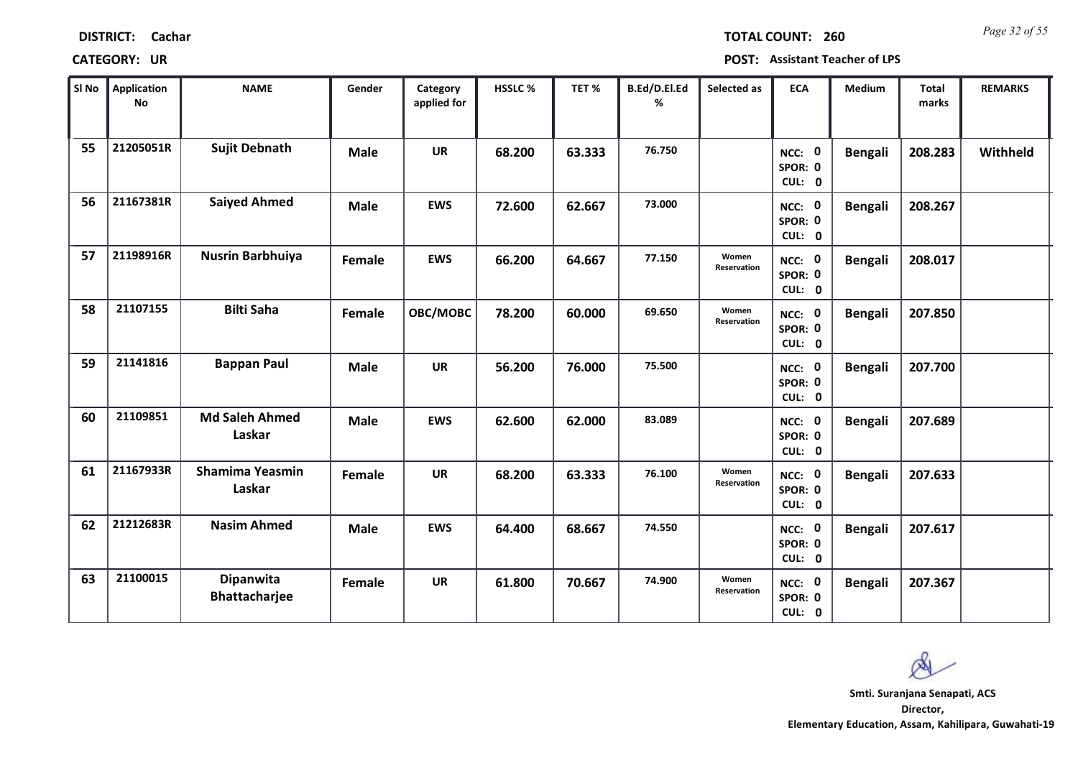| <b>DISTRICT:</b><br>Cachar |
|----------------------------|
|----------------------------|

*Page 32 of 55* **TOTAL COUNT: 260**

**CATEGORY: UR POST: Assistant Teacher of LPS**

| SI <sub>No</sub> | <b>Application</b><br><b>No</b> | <b>NAME</b>                       | Gender      | Category<br>applied for | HSSLC % | TET %  | B.Ed/D.El.Ed<br>% | Selected as          | <b>ECA</b>                  | <b>Medium</b>  | Total<br>marks | <b>REMARKS</b> |
|------------------|---------------------------------|-----------------------------------|-------------|-------------------------|---------|--------|-------------------|----------------------|-----------------------------|----------------|----------------|----------------|
| 55               | 21205051R                       | <b>Sujit Debnath</b>              | <b>Male</b> | <b>UR</b>               | 68.200  | 63.333 | 76.750            |                      | NCC: 0<br>SPOR: 0<br>CUL: 0 | <b>Bengali</b> | 208.283        | Withheld       |
| 56               | 21167381R                       | <b>Saiyed Ahmed</b>               | <b>Male</b> | <b>EWS</b>              | 72.600  | 62.667 | 73.000            |                      | NCC: 0<br>SPOR: 0<br>CUL: 0 | <b>Bengali</b> | 208.267        |                |
| 57               | 21198916R                       | <b>Nusrin Barbhuiya</b>           | Female      | <b>EWS</b>              | 66.200  | 64.667 | 77.150            | Women<br>Reservation | NCC: 0<br>SPOR: 0<br>CUL: 0 | <b>Bengali</b> | 208.017        |                |
| 58               | 21107155                        | <b>Bilti Saha</b>                 | Female      | OBC/MOBC                | 78.200  | 60.000 | 69.650            | Women<br>Reservation | NCC: 0<br>SPOR: 0<br>CUL: 0 | <b>Bengali</b> | 207.850        |                |
| 59               | 21141816                        | <b>Bappan Paul</b>                | <b>Male</b> | <b>UR</b>               | 56.200  | 76.000 | 75.500            |                      | NCC: 0<br>SPOR: 0<br>CUL: 0 | <b>Bengali</b> | 207.700        |                |
| 60               | 21109851                        | <b>Md Saleh Ahmed</b><br>Laskar   | <b>Male</b> | <b>EWS</b>              | 62.600  | 62.000 | 83.089            |                      | NCC: 0<br>SPOR: 0<br>CUL: 0 | <b>Bengali</b> | 207.689        |                |
| 61               | 21167933R                       | <b>Shamima Yeasmin</b><br>Laskar  | Female      | <b>UR</b>               | 68.200  | 63.333 | 76.100            | Women<br>Reservation | NCC: 0<br>SPOR: 0<br>CUL: 0 | <b>Bengali</b> | 207.633        |                |
| 62               | 21212683R                       | <b>Nasim Ahmed</b>                | Male        | <b>EWS</b>              | 64.400  | 68.667 | 74.550            |                      | NCC: 0<br>SPOR: 0<br>CUL: 0 | <b>Bengali</b> | 207.617        |                |
| 63               | 21100015                        | Dipanwita<br><b>Bhattacharjee</b> | Female      | <b>UR</b>               | 61.800  | 70.667 | 74.900            | Women<br>Reservation | NCC: 0<br>SPOR: 0<br>CUL: 0 | <b>Bengali</b> | 207.367        |                |

**Director, Smti. Suranjana Senapati, ACS**

Ø

**Elementary Education, Assam, Kahilipara, Guwahati-19**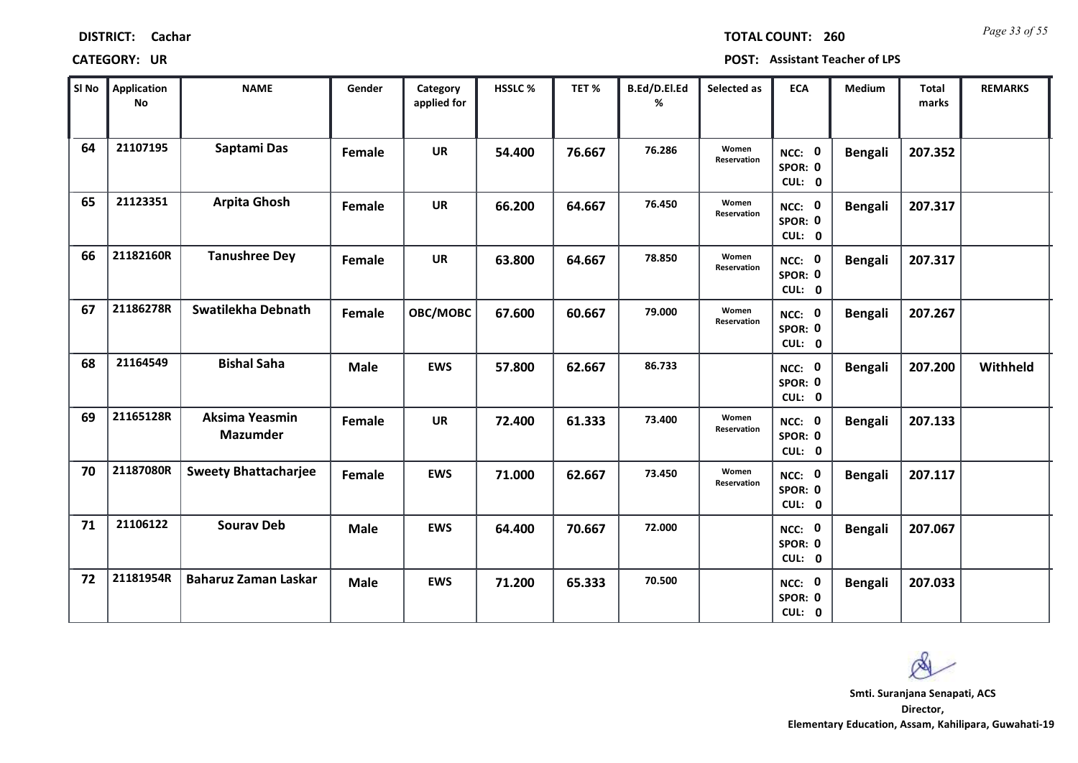| <b>DISTRICT:</b> | Cachar |
|------------------|--------|
|------------------|--------|

*Page 33 of 55* **TOTAL COUNT: 260**

| SI No | <b>Application</b><br>No | <b>NAME</b>                       | Gender      | Category<br>applied for | <b>HSSLC %</b> | TET %  | B.Ed/D.El.Ed<br>% | Selected as          | <b>ECA</b>                  | <b>Medium</b>  | <b>Total</b><br>marks | <b>REMARKS</b> |
|-------|--------------------------|-----------------------------------|-------------|-------------------------|----------------|--------|-------------------|----------------------|-----------------------------|----------------|-----------------------|----------------|
| 64    | 21107195                 | Saptami Das                       | Female      | <b>UR</b>               | 54.400         | 76.667 | 76.286            | Women<br>Reservation | NCC: 0<br>SPOR: 0<br>CUL: 0 | <b>Bengali</b> | 207.352               |                |
| 65    | 21123351                 | <b>Arpita Ghosh</b>               | Female      | <b>UR</b>               | 66.200         | 64.667 | 76.450            | Women<br>Reservation | NCC: 0<br>SPOR: 0<br>CUL: 0 | <b>Bengali</b> | 207.317               |                |
| 66    | 21182160R                | <b>Tanushree Dey</b>              | Female      | <b>UR</b>               | 63.800         | 64.667 | 78.850            | Women<br>Reservation | NCC: 0<br>SPOR: 0<br>CUL: 0 | <b>Bengali</b> | 207.317               |                |
| 67    | 21186278R                | Swatilekha Debnath                | Female      | <b>OBC/MOBC</b>         | 67.600         | 60.667 | 79.000            | Women<br>Reservation | NCC: 0<br>SPOR: 0<br>CUL: 0 | <b>Bengali</b> | 207.267               |                |
| 68    | 21164549                 | <b>Bishal Saha</b>                | <b>Male</b> | <b>EWS</b>              | 57.800         | 62.667 | 86.733            |                      | NCC: 0<br>SPOR: 0<br>CUL: 0 | <b>Bengali</b> | 207.200               | Withheld       |
| 69    | 21165128R                | Aksima Yeasmin<br><b>Mazumder</b> | Female      | <b>UR</b>               | 72.400         | 61.333 | 73.400            | Women<br>Reservation | NCC: 0<br>SPOR: 0<br>CUL: 0 | <b>Bengali</b> | 207.133               |                |
| 70    | 21187080R                | <b>Sweety Bhattacharjee</b>       | Female      | <b>EWS</b>              | 71.000         | 62.667 | 73.450            | Women<br>Reservation | NCC: 0<br>SPOR: 0<br>CUL: 0 | <b>Bengali</b> | 207.117               |                |
| 71    | 21106122                 | <b>Sourav Deb</b>                 | <b>Male</b> | <b>EWS</b>              | 64.400         | 70.667 | 72.000            |                      | NCC: 0<br>SPOR: 0<br>CUL: 0 | <b>Bengali</b> | 207.067               |                |
| 72    | 21181954R                | <b>Baharuz Zaman Laskar</b>       | <b>Male</b> | <b>EWS</b>              | 71.200         | 65.333 | 70.500            |                      | NCC: 0<br>SPOR: 0<br>CUL: 0 | <b>Bengali</b> | 207.033               |                |

 $\infty$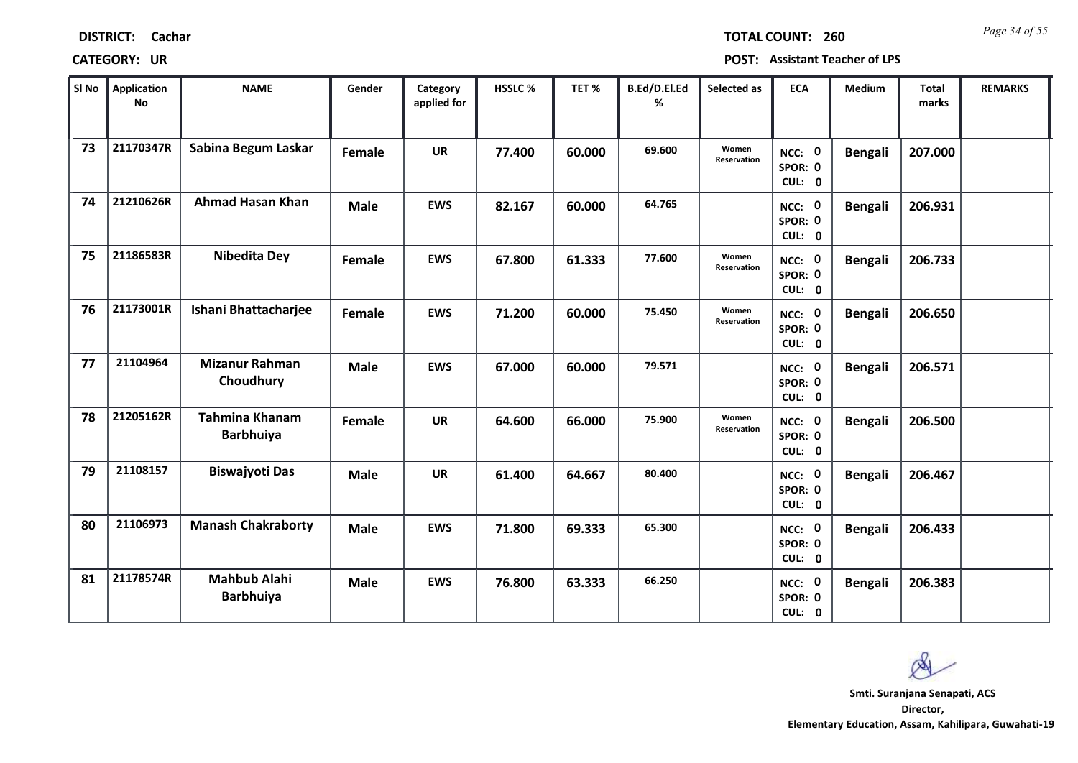| <b>DISTRICT:</b> | Cachar |
|------------------|--------|
|------------------|--------|

*Page 34 of 55* **TOTAL COUNT: 260**

| SI No | <b>Application</b><br>No | <b>NAME</b>                               | Gender      | Category<br>applied for | HSSLC% | TET %  | B.Ed/D.El.Ed<br>% | Selected as          | <b>ECA</b>                  | <b>Medium</b>  | <b>Total</b><br>marks | <b>REMARKS</b> |
|-------|--------------------------|-------------------------------------------|-------------|-------------------------|--------|--------|-------------------|----------------------|-----------------------------|----------------|-----------------------|----------------|
| 73    | 21170347R                | Sabina Begum Laskar                       | Female      | <b>UR</b>               | 77.400 | 60.000 | 69.600            | Women<br>Reservation | NCC: 0<br>SPOR: 0<br>CUL: 0 | <b>Bengali</b> | 207.000               |                |
| 74    | 21210626R                | <b>Ahmad Hasan Khan</b>                   | <b>Male</b> | <b>EWS</b>              | 82.167 | 60.000 | 64.765            |                      | NCC: 0<br>SPOR: 0<br>CUL: 0 | <b>Bengali</b> | 206.931               |                |
| 75    | 21186583R                | <b>Nibedita Dey</b>                       | Female      | <b>EWS</b>              | 67.800 | 61.333 | 77.600            | Women<br>Reservation | NCC: 0<br>SPOR: 0<br>CUL: 0 | <b>Bengali</b> | 206.733               |                |
| 76    | 21173001R                | Ishani Bhattacharjee                      | Female      | <b>EWS</b>              | 71.200 | 60.000 | 75.450            | Women<br>Reservation | NCC: 0<br>SPOR: 0<br>CUL: 0 | <b>Bengali</b> | 206.650               |                |
| 77    | 21104964                 | <b>Mizanur Rahman</b><br>Choudhury        | <b>Male</b> | <b>EWS</b>              | 67.000 | 60.000 | 79.571            |                      | NCC: 0<br>SPOR: 0<br>CUL: 0 | <b>Bengali</b> | 206.571               |                |
| 78    | 21205162R                | <b>Tahmina Khanam</b><br><b>Barbhuiya</b> | Female      | <b>UR</b>               | 64.600 | 66.000 | 75.900            | Women<br>Reservation | NCC: 0<br>SPOR: 0<br>CUL: 0 | <b>Bengali</b> | 206.500               |                |
| 79    | 21108157                 | Biswajyoti Das                            | <b>Male</b> | <b>UR</b>               | 61.400 | 64.667 | 80.400            |                      | NCC: 0<br>SPOR: 0<br>CUL: 0 | <b>Bengali</b> | 206.467               |                |
| 80    | 21106973                 | <b>Manash Chakraborty</b>                 | <b>Male</b> | <b>EWS</b>              | 71.800 | 69.333 | 65.300            |                      | NCC: 0<br>SPOR: 0<br>CUL: 0 | <b>Bengali</b> | 206.433               |                |
| 81    | 21178574R                | <b>Mahbub Alahi</b><br><b>Barbhuiya</b>   | <b>Male</b> | <b>EWS</b>              | 76.800 | 63.333 | 66.250            |                      | NCC: 0<br>SPOR: 0<br>CUL: 0 | <b>Bengali</b> | 206.383               |                |

 $\infty$ **Smti. Suranjana Senapati, ACS**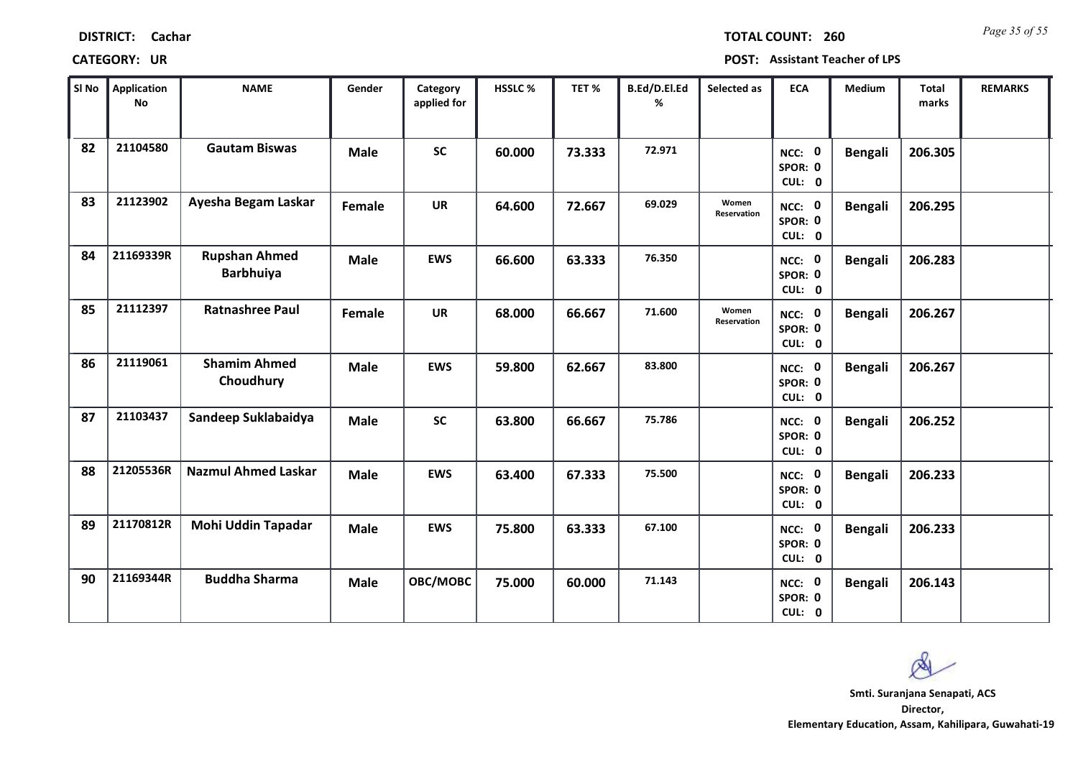| SI No | <b>Application</b><br><b>No</b> | <b>NAME</b>                              | Gender        | Category<br>applied for | HSSLC% | TET%   | B.Ed/D.El.Ed<br>% | Selected as          | <b>ECA</b>                  | Medium         | <b>Total</b><br>marks | <b>REMARKS</b> |
|-------|---------------------------------|------------------------------------------|---------------|-------------------------|--------|--------|-------------------|----------------------|-----------------------------|----------------|-----------------------|----------------|
| 82    | 21104580                        | <b>Gautam Biswas</b>                     | <b>Male</b>   | <b>SC</b>               | 60.000 | 73.333 | 72.971            |                      | NCC: 0<br>SPOR: 0<br>CUL: 0 | <b>Bengali</b> | 206.305               |                |
| 83    | 21123902                        | Ayesha Begam Laskar                      | <b>Female</b> | <b>UR</b>               | 64.600 | 72.667 | 69.029            | Women<br>Reservation | NCC: 0<br>SPOR: 0<br>CUL: 0 | <b>Bengali</b> | 206.295               |                |
| 84    | 21169339R                       | <b>Rupshan Ahmed</b><br><b>Barbhuiya</b> | <b>Male</b>   | <b>EWS</b>              | 66.600 | 63.333 | 76.350            |                      | NCC: 0<br>SPOR: 0<br>CUL: 0 | <b>Bengali</b> | 206.283               |                |
| 85    | 21112397                        | <b>Ratnashree Paul</b>                   | <b>Female</b> | <b>UR</b>               | 68.000 | 66.667 | 71.600            | Women<br>Reservation | NCC: 0<br>SPOR: 0<br>CUL: 0 | <b>Bengali</b> | 206.267               |                |
| 86    | 21119061                        | <b>Shamim Ahmed</b><br>Choudhury         | <b>Male</b>   | <b>EWS</b>              | 59.800 | 62.667 | 83.800            |                      | NCC: 0<br>SPOR: 0<br>CUL: 0 | <b>Bengali</b> | 206.267               |                |
| 87    | 21103437                        | Sandeep Suklabaidya                      | <b>Male</b>   | <b>SC</b>               | 63.800 | 66.667 | 75.786            |                      | NCC: 0<br>SPOR: 0<br>CUL: 0 | <b>Bengali</b> | 206.252               |                |
| 88    | 21205536R                       | <b>Nazmul Ahmed Laskar</b>               | <b>Male</b>   | <b>EWS</b>              | 63.400 | 67.333 | 75.500            |                      | NCC: 0<br>SPOR: 0<br>CUL: 0 | <b>Bengali</b> | 206.233               |                |
| 89    | 21170812R                       | Mohi Uddin Tapadar                       | <b>Male</b>   | <b>EWS</b>              | 75.800 | 63.333 | 67.100            |                      | NCC: 0<br>SPOR: 0<br>CUL: 0 | <b>Bengali</b> | 206.233               |                |
| 90    | 21169344R                       | <b>Buddha Sharma</b>                     | <b>Male</b>   | OBC/MOBC                | 75.000 | 60.000 | 71.143            |                      | NCC: 0<br>SPOR: 0<br>CUL: 0 | <b>Bengali</b> | 206.143               |                |

### **CATEGORY: UR POST: Assistant Teacher of LPS**

**Director, Elementary Education, Assam, Kahilipara, Guwahati-19 Smti. Suranjana Senapati, ACS**

Ø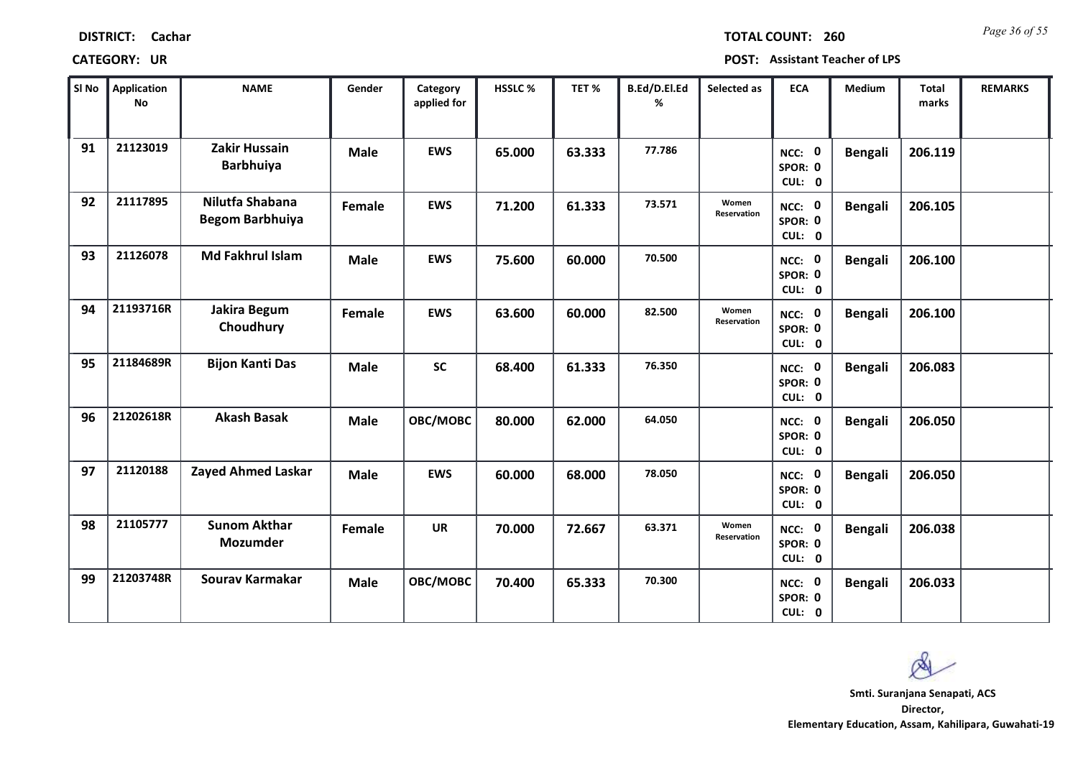| <b>DISTRICT:</b> | Cachar |
|------------------|--------|
|------------------|--------|

*Page 36 of 55* **TOTAL COUNT: 260**

| SI No | <b>Application</b><br>No | <b>NAME</b>                               | Gender      | Category<br>applied for | HSSLC % | TET %  | B.Ed/D.El.Ed<br>% | Selected as          | <b>ECA</b>                  | <b>Medium</b>  | <b>Total</b><br>marks | <b>REMARKS</b> |
|-------|--------------------------|-------------------------------------------|-------------|-------------------------|---------|--------|-------------------|----------------------|-----------------------------|----------------|-----------------------|----------------|
| 91    | 21123019                 | Zakir Hussain<br><b>Barbhuiya</b>         | <b>Male</b> | <b>EWS</b>              | 65.000  | 63.333 | 77.786            |                      | NCC: 0<br>SPOR: 0<br>CUL: 0 | <b>Bengali</b> | 206.119               |                |
| 92    | 21117895                 | Nilutfa Shabana<br><b>Begom Barbhuiya</b> | Female      | <b>EWS</b>              | 71.200  | 61.333 | 73.571            | Women<br>Reservation | NCC: 0<br>SPOR: 0<br>CUL: 0 | <b>Bengali</b> | 206.105               |                |
| 93    | 21126078                 | Md Fakhrul Islam                          | <b>Male</b> | <b>EWS</b>              | 75.600  | 60.000 | 70.500            |                      | NCC: 0<br>SPOR: 0<br>CUL: 0 | <b>Bengali</b> | 206.100               |                |
| 94    | 21193716R                | Jakira Begum<br>Choudhury                 | Female      | <b>EWS</b>              | 63.600  | 60.000 | 82.500            | Women<br>Reservation | NCC: 0<br>SPOR: 0<br>CUL: 0 | <b>Bengali</b> | 206.100               |                |
| 95    | 21184689R                | <b>Bijon Kanti Das</b>                    | <b>Male</b> | <b>SC</b>               | 68.400  | 61.333 | 76.350            |                      | NCC: 0<br>SPOR: 0<br>CUL: 0 | <b>Bengali</b> | 206.083               |                |
| 96    | 21202618R                | <b>Akash Basak</b>                        | <b>Male</b> | OBC/MOBC                | 80.000  | 62.000 | 64.050            |                      | NCC: 0<br>SPOR: 0<br>CUL: 0 | <b>Bengali</b> | 206.050               |                |
| 97    | 21120188                 | Zayed Ahmed Laskar                        | <b>Male</b> | <b>EWS</b>              | 60.000  | 68.000 | 78.050            |                      | NCC: 0<br>SPOR: 0<br>CUL: 0 | <b>Bengali</b> | 206.050               |                |
| 98    | 21105777                 | <b>Sunom Akthar</b><br>Mozumder           | Female      | <b>UR</b>               | 70.000  | 72.667 | 63.371            | Women<br>Reservation | NCC: 0<br>SPOR: 0<br>CUL: 0 | <b>Bengali</b> | 206.038               |                |
| 99    | 21203748R                | Sourav Karmakar                           | <b>Male</b> | OBC/MOBC                | 70.400  | 65.333 | 70.300            |                      | NCC: 0<br>SPOR: 0<br>CUL: 0 | <b>Bengali</b> | 206.033               |                |

 $\infty$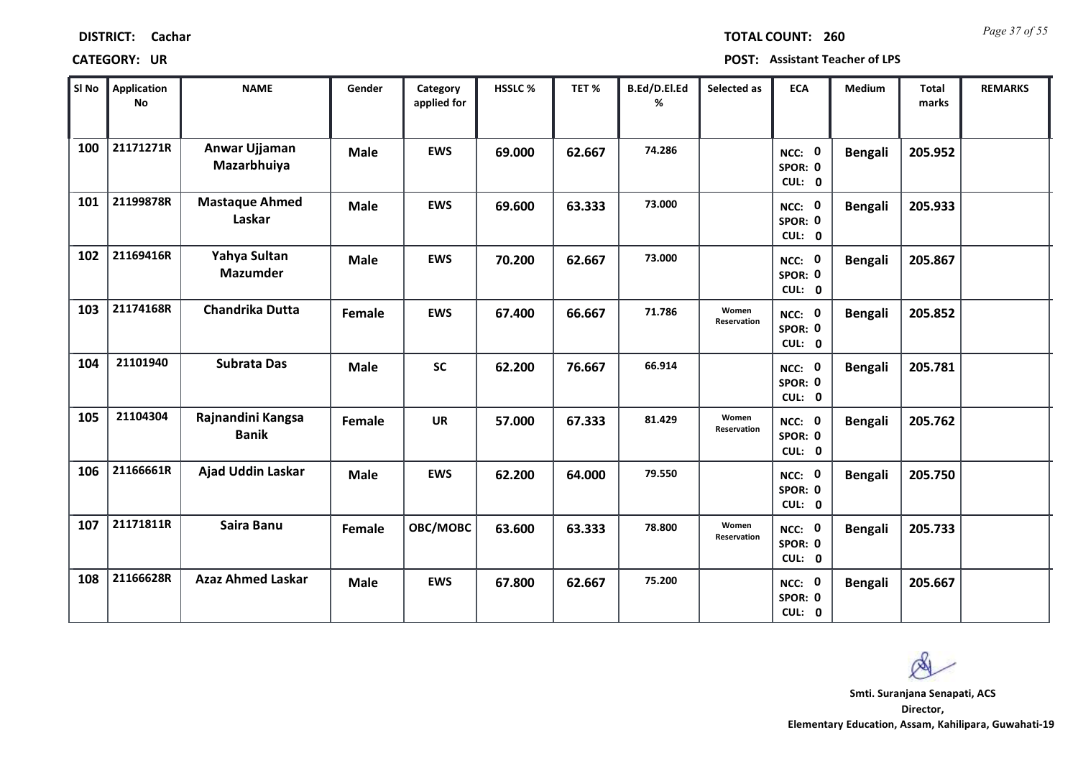| <b>DISTRICT:</b> | Cachar |
|------------------|--------|
|------------------|--------|

*Page 37 of 55* **TOTAL COUNT: 260**

| SI No | <b>Application</b><br>No | <b>NAME</b>                       | Gender      | Category<br>applied for | HSSLC % | TET%   | B.Ed/D.El.Ed<br>% | Selected as          | <b>ECA</b>                  | <b>Medium</b>  | <b>Total</b><br>marks | <b>REMARKS</b> |
|-------|--------------------------|-----------------------------------|-------------|-------------------------|---------|--------|-------------------|----------------------|-----------------------------|----------------|-----------------------|----------------|
| 100   | 21171271R                | Anwar Ujjaman<br>Mazarbhuiya      | <b>Male</b> | <b>EWS</b>              | 69.000  | 62.667 | 74.286            |                      | NCC: 0<br>SPOR: 0<br>CUL: 0 | <b>Bengali</b> | 205.952               |                |
| 101   | 21199878R                | <b>Mastaque Ahmed</b><br>Laskar   | <b>Male</b> | <b>EWS</b>              | 69.600  | 63.333 | 73.000            |                      | NCC: 0<br>SPOR: 0<br>CUL: 0 | <b>Bengali</b> | 205.933               |                |
| 102   | 21169416R                | Yahya Sultan<br><b>Mazumder</b>   | <b>Male</b> | <b>EWS</b>              | 70.200  | 62.667 | 73.000            |                      | NCC: 0<br>SPOR: 0<br>CUL: 0 | <b>Bengali</b> | 205.867               |                |
| 103   | 21174168R                | Chandrika Dutta                   | Female      | <b>EWS</b>              | 67.400  | 66.667 | 71.786            | Women<br>Reservation | NCC: 0<br>SPOR: 0<br>CUL: 0 | <b>Bengali</b> | 205.852               |                |
| 104   | 21101940                 | <b>Subrata Das</b>                | <b>Male</b> | <b>SC</b>               | 62.200  | 76.667 | 66.914            |                      | NCC: 0<br>SPOR: 0<br>CUL: 0 | <b>Bengali</b> | 205.781               |                |
| 105   | 21104304                 | Rajnandini Kangsa<br><b>Banik</b> | Female      | <b>UR</b>               | 57.000  | 67.333 | 81.429            | Women<br>Reservation | NCC: 0<br>SPOR: 0<br>CUL: 0 | <b>Bengali</b> | 205.762               |                |
| 106   | 21166661R                | Ajad Uddin Laskar                 | <b>Male</b> | <b>EWS</b>              | 62.200  | 64.000 | 79.550            |                      | NCC: 0<br>SPOR: 0<br>CUL: 0 | <b>Bengali</b> | 205.750               |                |
| 107   | 21171811R                | Saira Banu                        | Female      | OBC/MOBC                | 63.600  | 63.333 | 78.800            | Women<br>Reservation | NCC: 0<br>SPOR: 0<br>CUL: 0 | <b>Bengali</b> | 205.733               |                |
| 108   | 21166628R                | <b>Azaz Ahmed Laskar</b>          | <b>Male</b> | <b>EWS</b>              | 67.800  | 62.667 | 75.200            |                      | NCC: 0<br>SPOR: 0<br>CUL: 0 | <b>Bengali</b> | 205.667               |                |

 $\infty$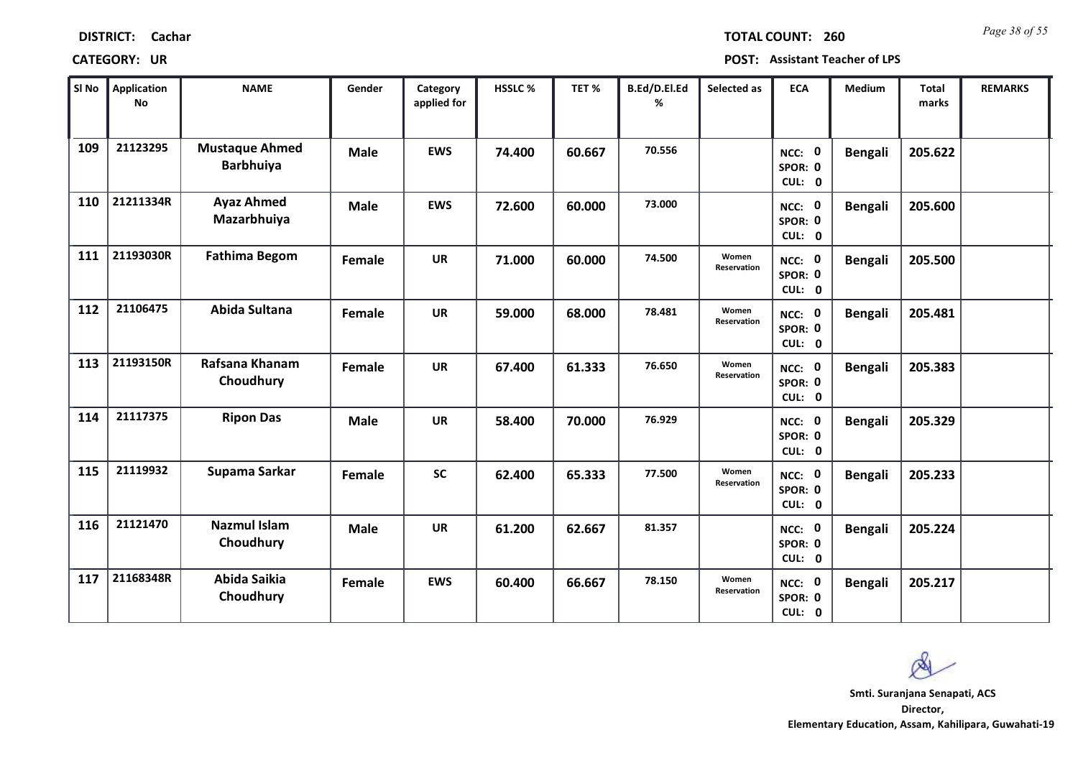| <b>DISTRICT:</b> | Cachar |
|------------------|--------|
|------------------|--------|

*Page 38 of 55* **TOTAL COUNT: 260**

| SI No | <b>Application</b><br>No | <b>NAME</b>                               | Gender      | Category<br>applied for | HSSLC % | TET %  | B.Ed/D.El.Ed<br>% | Selected as          | <b>ECA</b>                  | <b>Medium</b>  | <b>Total</b><br>marks | <b>REMARKS</b> |
|-------|--------------------------|-------------------------------------------|-------------|-------------------------|---------|--------|-------------------|----------------------|-----------------------------|----------------|-----------------------|----------------|
| 109   | 21123295                 | <b>Mustaque Ahmed</b><br><b>Barbhuiya</b> | <b>Male</b> | <b>EWS</b>              | 74.400  | 60.667 | 70.556            |                      | NCC: 0<br>SPOR: 0<br>CUL: 0 | <b>Bengali</b> | 205.622               |                |
| 110   | 21211334R                | <b>Ayaz Ahmed</b><br>Mazarbhuiya          | <b>Male</b> | <b>EWS</b>              | 72.600  | 60.000 | 73.000            |                      | NCC: 0<br>SPOR: 0<br>CUL: 0 | <b>Bengali</b> | 205.600               |                |
| 111   | 21193030R                | <b>Fathima Begom</b>                      | Female      | <b>UR</b>               | 71.000  | 60.000 | 74.500            | Women<br>Reservation | NCC: 0<br>SPOR: 0<br>CUL: 0 | <b>Bengali</b> | 205.500               |                |
| 112   | 21106475                 | Abida Sultana                             | Female      | <b>UR</b>               | 59.000  | 68.000 | 78.481            | Women<br>Reservation | NCC: 0<br>SPOR: 0<br>CUL: 0 | <b>Bengali</b> | 205.481               |                |
| 113   | 21193150R                | Rafsana Khanam<br>Choudhury               | Female      | <b>UR</b>               | 67.400  | 61.333 | 76.650            | Women<br>Reservation | NCC: 0<br>SPOR: 0<br>CUL: 0 | <b>Bengali</b> | 205.383               |                |
| 114   | 21117375                 | <b>Ripon Das</b>                          | <b>Male</b> | <b>UR</b>               | 58.400  | 70.000 | 76.929            |                      | NCC: 0<br>SPOR: 0<br>CUL: 0 | <b>Bengali</b> | 205.329               |                |
| 115   | 21119932                 | Supama Sarkar                             | Female      | <b>SC</b>               | 62.400  | 65.333 | 77.500            | Women<br>Reservation | NCC: 0<br>SPOR: 0<br>CUL: 0 | <b>Bengali</b> | 205.233               |                |
| 116   | 21121470                 | <b>Nazmul Islam</b><br>Choudhury          | <b>Male</b> | <b>UR</b>               | 61.200  | 62.667 | 81.357            |                      | NCC: 0<br>SPOR: 0<br>CUL: 0 | <b>Bengali</b> | 205.224               |                |
| 117   | 21168348R                | Abida Saikia<br>Choudhury                 | Female      | <b>EWS</b>              | 60.400  | 66.667 | 78.150            | Women<br>Reservation | NCC: 0<br>SPOR: 0<br>CUL: 0 | <b>Bengali</b> | 205.217               |                |

 $\infty$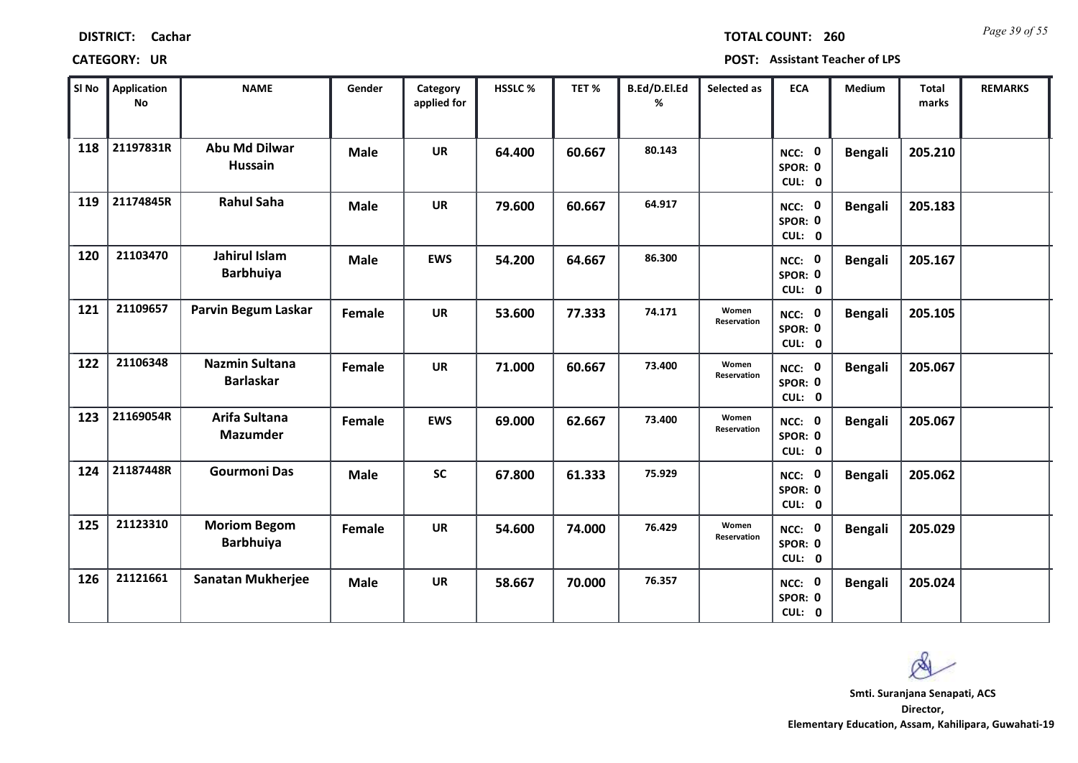| <b>DISTRICT:</b> | Cachar |
|------------------|--------|
|------------------|--------|

*Page 39 of 55* **TOTAL COUNT: 260**

| SI No | Application<br>No | <b>NAME</b>                               | Gender      | Category<br>applied for | <b>HSSLC%</b> | TET %  | B.Ed/D.El.Ed<br>% | Selected as          | <b>ECA</b>                  | <b>Medium</b>  | <b>Total</b><br>marks | <b>REMARKS</b> |
|-------|-------------------|-------------------------------------------|-------------|-------------------------|---------------|--------|-------------------|----------------------|-----------------------------|----------------|-----------------------|----------------|
| 118   | 21197831R         | <b>Abu Md Dilwar</b><br><b>Hussain</b>    | <b>Male</b> | <b>UR</b>               | 64.400        | 60.667 | 80.143            |                      | NCC: 0<br>SPOR: 0<br>CUL: 0 | <b>Bengali</b> | 205.210               |                |
| 119   | 21174845R         | <b>Rahul Saha</b>                         | <b>Male</b> | <b>UR</b>               | 79.600        | 60.667 | 64.917            |                      | NCC: 0<br>SPOR: 0<br>CUL: 0 | <b>Bengali</b> | 205.183               |                |
| 120   | 21103470          | Jahirul Islam<br><b>Barbhuiya</b>         | <b>Male</b> | <b>EWS</b>              | 54.200        | 64.667 | 86.300            |                      | NCC: 0<br>SPOR: 0<br>CUL: 0 | <b>Bengali</b> | 205.167               |                |
| 121   | 21109657          | Parvin Begum Laskar                       | Female      | <b>UR</b>               | 53.600        | 77.333 | 74.171            | Women<br>Reservation | NCC: 0<br>SPOR: 0<br>CUL: 0 | <b>Bengali</b> | 205.105               |                |
| 122   | 21106348          | <b>Nazmin Sultana</b><br><b>Barlaskar</b> | Female      | <b>UR</b>               | 71.000        | 60.667 | 73.400            | Women<br>Reservation | NCC: 0<br>SPOR: 0<br>CUL: 0 | <b>Bengali</b> | 205.067               |                |
| 123   | 21169054R         | Arifa Sultana<br><b>Mazumder</b>          | Female      | <b>EWS</b>              | 69.000        | 62.667 | 73.400            | Women<br>Reservation | NCC: 0<br>SPOR: 0<br>CUL: 0 | <b>Bengali</b> | 205.067               |                |
| 124   | 21187448R         | <b>Gourmoni Das</b>                       | <b>Male</b> | <b>SC</b>               | 67.800        | 61.333 | 75.929            |                      | NCC: 0<br>SPOR: 0<br>CUL: 0 | <b>Bengali</b> | 205.062               |                |
| 125   | 21123310          | <b>Moriom Begom</b><br><b>Barbhuiya</b>   | Female      | <b>UR</b>               | 54.600        | 74.000 | 76.429            | Women<br>Reservation | NCC: 0<br>SPOR: 0<br>CUL: 0 | <b>Bengali</b> | 205.029               |                |
| 126   | 21121661          | <b>Sanatan Mukherjee</b>                  | <b>Male</b> | <b>UR</b>               | 58.667        | 70.000 | 76.357            |                      | NCC: 0<br>SPOR: 0<br>CUL: 0 | <b>Bengali</b> | 205.024               |                |

 $\infty$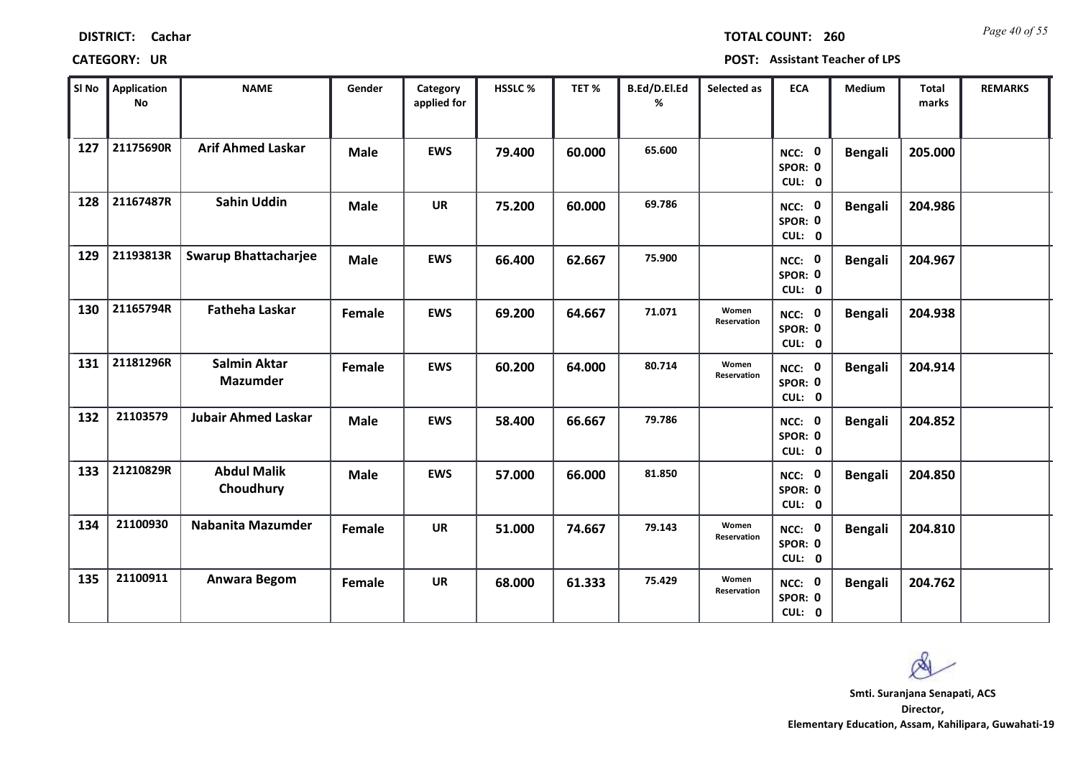| <b>DISTRICT:</b> | Cachar |
|------------------|--------|
|------------------|--------|

*Page 40 of 55* **TOTAL COUNT: 260**

| SI No | <b>Application</b><br>No | <b>NAME</b>                            | Gender      | Category<br>applied for | <b>HSSLC %</b> | TET%   | B.Ed/D.El.Ed<br>% | Selected as          | <b>ECA</b>                  | Medium         | <b>Total</b><br>marks | <b>REMARKS</b> |
|-------|--------------------------|----------------------------------------|-------------|-------------------------|----------------|--------|-------------------|----------------------|-----------------------------|----------------|-----------------------|----------------|
| 127   | 21175690R                | <b>Arif Ahmed Laskar</b>               | <b>Male</b> | <b>EWS</b>              | 79.400         | 60.000 | 65.600            |                      | NCC: 0<br>SPOR: 0<br>CUL: 0 | <b>Bengali</b> | 205.000               |                |
| 128   | 21167487R                | <b>Sahin Uddin</b>                     | <b>Male</b> | <b>UR</b>               | 75.200         | 60.000 | 69.786            |                      | NCC: 0<br>SPOR: 0<br>CUL: 0 | <b>Bengali</b> | 204.986               |                |
| 129   | 21193813R                | <b>Swarup Bhattacharjee</b>            | <b>Male</b> | <b>EWS</b>              | 66.400         | 62.667 | 75.900            |                      | NCC: 0<br>SPOR: 0<br>CUL: 0 | <b>Bengali</b> | 204.967               |                |
| 130   | 21165794R                | <b>Fatheha Laskar</b>                  | Female      | <b>EWS</b>              | 69.200         | 64.667 | 71.071            | Women<br>Reservation | NCC: 0<br>SPOR: 0<br>CUL: 0 | <b>Bengali</b> | 204.938               |                |
| 131   | 21181296R                | <b>Salmin Aktar</b><br><b>Mazumder</b> | Female      | <b>EWS</b>              | 60.200         | 64.000 | 80.714            | Women<br>Reservation | NCC: 0<br>SPOR: 0<br>CUL: 0 | <b>Bengali</b> | 204.914               |                |
| 132   | 21103579                 | <b>Jubair Ahmed Laskar</b>             | <b>Male</b> | <b>EWS</b>              | 58.400         | 66.667 | 79.786            |                      | NCC: 0<br>SPOR: 0<br>CUL: 0 | <b>Bengali</b> | 204.852               |                |
| 133   | 21210829R                | <b>Abdul Malik</b><br>Choudhury        | <b>Male</b> | <b>EWS</b>              | 57.000         | 66.000 | 81.850            |                      | NCC: 0<br>SPOR: 0<br>CUL: 0 | <b>Bengali</b> | 204.850               |                |
| 134   | 21100930                 | <b>Nabanita Mazumder</b>               | Female      | <b>UR</b>               | 51.000         | 74.667 | 79.143            | Women<br>Reservation | NCC: 0<br>SPOR: 0<br>CUL: 0 | <b>Bengali</b> | 204.810               |                |
| 135   | 21100911                 | <b>Anwara Begom</b>                    | Female      | <b>UR</b>               | 68.000         | 61.333 | 75.429            | Women<br>Reservation | NCC: 0<br>SPOR: 0<br>CUL: 0 | <b>Bengali</b> | 204.762               |                |

 $\infty$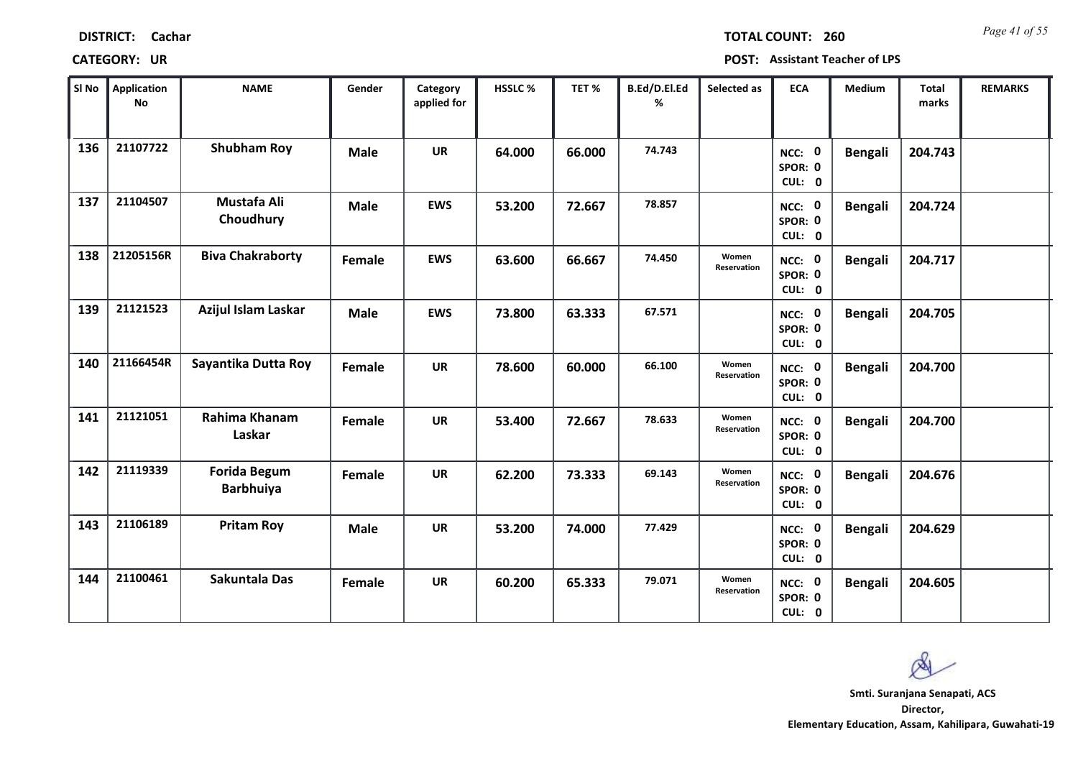| <b>DISTRICT:</b> | Cachar |
|------------------|--------|
|------------------|--------|

*Page 41 of 55* **TOTAL COUNT: 260**

| SI No | Application<br>No | <b>NAME</b>                             | Gender        | Category<br>applied for | <b>HSSLC%</b> | TET %  | B.Ed/D.El.Ed<br>% | Selected as          | <b>ECA</b>                  | <b>Medium</b>  | <b>Total</b><br>marks | <b>REMARKS</b> |
|-------|-------------------|-----------------------------------------|---------------|-------------------------|---------------|--------|-------------------|----------------------|-----------------------------|----------------|-----------------------|----------------|
| 136   | 21107722          | <b>Shubham Roy</b>                      | <b>Male</b>   | <b>UR</b>               | 64.000        | 66.000 | 74.743            |                      | NCC: 0<br>SPOR: 0<br>CUL: 0 | <b>Bengali</b> | 204.743               |                |
| 137   | 21104507          | Mustafa Ali<br>Choudhury                | <b>Male</b>   | <b>EWS</b>              | 53.200        | 72.667 | 78.857            |                      | NCC: 0<br>SPOR: 0<br>CUL: 0 | <b>Bengali</b> | 204.724               |                |
| 138   | 21205156R         | <b>Biva Chakraborty</b>                 | Female        | <b>EWS</b>              | 63.600        | 66.667 | 74.450            | Women<br>Reservation | NCC: 0<br>SPOR: 0<br>CUL: 0 | <b>Bengali</b> | 204.717               |                |
| 139   | 21121523          | Azijul Islam Laskar                     | <b>Male</b>   | <b>EWS</b>              | 73.800        | 63.333 | 67.571            |                      | NCC: 0<br>SPOR: 0<br>CUL: 0 | <b>Bengali</b> | 204.705               |                |
| 140   | 21166454R         | Sayantika Dutta Roy                     | Female        | <b>UR</b>               | 78.600        | 60.000 | 66.100            | Women<br>Reservation | NCC: 0<br>SPOR: 0<br>CUL: 0 | <b>Bengali</b> | 204.700               |                |
| 141   | 21121051          | Rahima Khanam<br>Laskar                 | <b>Female</b> | <b>UR</b>               | 53.400        | 72.667 | 78.633            | Women<br>Reservation | NCC: 0<br>SPOR: 0<br>CUL: 0 | <b>Bengali</b> | 204.700               |                |
| 142   | 21119339          | <b>Forida Begum</b><br><b>Barbhuiya</b> | <b>Female</b> | <b>UR</b>               | 62.200        | 73.333 | 69.143            | Women<br>Reservation | NCC: 0<br>SPOR: 0<br>CUL: 0 | <b>Bengali</b> | 204.676               |                |
| 143   | 21106189          | <b>Pritam Roy</b>                       | <b>Male</b>   | <b>UR</b>               | 53.200        | 74.000 | 77.429            |                      | NCC: 0<br>SPOR: 0<br>CUL: 0 | <b>Bengali</b> | 204.629               |                |
| 144   | 21100461          | <b>Sakuntala Das</b>                    | Female        | <b>UR</b>               | 60.200        | 65.333 | 79.071            | Women<br>Reservation | NCC: 0<br>SPOR: 0<br>CUL: 0 | <b>Bengali</b> | 204.605               |                |

 $\infty$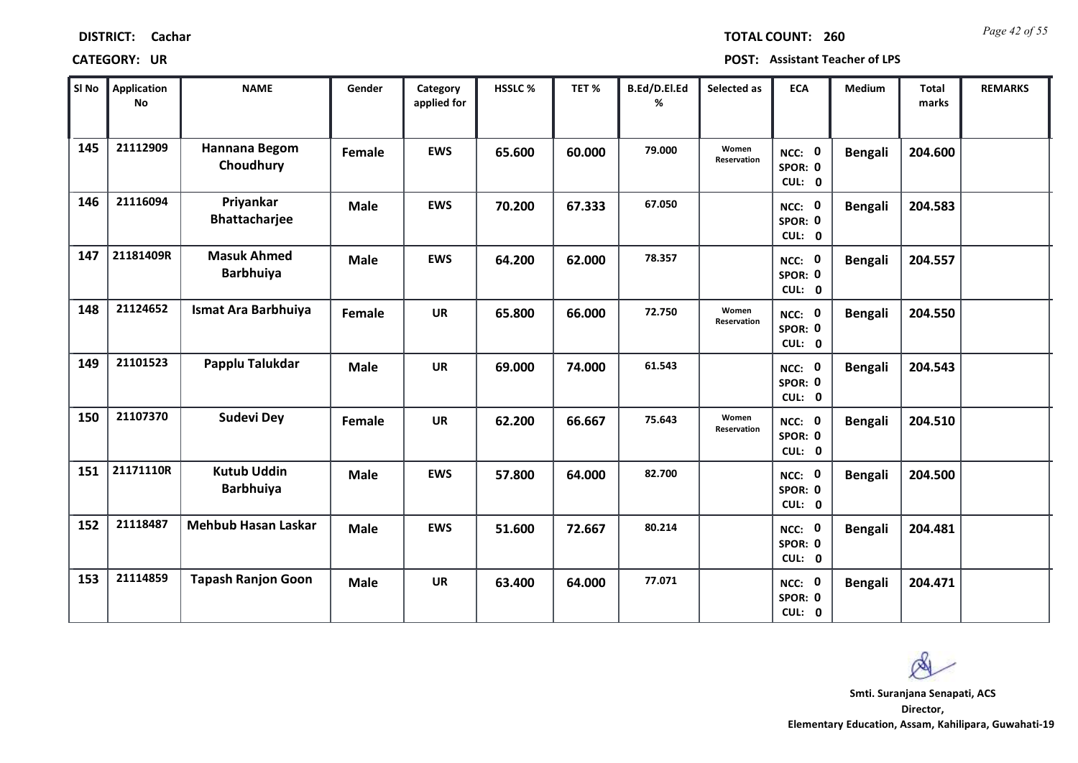| <b>DISTRICT:</b> | Cachar |
|------------------|--------|
|------------------|--------|

*Page 42 of 55* **TOTAL COUNT: 260**

| SI No | <b>Application</b><br>No | <b>NAME</b>                            | Gender      | Category<br>applied for | HSSLC % | TET %  | B.Ed/D.El.Ed<br>% | Selected as          | <b>ECA</b>                  | Medium         | <b>Total</b><br>marks | <b>REMARKS</b> |
|-------|--------------------------|----------------------------------------|-------------|-------------------------|---------|--------|-------------------|----------------------|-----------------------------|----------------|-----------------------|----------------|
| 145   | 21112909                 | Hannana Begom<br>Choudhury             | Female      | <b>EWS</b>              | 65.600  | 60.000 | 79.000            | Women<br>Reservation | NCC: 0<br>SPOR: 0<br>CUL: 0 | <b>Bengali</b> | 204.600               |                |
| 146   | 21116094                 | Priyankar<br><b>Bhattacharjee</b>      | <b>Male</b> | <b>EWS</b>              | 70.200  | 67.333 | 67.050            |                      | NCC: 0<br>SPOR: 0<br>CUL: 0 | <b>Bengali</b> | 204.583               |                |
| 147   | 21181409R                | <b>Masuk Ahmed</b><br><b>Barbhuiya</b> | <b>Male</b> | <b>EWS</b>              | 64.200  | 62.000 | 78.357            |                      | NCC: 0<br>SPOR: 0<br>CUL: 0 | <b>Bengali</b> | 204.557               |                |
| 148   | 21124652                 | Ismat Ara Barbhuiya                    | Female      | <b>UR</b>               | 65.800  | 66.000 | 72.750            | Women<br>Reservation | NCC: 0<br>SPOR: 0<br>CUL: 0 | <b>Bengali</b> | 204.550               |                |
| 149   | 21101523                 | Papplu Talukdar                        | <b>Male</b> | <b>UR</b>               | 69.000  | 74.000 | 61.543            |                      | NCC: 0<br>SPOR: 0<br>CUL: 0 | <b>Bengali</b> | 204.543               |                |
| 150   | 21107370                 | <b>Sudevi Dey</b>                      | Female      | <b>UR</b>               | 62.200  | 66.667 | 75.643            | Women<br>Reservation | NCC: 0<br>SPOR: 0<br>CUL: 0 | <b>Bengali</b> | 204.510               |                |
| 151   | 21171110R                | <b>Kutub Uddin</b><br><b>Barbhuiya</b> | <b>Male</b> | <b>EWS</b>              | 57.800  | 64.000 | 82.700            |                      | NCC: 0<br>SPOR: 0<br>CUL: 0 | <b>Bengali</b> | 204.500               |                |
| 152   | 21118487                 | <b>Mehbub Hasan Laskar</b>             | <b>Male</b> | <b>EWS</b>              | 51.600  | 72.667 | 80.214            |                      | NCC: 0<br>SPOR: 0<br>CUL: 0 | <b>Bengali</b> | 204.481               |                |
| 153   | 21114859                 | <b>Tapash Ranjon Goon</b>              | <b>Male</b> | <b>UR</b>               | 63.400  | 64.000 | 77.071            |                      | NCC: 0<br>SPOR: 0<br>CUL: 0 | <b>Bengali</b> | 204.471               |                |

 $\infty$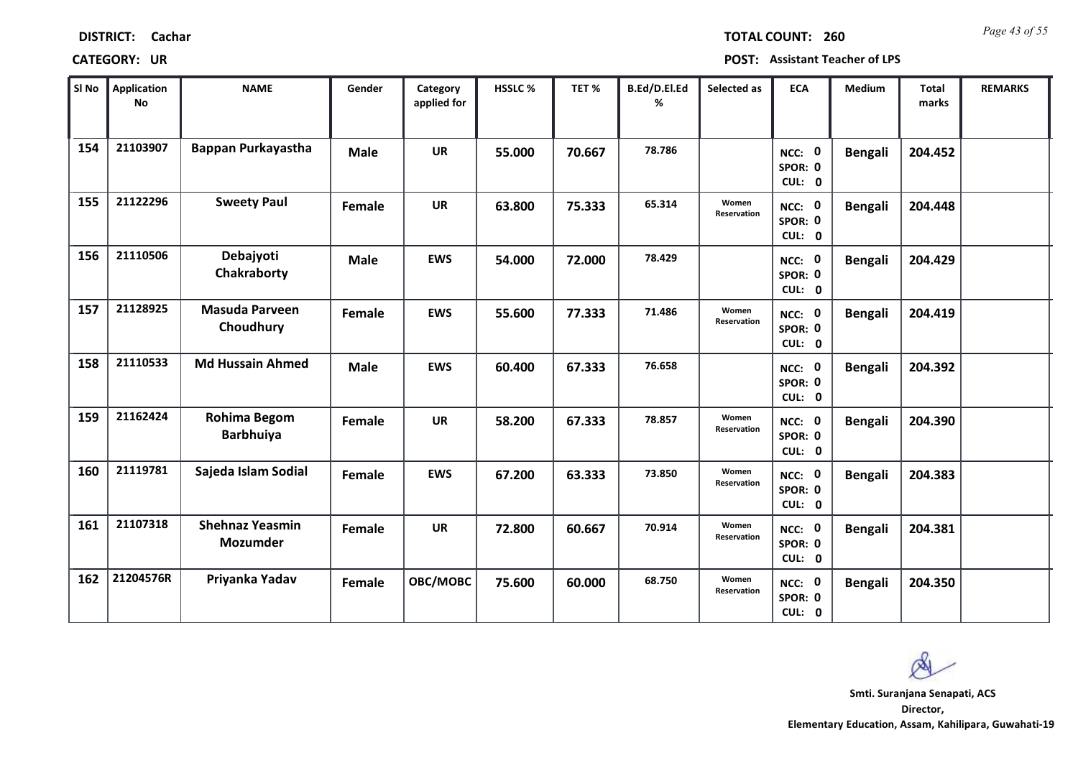| <b>DISTRICT:</b> | Cachar |
|------------------|--------|
|------------------|--------|

*Page 43 of 55* **TOTAL COUNT: 260**

| SI No | <b>Application</b><br>No | <b>NAME</b>                        | Gender      | Category<br>applied for | <b>HSSLC %</b> | TET %  | B.Ed/D.El.Ed<br>% | Selected as          | <b>ECA</b>                  | <b>Medium</b>  | <b>Total</b><br>marks | <b>REMARKS</b> |
|-------|--------------------------|------------------------------------|-------------|-------------------------|----------------|--------|-------------------|----------------------|-----------------------------|----------------|-----------------------|----------------|
| 154   | 21103907                 | Bappan Purkayastha                 | <b>Male</b> | <b>UR</b>               | 55.000         | 70.667 | 78.786            |                      | NCC: 0<br>SPOR: 0<br>CUL: 0 | <b>Bengali</b> | 204.452               |                |
| 155   | 21122296                 | <b>Sweety Paul</b>                 | Female      | <b>UR</b>               | 63.800         | 75.333 | 65.314            | Women<br>Reservation | NCC: 0<br>SPOR: 0<br>CUL: 0 | <b>Bengali</b> | 204.448               |                |
| 156   | 21110506                 | Debajyoti<br>Chakraborty           | <b>Male</b> | <b>EWS</b>              | 54.000         | 72.000 | 78.429            |                      | NCC: 0<br>SPOR: 0<br>CUL: 0 | <b>Bengali</b> | 204.429               |                |
| 157   | 21128925                 | <b>Masuda Parveen</b><br>Choudhury | Female      | <b>EWS</b>              | 55.600         | 77.333 | 71.486            | Women<br>Reservation | NCC: 0<br>SPOR: 0<br>CUL: 0 | <b>Bengali</b> | 204.419               |                |
| 158   | 21110533                 | <b>Md Hussain Ahmed</b>            | <b>Male</b> | <b>EWS</b>              | 60.400         | 67.333 | 76.658            |                      | NCC: 0<br>SPOR: 0<br>CUL: 0 | <b>Bengali</b> | 204.392               |                |
| 159   | 21162424                 | Rohima Begom<br><b>Barbhuiya</b>   | Female      | <b>UR</b>               | 58.200         | 67.333 | 78.857            | Women<br>Reservation | NCC: 0<br>SPOR: 0<br>CUL: 0 | <b>Bengali</b> | 204.390               |                |
| 160   | 21119781                 | Sajeda Islam Sodial                | Female      | <b>EWS</b>              | 67.200         | 63.333 | 73.850            | Women<br>Reservation | NCC: 0<br>SPOR: 0<br>CUL: 0 | <b>Bengali</b> | 204.383               |                |
| 161   | 21107318                 | <b>Shehnaz Yeasmin</b><br>Mozumder | Female      | <b>UR</b>               | 72.800         | 60.667 | 70.914            | Women<br>Reservation | NCC: 0<br>SPOR: 0<br>CUL: 0 | <b>Bengali</b> | 204.381               |                |
| 162   | 21204576R                | Priyanka Yadav                     | Female      | OBC/MOBC                | 75.600         | 60.000 | 68.750            | Women<br>Reservation | NCC: 0<br>SPOR: 0<br>CUL: 0 | <b>Bengali</b> | 204.350               |                |

 $\infty$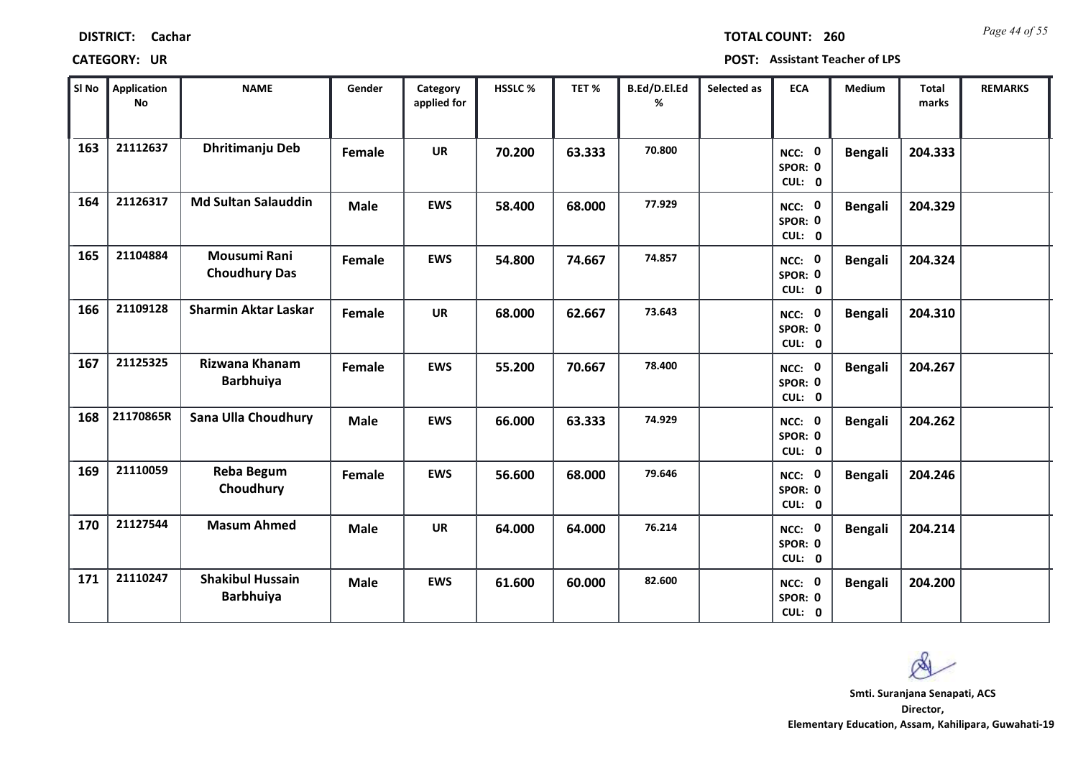*Page 44 of 55* **TOTAL COUNT: 260**

| SI <sub>No</sub> | Application<br><b>No</b> | <b>NAME</b>                                 | Gender      | Category<br>applied for | <b>HSSLC %</b> | TET %  | B.Ed/D.El.Ed<br>% | Selected as | <b>ECA</b>                  | Medium         | <b>Total</b><br>marks | <b>REMARKS</b> |
|------------------|--------------------------|---------------------------------------------|-------------|-------------------------|----------------|--------|-------------------|-------------|-----------------------------|----------------|-----------------------|----------------|
| 163              | 21112637                 | Dhritimanju Deb                             | Female      | <b>UR</b>               | 70.200         | 63.333 | 70.800            |             | NCC: 0<br>SPOR: 0<br>CUL: 0 | <b>Bengali</b> | 204.333               |                |
| 164              | 21126317                 | <b>Md Sultan Salauddin</b>                  | <b>Male</b> | <b>EWS</b>              | 58.400         | 68.000 | 77.929            |             | NCC: 0<br>SPOR: 0<br>CUL: 0 | <b>Bengali</b> | 204.329               |                |
| 165              | 21104884                 | <b>Mousumi Rani</b><br><b>Choudhury Das</b> | Female      | <b>EWS</b>              | 54.800         | 74.667 | 74.857            |             | NCC: 0<br>SPOR: 0<br>CUL: 0 | <b>Bengali</b> | 204.324               |                |
| 166              | 21109128                 | <b>Sharmin Aktar Laskar</b>                 | Female      | <b>UR</b>               | 68.000         | 62.667 | 73.643            |             | NCC: 0<br>SPOR: 0<br>CUL: 0 | Bengali        | 204.310               |                |
| 167              | 21125325                 | Rizwana Khanam<br><b>Barbhuiya</b>          | Female      | <b>EWS</b>              | 55.200         | 70.667 | 78.400            |             | NCC: 0<br>SPOR: 0<br>CUL: 0 | <b>Bengali</b> | 204.267               |                |
| 168              | 21170865R                | Sana Ulla Choudhury                         | <b>Male</b> | <b>EWS</b>              | 66.000         | 63.333 | 74.929            |             | NCC: 0<br>SPOR: 0<br>CUL: 0 | <b>Bengali</b> | 204.262               |                |
| 169              | 21110059                 | <b>Reba Begum</b><br>Choudhury              | Female      | <b>EWS</b>              | 56.600         | 68.000 | 79.646            |             | NCC: 0<br>SPOR: 0<br>CUL: 0 | <b>Bengali</b> | 204.246               |                |
| 170              | 21127544                 | <b>Masum Ahmed</b>                          | <b>Male</b> | <b>UR</b>               | 64.000         | 64.000 | 76.214            |             | NCC: 0<br>SPOR: 0<br>CUL: 0 | <b>Bengali</b> | 204.214               |                |
| 171              | 21110247                 | <b>Shakibul Hussain</b><br><b>Barbhuiya</b> | <b>Male</b> | <b>EWS</b>              | 61.600         | 60.000 | 82.600            |             | NCC: 0<br>SPOR: 0<br>CUL: 0 | <b>Bengali</b> | 204.200               |                |

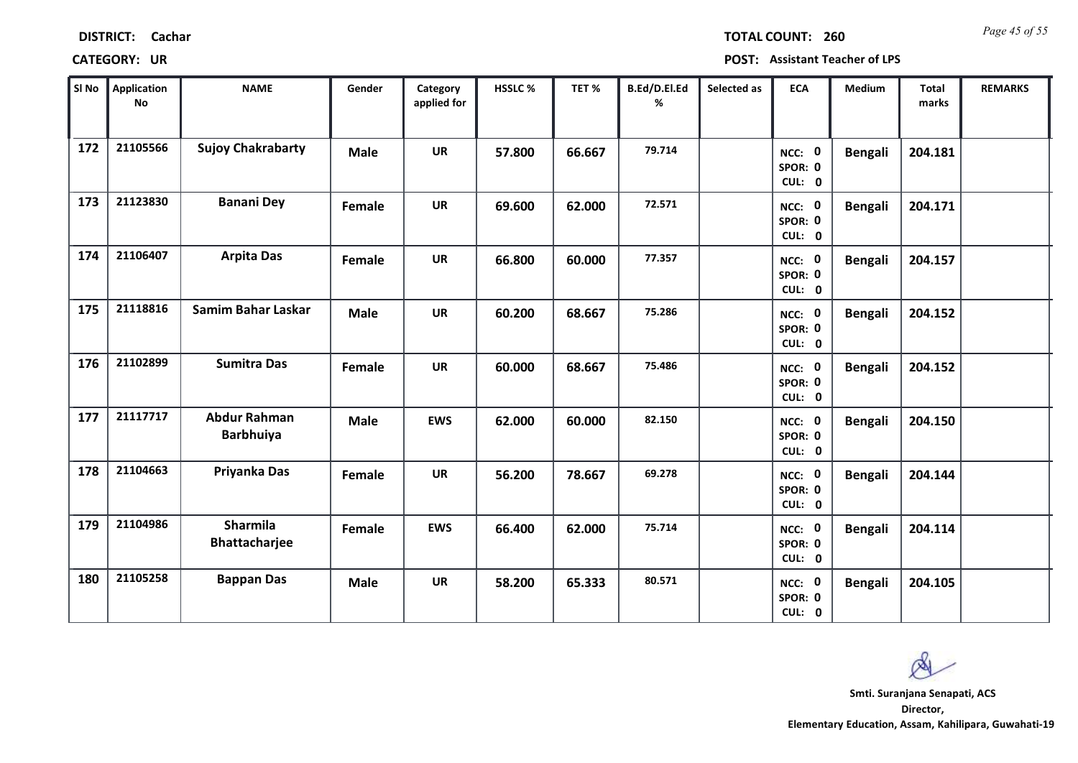| <b>DISTRICT:</b> | Cachar |
|------------------|--------|
|------------------|--------|

*Page 45 of 55* **TOTAL COUNT: 260**

| SI No | Application<br>No | <b>NAME</b>                             | Gender      | Category<br>applied for | HSSLC % | TET %  | B.Ed/D.El.Ed<br>% | Selected as | <b>ECA</b>                  | <b>Medium</b>  | <b>Total</b><br>marks | <b>REMARKS</b> |
|-------|-------------------|-----------------------------------------|-------------|-------------------------|---------|--------|-------------------|-------------|-----------------------------|----------------|-----------------------|----------------|
| 172   | 21105566          | <b>Sujoy Chakrabarty</b>                | <b>Male</b> | <b>UR</b>               | 57.800  | 66.667 | 79.714            |             | NCC: 0<br>SPOR: 0<br>CUL: 0 | <b>Bengali</b> | 204.181               |                |
| 173   | 21123830          | <b>Banani Dey</b>                       | Female      | <b>UR</b>               | 69.600  | 62.000 | 72.571            |             | NCC: 0<br>SPOR: 0<br>CUL: 0 | <b>Bengali</b> | 204.171               |                |
| 174   | 21106407          | <b>Arpita Das</b>                       | Female      | <b>UR</b>               | 66.800  | 60.000 | 77.357            |             | NCC: 0<br>SPOR: 0<br>CUL: 0 | <b>Bengali</b> | 204.157               |                |
| 175   | 21118816          | Samim Bahar Laskar                      | <b>Male</b> | <b>UR</b>               | 60.200  | 68.667 | 75.286            |             | NCC: 0<br>SPOR: 0<br>CUL: 0 | <b>Bengali</b> | 204.152               |                |
| 176   | 21102899          | <b>Sumitra Das</b>                      | Female      | <b>UR</b>               | 60.000  | 68.667 | 75.486            |             | NCC: 0<br>SPOR: 0<br>CUL: 0 | <b>Bengali</b> | 204.152               |                |
| 177   | 21117717          | <b>Abdur Rahman</b><br><b>Barbhuiya</b> | <b>Male</b> | <b>EWS</b>              | 62.000  | 60.000 | 82.150            |             | NCC: 0<br>SPOR: 0<br>CUL: 0 | <b>Bengali</b> | 204.150               |                |
| 178   | 21104663          | Priyanka Das                            | Female      | <b>UR</b>               | 56.200  | 78.667 | 69.278            |             | NCC: 0<br>SPOR: 0<br>CUL: 0 | <b>Bengali</b> | 204.144               |                |
| 179   | 21104986          | <b>Sharmila</b><br><b>Bhattacharjee</b> | Female      | <b>EWS</b>              | 66.400  | 62.000 | 75.714            |             | NCC: 0<br>SPOR: 0<br>CUL: 0 | <b>Bengali</b> | 204.114               |                |
| 180   | 21105258          | <b>Bappan Das</b>                       | <b>Male</b> | <b>UR</b>               | 58.200  | 65.333 | 80.571            |             | NCC: 0<br>SPOR: 0<br>CUL: 0 | <b>Bengali</b> | 204.105               |                |

 $\infty$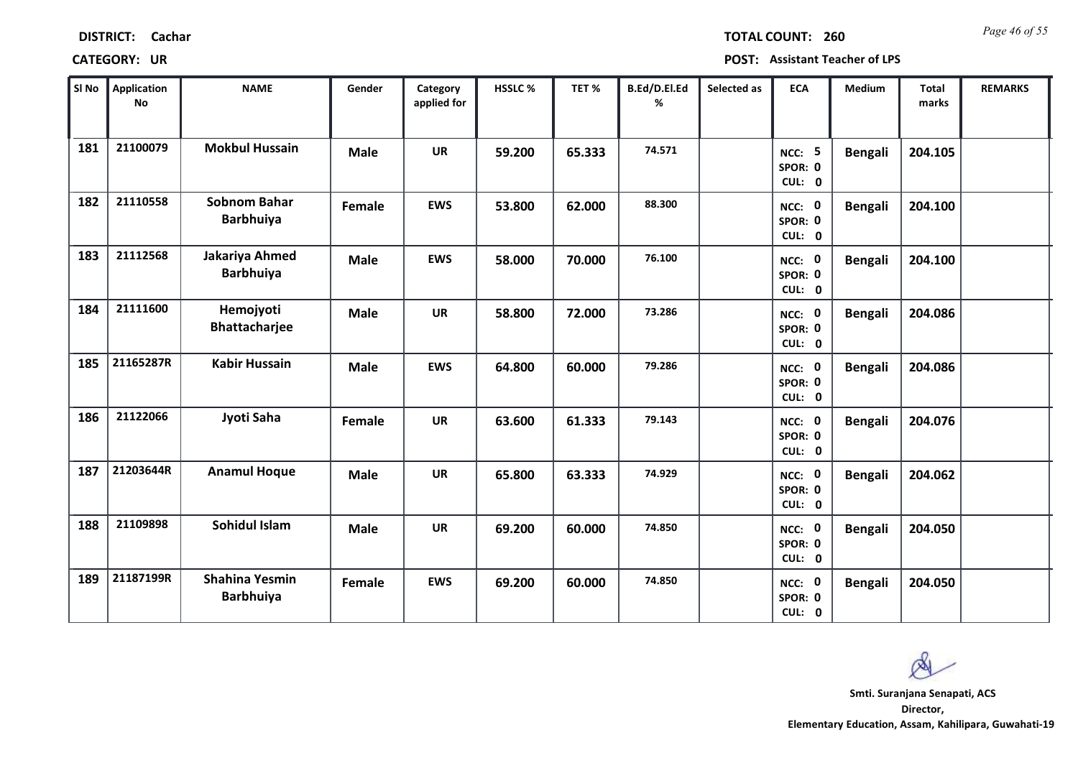| Sl No | Application<br>No | <b>NAME</b>                               | Gender      | Category<br>applied for | <b>HSSLC%</b> | TET %  | B.Ed/D.El.Ed<br>% | Selected as | <b>ECA</b>                         | <b>Medium</b>  | <b>Total</b><br>marks | <b>REMARKS</b> |
|-------|-------------------|-------------------------------------------|-------------|-------------------------|---------------|--------|-------------------|-------------|------------------------------------|----------------|-----------------------|----------------|
| 181   | 21100079          | <b>Mokbul Hussain</b>                     | <b>Male</b> | <b>UR</b>               | 59.200        | 65.333 | 74.571            |             | <b>NCC: 5</b><br>SPOR: 0<br>CUL: 0 | <b>Bengali</b> | 204.105               |                |
| 182   | 21110558          | <b>Sobnom Bahar</b><br><b>Barbhuiya</b>   | Female      | <b>EWS</b>              | 53.800        | 62.000 | 88.300            |             | NCC: 0<br>SPOR: 0<br>CUL: 0        | <b>Bengali</b> | 204.100               |                |
| 183   | 21112568          | Jakariya Ahmed<br><b>Barbhuiya</b>        | <b>Male</b> | <b>EWS</b>              | 58.000        | 70.000 | 76.100            |             | NCC: 0<br>SPOR: 0<br>CUL: 0        | <b>Bengali</b> | 204.100               |                |
| 184   | 21111600          | Hemojyoti<br><b>Bhattacharjee</b>         | <b>Male</b> | <b>UR</b>               | 58.800        | 72.000 | 73.286            |             | NCC: 0<br>SPOR: 0<br>CUL: 0        | <b>Bengali</b> | 204.086               |                |
| 185   | 21165287R         | <b>Kabir Hussain</b>                      | Male        | <b>EWS</b>              | 64.800        | 60.000 | 79.286            |             | NCC: 0<br>SPOR: 0<br>CUL: 0        | <b>Bengali</b> | 204.086               |                |
| 186   | 21122066          | Jyoti Saha                                | Female      | <b>UR</b>               | 63.600        | 61.333 | 79.143            |             | NCC: 0<br>SPOR: 0<br>CUL: 0        | <b>Bengali</b> | 204.076               |                |
| 187   | 21203644R         | <b>Anamul Hoque</b>                       | <b>Male</b> | <b>UR</b>               | 65.800        | 63.333 | 74.929            |             | NCC: 0<br>SPOR: 0<br>CUL: 0        | <b>Bengali</b> | 204.062               |                |
| 188   | 21109898          | Sohidul Islam                             | <b>Male</b> | <b>UR</b>               | 69.200        | 60.000 | 74.850            |             | NCC: 0<br>SPOR: 0<br>CUL: 0        | <b>Bengali</b> | 204.050               |                |
| 189   | 21187199R         | <b>Shahina Yesmin</b><br><b>Barbhuiya</b> | Female      | <b>EWS</b>              | 69.200        | 60.000 | 74.850            |             | NCC: 0<br>SPOR: 0<br>CUL: 0        | <b>Bengali</b> | 204.050               |                |

# **CATEGORY: UR POST: Assistant Teacher of LPS**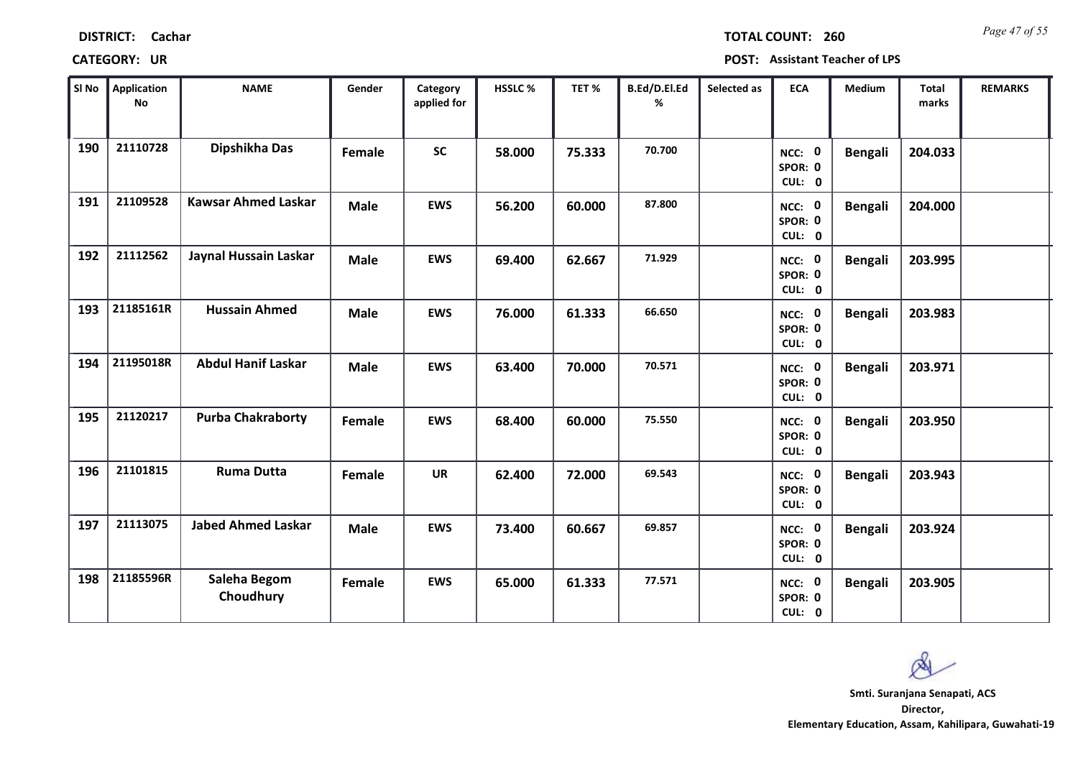| SINo | Application<br>No | <b>NAME</b>                | Gender      | Category<br>applied for | HSSLC% | TET%   | B.Ed/D.El.Ed<br>% | Selected as | <b>ECA</b>                  | <b>Medium</b>  | <b>Total</b><br>marks | <b>REMARKS</b> |
|------|-------------------|----------------------------|-------------|-------------------------|--------|--------|-------------------|-------------|-----------------------------|----------------|-----------------------|----------------|
| 190  | 21110728          | Dipshikha Das              | Female      | <b>SC</b>               | 58.000 | 75.333 | 70.700            |             | NCC: 0<br>SPOR: 0<br>CUL: 0 | <b>Bengali</b> | 204.033               |                |
| 191  | 21109528          | <b>Kawsar Ahmed Laskar</b> | <b>Male</b> | <b>EWS</b>              | 56.200 | 60.000 | 87.800            |             | NCC: 0<br>SPOR: 0<br>CUL: 0 | <b>Bengali</b> | 204.000               |                |
| 192  | 21112562          | Jaynal Hussain Laskar      | <b>Male</b> | <b>EWS</b>              | 69.400 | 62.667 | 71.929            |             | NCC: 0<br>SPOR: 0<br>CUL: 0 | <b>Bengali</b> | 203.995               |                |
| 193  | 21185161R         | <b>Hussain Ahmed</b>       | Male        | <b>EWS</b>              | 76.000 | 61.333 | 66.650            |             | NCC: 0<br>SPOR: 0<br>CUL: 0 | <b>Bengali</b> | 203.983               |                |
| 194  | 21195018R         | <b>Abdul Hanif Laskar</b>  | <b>Male</b> | <b>EWS</b>              | 63.400 | 70.000 | 70.571            |             | NCC: 0<br>SPOR: 0<br>CUL: 0 | <b>Bengali</b> | 203.971               |                |
| 195  | 21120217          | <b>Purba Chakraborty</b>   | Female      | <b>EWS</b>              | 68.400 | 60.000 | 75.550            |             | NCC: 0<br>SPOR: 0<br>CUL: 0 | <b>Bengali</b> | 203.950               |                |
| 196  | 21101815          | <b>Ruma Dutta</b>          | Female      | <b>UR</b>               | 62.400 | 72.000 | 69.543            |             | NCC: 0<br>SPOR: 0<br>CUL: 0 | <b>Bengali</b> | 203.943               |                |
| 197  | 21113075          | <b>Jabed Ahmed Laskar</b>  | Male        | <b>EWS</b>              | 73.400 | 60.667 | 69.857            |             | NCC: 0<br>SPOR: 0<br>CUL: 0 | <b>Bengali</b> | 203.924               |                |
| 198  | 21185596R         | Saleha Begom<br>Choudhury  | Female      | <b>EWS</b>              | 65.000 | 61.333 | 77.571            |             | NCC: 0<br>SPOR: 0<br>CUL: 0 | <b>Bengali</b> | 203.905               |                |

### **CATEGORY: UR POST: Assistant Teacher of LPS**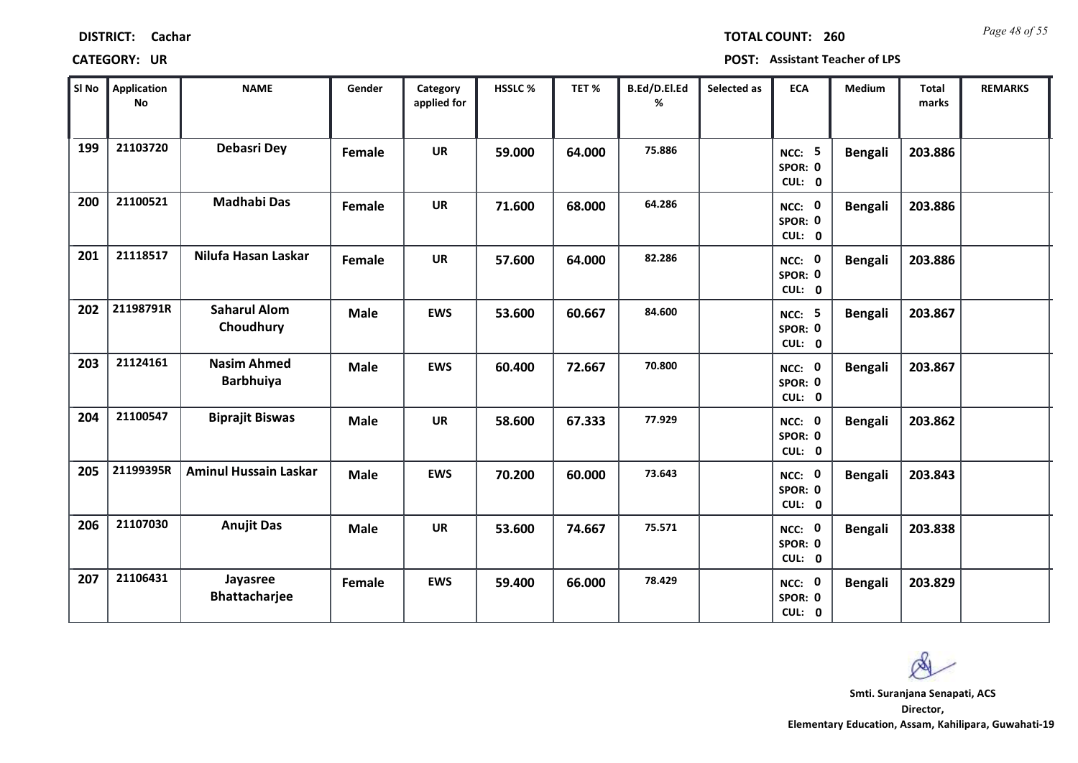| Sl No | <b>Application</b><br><b>No</b> | <b>NAME</b>                            | Gender      | Category<br>applied for | <b>HSSLC %</b> | TET %  | B.Ed/D.El.Ed<br>% | Selected as | <b>ECA</b>                         | <b>Medium</b>  | <b>Total</b><br>marks | <b>REMARKS</b> |
|-------|---------------------------------|----------------------------------------|-------------|-------------------------|----------------|--------|-------------------|-------------|------------------------------------|----------------|-----------------------|----------------|
| 199   | 21103720                        | <b>Debasri Dey</b>                     | Female      | <b>UR</b>               | 59.000         | 64.000 | 75.886            |             | <b>NCC: 5</b><br>SPOR: 0<br>CUL: 0 | <b>Bengali</b> | 203.886               |                |
| 200   | 21100521                        | <b>Madhabi Das</b>                     | Female      | <b>UR</b>               | 71.600         | 68.000 | 64.286            |             | NCC: 0<br>SPOR: 0<br>CUL: 0        | Bengali        | 203.886               |                |
| 201   | 21118517                        | Nilufa Hasan Laskar                    | Female      | <b>UR</b>               | 57.600         | 64.000 | 82.286            |             | NCC: 0<br>SPOR: 0<br>CUL: 0        | <b>Bengali</b> | 203.886               |                |
| 202   | 21198791R                       | <b>Saharul Alom</b><br>Choudhury       | <b>Male</b> | <b>EWS</b>              | 53.600         | 60.667 | 84.600            |             | <b>NCC: 5</b><br>SPOR: 0<br>CUL: 0 | <b>Bengali</b> | 203.867               |                |
| 203   | 21124161                        | <b>Nasim Ahmed</b><br><b>Barbhuiya</b> | <b>Male</b> | <b>EWS</b>              | 60.400         | 72.667 | 70.800            |             | NCC: 0<br>SPOR: 0<br>CUL: 0        | <b>Bengali</b> | 203.867               |                |
| 204   | 21100547                        | <b>Biprajit Biswas</b>                 | <b>Male</b> | <b>UR</b>               | 58.600         | 67.333 | 77.929            |             | NCC: 0<br>SPOR: 0<br>CUL: 0        | <b>Bengali</b> | 203.862               |                |
| 205   | 21199395R                       | <b>Aminul Hussain Laskar</b>           | <b>Male</b> | <b>EWS</b>              | 70.200         | 60.000 | 73.643            |             | NCC: 0<br>SPOR: 0<br>CUL: 0        | <b>Bengali</b> | 203.843               |                |
| 206   | 21107030                        | <b>Anujit Das</b>                      | <b>Male</b> | <b>UR</b>               | 53.600         | 74.667 | 75.571            |             | NCC: 0<br>SPOR: 0<br>CUL: 0        | Bengali        | 203.838               |                |
| 207   | 21106431                        | Jayasree<br><b>Bhattacharjee</b>       | Female      | <b>EWS</b>              | 59.400         | 66.000 | 78.429            |             | NCC: 0<br>SPOR: 0<br>CUL: 0        | <b>Bengali</b> | 203.829               |                |

### **CATEGORY: UR POST: Assistant Teacher of LPS**

**DISTRICT: Cachar**

**Director, Elementary Education, Assam, Kahilipara, Guwahati-19 Smti. Suranjana Senapati, ACS**

Q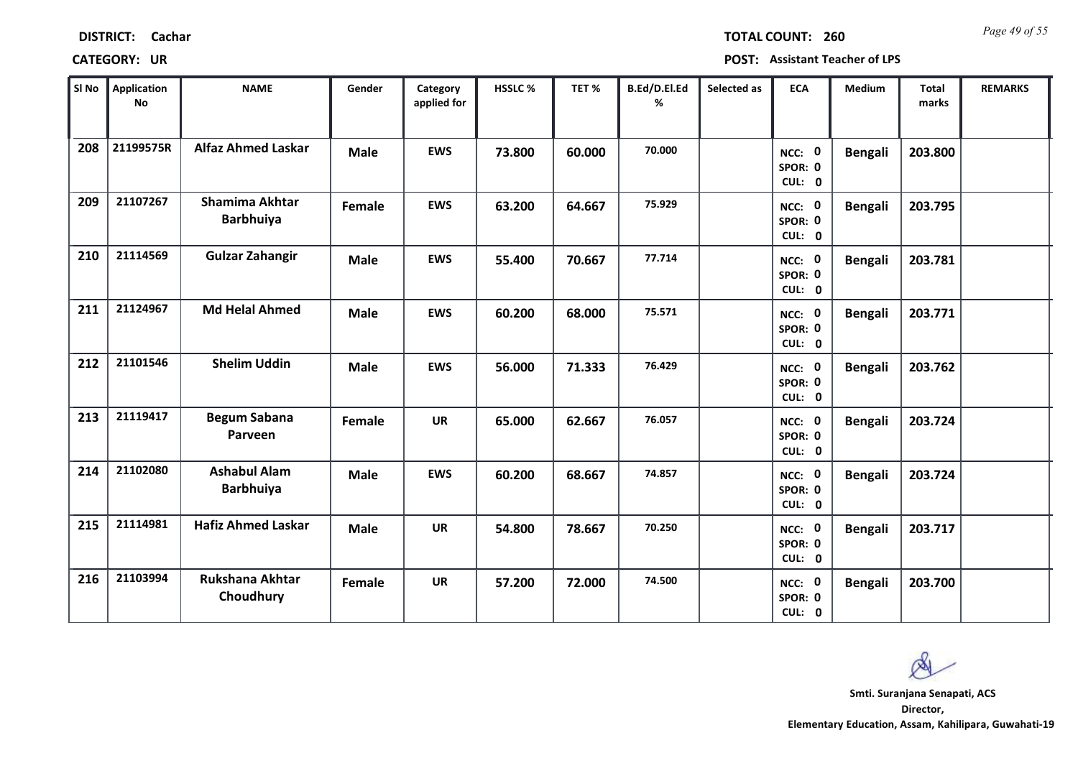| <b>DISTRICT:</b> | Cachar |
|------------------|--------|
|------------------|--------|

*Page 49 of 55* **TOTAL COUNT: 260**

| SI <sub>No</sub> | Application<br>No | <b>NAME</b>                               | Gender      | Category<br>applied for | HSSLC % | TET %  | B.Ed/D.El.Ed<br>% | Selected as | <b>ECA</b>                  | Medium         | <b>Total</b><br>marks | <b>REMARKS</b> |
|------------------|-------------------|-------------------------------------------|-------------|-------------------------|---------|--------|-------------------|-------------|-----------------------------|----------------|-----------------------|----------------|
| 208              | 21199575R         | <b>Alfaz Ahmed Laskar</b>                 | <b>Male</b> | <b>EWS</b>              | 73.800  | 60.000 | 70.000            |             | NCC: 0<br>SPOR: 0<br>CUL: 0 | <b>Bengali</b> | 203.800               |                |
| 209              | 21107267          | <b>Shamima Akhtar</b><br><b>Barbhuiya</b> | Female      | <b>EWS</b>              | 63.200  | 64.667 | 75.929            |             | NCC: 0<br>SPOR: 0<br>CUL: 0 | <b>Bengali</b> | 203.795               |                |
| 210              | 21114569          | <b>Gulzar Zahangir</b>                    | <b>Male</b> | <b>EWS</b>              | 55.400  | 70.667 | 77.714            |             | NCC: 0<br>SPOR: 0<br>CUL: 0 | <b>Bengali</b> | 203.781               |                |
| 211              | 21124967          | <b>Md Helal Ahmed</b>                     | <b>Male</b> | <b>EWS</b>              | 60.200  | 68.000 | 75.571            |             | NCC: 0<br>SPOR: 0<br>CUL: 0 | <b>Bengali</b> | 203.771               |                |
| 212              | 21101546          | <b>Shelim Uddin</b>                       | <b>Male</b> | <b>EWS</b>              | 56.000  | 71.333 | 76.429            |             | NCC: 0<br>SPOR: 0<br>CUL: 0 | <b>Bengali</b> | 203.762               |                |
| 213              | 21119417          | <b>Begum Sabana</b><br>Parveen            | Female      | <b>UR</b>               | 65.000  | 62.667 | 76.057            |             | NCC: 0<br>SPOR: 0<br>CUL: 0 | <b>Bengali</b> | 203.724               |                |
| 214              | 21102080          | <b>Ashabul Alam</b><br><b>Barbhuiya</b>   | <b>Male</b> | <b>EWS</b>              | 60.200  | 68.667 | 74.857            |             | NCC: 0<br>SPOR: 0<br>CUL: 0 | <b>Bengali</b> | 203.724               |                |
| 215              | 21114981          | <b>Hafiz Ahmed Laskar</b>                 | <b>Male</b> | <b>UR</b>               | 54.800  | 78.667 | 70.250            |             | NCC: 0<br>SPOR: 0<br>CUL: 0 | <b>Bengali</b> | 203.717               |                |
| 216              | 21103994          | <b>Rukshana Akhtar</b><br>Choudhury       | Female      | <b>UR</b>               | 57.200  | 72.000 | 74.500            |             | NCC: 0<br>SPOR: 0<br>CUL: 0 | <b>Bengali</b> | 203.700               |                |

 $\infty$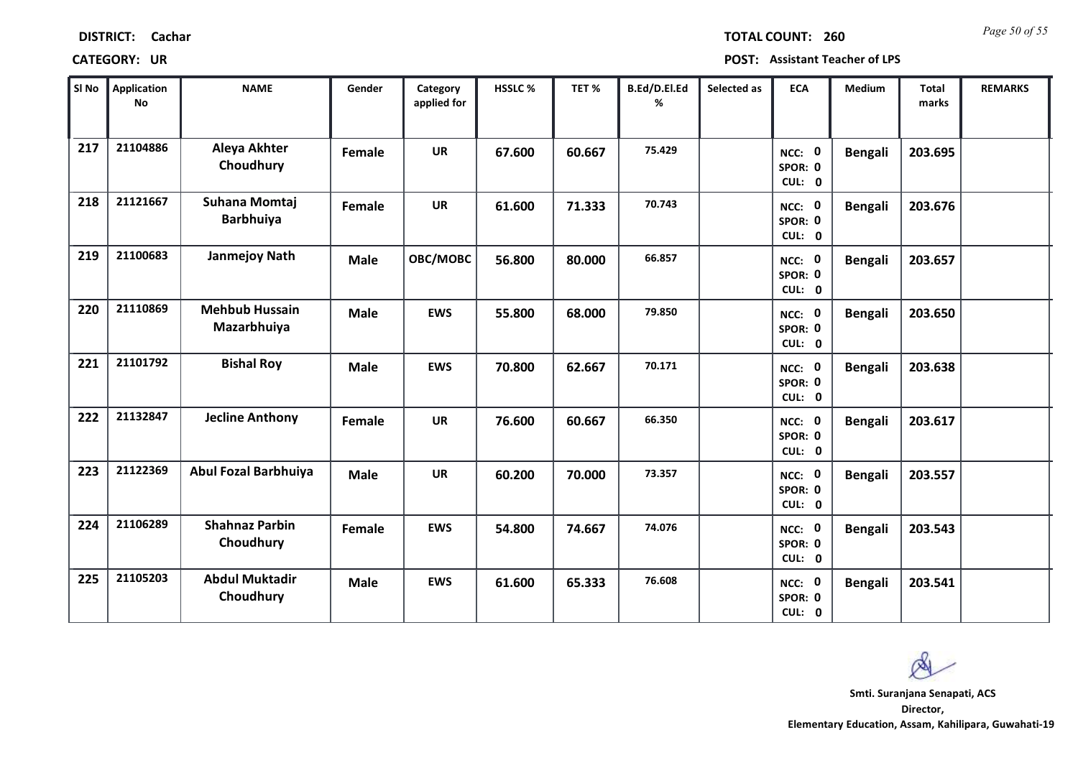| <b>DISTRICT:</b> | Cachar |
|------------------|--------|
|------------------|--------|

*Page 50 of 55* **TOTAL COUNT: 260**

| SI No | <b>Application</b><br><b>No</b> | <b>NAME</b>                          | Gender      | Category<br>applied for | HSSLC % | TET %  | B.Ed/D.El.Ed<br>% | Selected as | <b>ECA</b>                  | Medium         | <b>Total</b><br>marks | <b>REMARKS</b> |
|-------|---------------------------------|--------------------------------------|-------------|-------------------------|---------|--------|-------------------|-------------|-----------------------------|----------------|-----------------------|----------------|
| 217   | 21104886                        | Aleya Akhter<br>Choudhury            | Female      | <b>UR</b>               | 67.600  | 60.667 | 75.429            |             | NCC: 0<br>SPOR: 0<br>CUL: 0 | <b>Bengali</b> | 203.695               |                |
| 218   | 21121667                        | Suhana Momtaj<br><b>Barbhuiya</b>    | Female      | <b>UR</b>               | 61.600  | 71.333 | 70.743            |             | NCC: 0<br>SPOR: 0<br>CUL: 0 | <b>Bengali</b> | 203.676               |                |
| 219   | 21100683                        | <b>Janmejoy Nath</b>                 | <b>Male</b> | OBC/MOBC                | 56.800  | 80.000 | 66.857            |             | NCC: 0<br>SPOR: 0<br>CUL: 0 | <b>Bengali</b> | 203.657               |                |
| 220   | 21110869                        | <b>Mehbub Hussain</b><br>Mazarbhuiya | <b>Male</b> | <b>EWS</b>              | 55.800  | 68.000 | 79.850            |             | NCC: 0<br>SPOR: 0<br>CUL: 0 | <b>Bengali</b> | 203.650               |                |
| 221   | 21101792                        | <b>Bishal Roy</b>                    | <b>Male</b> | <b>EWS</b>              | 70.800  | 62.667 | 70.171            |             | NCC: 0<br>SPOR: 0<br>CUL: 0 | <b>Bengali</b> | 203.638               |                |
| 222   | 21132847                        | <b>Jecline Anthony</b>               | Female      | <b>UR</b>               | 76.600  | 60.667 | 66.350            |             | NCC: 0<br>SPOR: 0<br>CUL: 0 | <b>Bengali</b> | 203.617               |                |
| 223   | 21122369                        | <b>Abul Fozal Barbhuiya</b>          | <b>Male</b> | <b>UR</b>               | 60.200  | 70.000 | 73.357            |             | NCC: 0<br>SPOR: 0<br>CUL: 0 | <b>Bengali</b> | 203.557               |                |
| 224   | 21106289                        | <b>Shahnaz Parbin</b><br>Choudhury   | Female      | <b>EWS</b>              | 54.800  | 74.667 | 74.076            |             | NCC: 0<br>SPOR: 0<br>CUL: 0 | <b>Bengali</b> | 203.543               |                |
| 225   | 21105203                        | <b>Abdul Muktadir</b><br>Choudhury   | <b>Male</b> | <b>EWS</b>              | 61.600  | 65.333 | 76.608            |             | NCC: 0<br>SPOR: 0<br>CUL: 0 | <b>Bengali</b> | 203.541               |                |

 $\infty$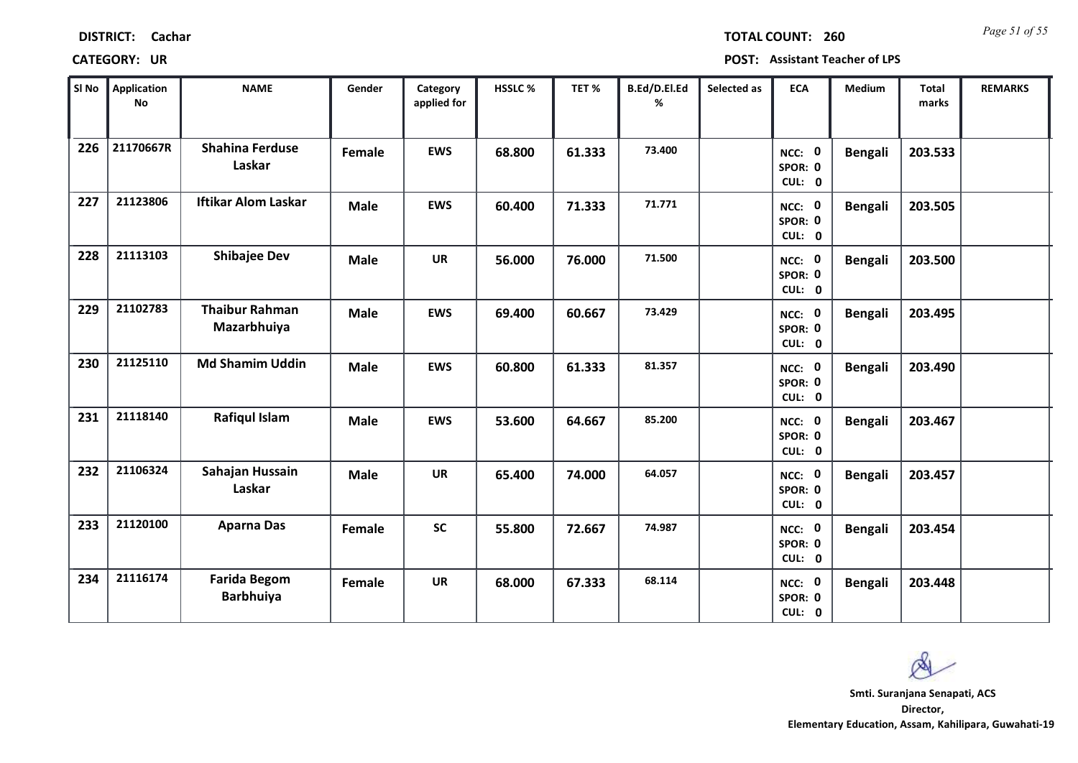| <b>DISTRICT:</b> | Cachar |
|------------------|--------|
|------------------|--------|

*Page 51 of 55* **TOTAL COUNT: 260**

| SI <sub>No</sub> | Application<br><b>No</b> | <b>NAME</b>                             | Gender      | Category<br>applied for | HSSLC % | TET %  | B.Ed/D.El.Ed<br>% | Selected as | <b>ECA</b>                  | Medium         | <b>Total</b><br>marks | <b>REMARKS</b> |
|------------------|--------------------------|-----------------------------------------|-------------|-------------------------|---------|--------|-------------------|-------------|-----------------------------|----------------|-----------------------|----------------|
| 226              | 21170667R                | <b>Shahina Ferduse</b><br>Laskar        | Female      | <b>EWS</b>              | 68.800  | 61.333 | 73.400            |             | NCC: 0<br>SPOR: 0<br>CUL: 0 | <b>Bengali</b> | 203.533               |                |
| 227              | 21123806                 | <b>Iftikar Alom Laskar</b>              | <b>Male</b> | <b>EWS</b>              | 60.400  | 71.333 | 71.771            |             | NCC: 0<br>SPOR: 0<br>CUL: 0 | <b>Bengali</b> | 203.505               |                |
| 228              | 21113103                 | <b>Shibajee Dev</b>                     | <b>Male</b> | <b>UR</b>               | 56.000  | 76.000 | 71.500            |             | NCC: 0<br>SPOR: 0<br>CUL: 0 | <b>Bengali</b> | 203.500               |                |
| 229              | 21102783                 | <b>Thaibur Rahman</b><br>Mazarbhuiya    | <b>Male</b> | <b>EWS</b>              | 69.400  | 60.667 | 73.429            |             | NCC: 0<br>SPOR: 0<br>CUL: 0 | <b>Bengali</b> | 203.495               |                |
| 230              | 21125110                 | <b>Md Shamim Uddin</b>                  | <b>Male</b> | <b>EWS</b>              | 60.800  | 61.333 | 81.357            |             | NCC: 0<br>SPOR: 0<br>CUL: 0 | <b>Bengali</b> | 203.490               |                |
| 231              | 21118140                 | <b>Rafiqul Islam</b>                    | <b>Male</b> | <b>EWS</b>              | 53.600  | 64.667 | 85.200            |             | NCC: 0<br>SPOR: 0<br>CUL: 0 | <b>Bengali</b> | 203.467               |                |
| 232              | 21106324                 | Sahajan Hussain<br>Laskar               | <b>Male</b> | <b>UR</b>               | 65.400  | 74.000 | 64.057            |             | NCC: 0<br>SPOR: 0<br>CUL: 0 | <b>Bengali</b> | 203.457               |                |
| 233              | 21120100                 | <b>Aparna Das</b>                       | Female      | <b>SC</b>               | 55.800  | 72.667 | 74.987            |             | NCC: 0<br>SPOR: 0<br>CUL: 0 | <b>Bengali</b> | 203.454               |                |
| 234              | 21116174                 | <b>Farida Begom</b><br><b>Barbhuiya</b> | Female      | <b>UR</b>               | 68.000  | 67.333 | 68.114            |             | NCC: 0<br>SPOR: 0<br>CUL: 0 | <b>Bengali</b> | 203.448               |                |

 $\infty$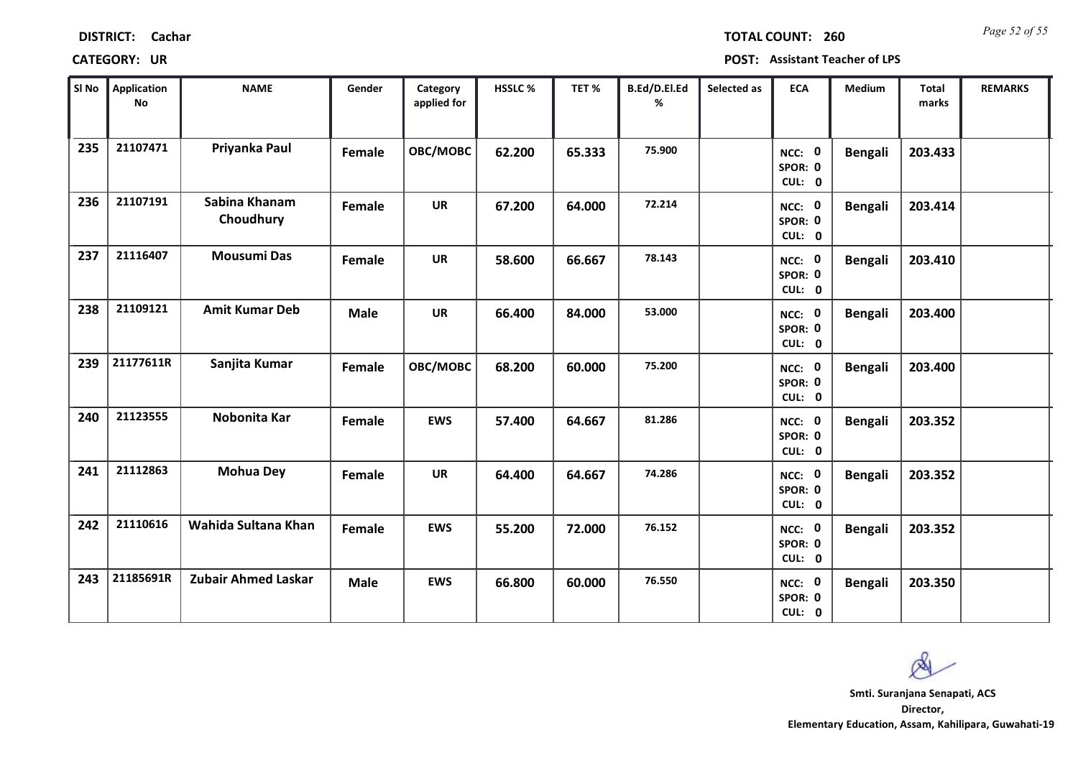| Sl No | <b>Application</b><br>No | <b>NAME</b>                | Gender      | Category<br>applied for | <b>HSSLC %</b> | TET%   | B.Ed/D.El.Ed<br>% | Selected as | <b>ECA</b>                               | Medium         | <b>Total</b><br>marks | <b>REMARKS</b> |
|-------|--------------------------|----------------------------|-------------|-------------------------|----------------|--------|-------------------|-------------|------------------------------------------|----------------|-----------------------|----------------|
| 235   | 21107471                 | Priyanka Paul              | Female      | OBC/MOBC                | 62.200         | 65.333 | 75.900            |             | $\mathbf 0$<br>NCC:<br>SPOR: 0<br>CUL: 0 | <b>Bengali</b> | 203.433               |                |
| 236   | 21107191                 | Sabina Khanam<br>Choudhury | Female      | <b>UR</b>               | 67.200         | 64.000 | 72.214            |             | NCC: 0<br>SPOR: 0<br>CUL: 0              | <b>Bengali</b> | 203.414               |                |
| 237   | 21116407                 | <b>Mousumi Das</b>         | Female      | <b>UR</b>               | 58.600         | 66.667 | 78.143            |             | NCC: 0<br>SPOR: 0<br>CUL: 0              | <b>Bengali</b> | 203.410               |                |
| 238   | 21109121                 | <b>Amit Kumar Deb</b>      | <b>Male</b> | <b>UR</b>               | 66.400         | 84.000 | 53.000            |             | NCC: 0<br>SPOR: 0<br>CUL: 0              | <b>Bengali</b> | 203.400               |                |
| 239   | 21177611R                | Sanjita Kumar              | Female      | OBC/MOBC                | 68.200         | 60.000 | 75.200            |             | NCC: 0<br>SPOR: 0<br>CUL: 0              | <b>Bengali</b> | 203.400               |                |
| 240   | 21123555                 | Nobonita Kar               | Female      | <b>EWS</b>              | 57.400         | 64.667 | 81.286            |             | NCC: 0<br>SPOR: 0<br>CUL: 0              | <b>Bengali</b> | 203.352               |                |
| 241   | 21112863                 | <b>Mohua Dey</b>           | Female      | <b>UR</b>               | 64.400         | 64.667 | 74.286            |             | NCC: 0<br>SPOR: 0<br>CUL: 0              | <b>Bengali</b> | 203.352               |                |
| 242   | 21110616                 | Wahida Sultana Khan        | Female      | <b>EWS</b>              | 55.200         | 72.000 | 76.152            |             | NCC: 0<br>SPOR: 0<br>CUL: 0              | <b>Bengali</b> | 203.352               |                |
| 243   | 21185691R                | Zubair Ahmed Laskar        | <b>Male</b> | <b>EWS</b>              | 66.800         | 60.000 | 76.550            |             | NCC: 0<br>SPOR: 0<br>CUL: 0              | <b>Bengali</b> | 203.350               |                |

### **CATEGORY: UR POST: Assistant Teacher of LPS**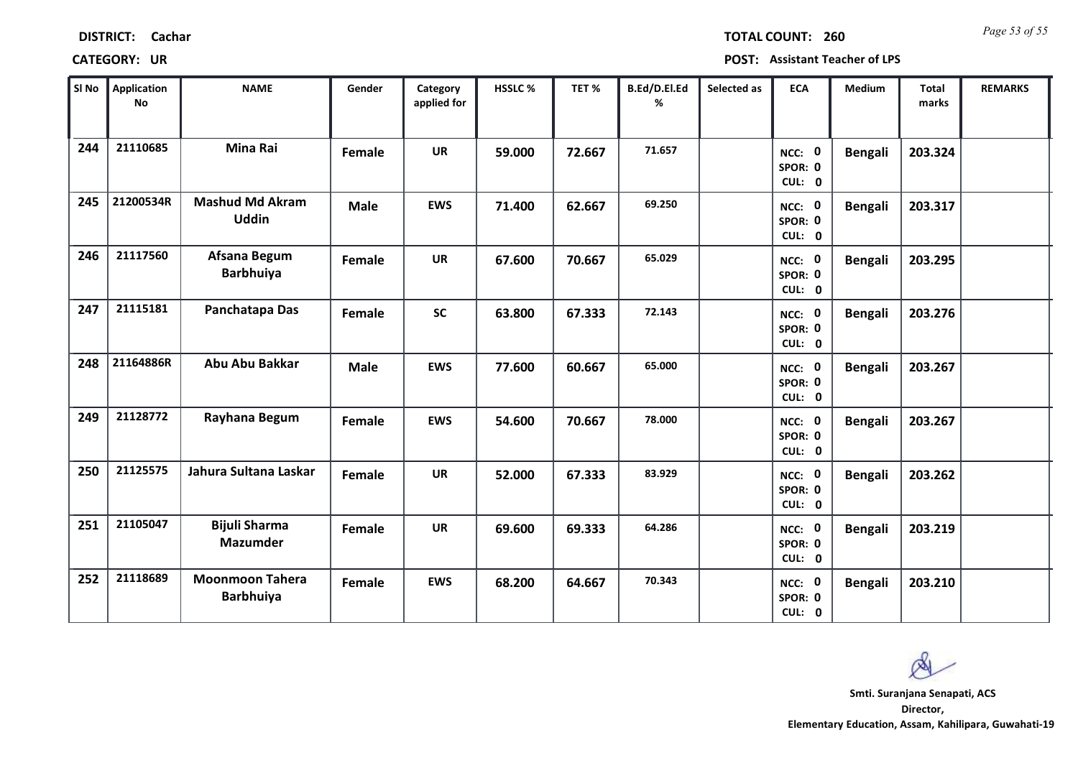| SI No | <b>Application</b><br><b>No</b> | <b>NAME</b>                                | Gender      | Category<br>applied for | HSSLC% | TET%   | B.Ed/D.El.Ed<br>% | Selected as | <b>ECA</b>                         | Medium         | <b>Total</b><br>marks | <b>REMARKS</b> |
|-------|---------------------------------|--------------------------------------------|-------------|-------------------------|--------|--------|-------------------|-------------|------------------------------------|----------------|-----------------------|----------------|
| 244   | 21110685                        | <b>Mina Rai</b>                            | Female      | <b>UR</b>               | 59.000 | 72.667 | 71.657            |             | NCC: 0<br>SPOR: 0<br>CUL: 0        | Bengali        | 203.324               |                |
| 245   | 21200534R                       | <b>Mashud Md Akram</b><br><b>Uddin</b>     | <b>Male</b> | <b>EWS</b>              | 71.400 | 62.667 | 69.250            |             | NCC: 0<br>SPOR: 0<br>CUL: 0        | <b>Bengali</b> | 203.317               |                |
| 246   | 21117560                        | Afsana Begum<br><b>Barbhuiya</b>           | Female      | <b>UR</b>               | 67.600 | 70.667 | 65.029            |             | NCC: 0<br>SPOR: 0<br>CUL: 0        | <b>Bengali</b> | 203.295               |                |
| 247   | 21115181                        | Panchatapa Das                             | Female      | <b>SC</b>               | 63.800 | 67.333 | 72.143            |             | NCC: 0<br>SPOR: 0<br>CUL: 0        | <b>Bengali</b> | 203.276               |                |
| 248   | 21164886R                       | Abu Abu Bakkar                             | <b>Male</b> | <b>EWS</b>              | 77.600 | 60.667 | 65.000            |             | <b>NCC: 0</b><br>SPOR: 0<br>CUL: 0 | <b>Bengali</b> | 203.267               |                |
| 249   | 21128772                        | Rayhana Begum                              | Female      | <b>EWS</b>              | 54.600 | 70.667 | 78.000            |             | NCC: 0<br>SPOR: 0<br>CUL: 0        | <b>Bengali</b> | 203.267               |                |
| 250   | 21125575                        | Jahura Sultana Laskar                      | Female      | <b>UR</b>               | 52.000 | 67.333 | 83.929            |             | NCC: 0<br>SPOR: 0<br>CUL: 0        | <b>Bengali</b> | 203.262               |                |
| 251   | 21105047                        | <b>Bijuli Sharma</b><br><b>Mazumder</b>    | Female      | <b>UR</b>               | 69.600 | 69.333 | 64.286            |             | NCC: 0<br>SPOR: 0<br>CUL: 0        | <b>Bengali</b> | 203.219               |                |
| 252   | 21118689                        | <b>Moonmoon Tahera</b><br><b>Barbhuiya</b> | Female      | <b>EWS</b>              | 68.200 | 64.667 | 70.343            |             | NCC: 0<br>SPOR: 0<br>CUL: 0        | <b>Bengali</b> | 203.210               |                |

### **CATEGORY: UR POST: Assistant Teacher of LPS**

**Director, Elementary Education, Assam, Kahilipara, Guwahati-19 Smti. Suranjana Senapati, ACS**

Q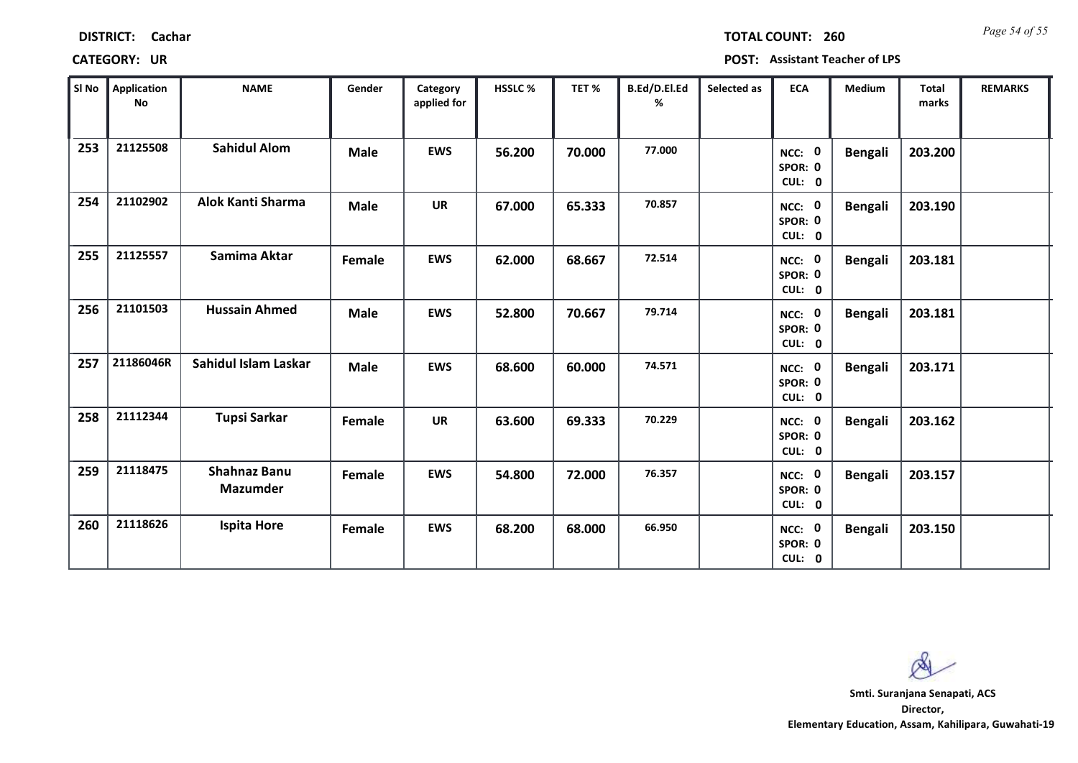| SI No | <b>Application</b><br>No | <b>NAME</b>                            | Gender      | Category<br>applied for | HSSLC % | TET %  | B.Ed/D.El.Ed<br>% | Selected as | <b>ECA</b>                  | Medium         | Total<br>marks | <b>REMARKS</b> |
|-------|--------------------------|----------------------------------------|-------------|-------------------------|---------|--------|-------------------|-------------|-----------------------------|----------------|----------------|----------------|
| 253   | 21125508                 | <b>Sahidul Alom</b>                    | <b>Male</b> | <b>EWS</b>              | 56.200  | 70.000 | 77.000            |             | NCC: 0<br>SPOR: 0<br>CUL: 0 | <b>Bengali</b> | 203.200        |                |
| 254   | 21102902                 | Alok Kanti Sharma                      | <b>Male</b> | <b>UR</b>               | 67.000  | 65.333 | 70.857            |             | NCC: 0<br>SPOR: 0<br>CUL: 0 | <b>Bengali</b> | 203.190        |                |
| 255   | 21125557                 | Samima Aktar                           | Female      | <b>EWS</b>              | 62.000  | 68.667 | 72.514            |             | NCC: 0<br>SPOR: 0<br>CUL: 0 | <b>Bengali</b> | 203.181        |                |
| 256   | 21101503                 | <b>Hussain Ahmed</b>                   | <b>Male</b> | <b>EWS</b>              | 52.800  | 70.667 | 79.714            |             | NCC: 0<br>SPOR: 0<br>CUL: 0 | <b>Bengali</b> | 203.181        |                |
| 257   | 21186046R                | Sahidul Islam Laskar                   | <b>Male</b> | <b>EWS</b>              | 68.600  | 60.000 | 74.571            |             | NCC: 0<br>SPOR: 0<br>CUL: 0 | <b>Bengali</b> | 203.171        |                |
| 258   | 21112344                 | <b>Tupsi Sarkar</b>                    | Female      | UR                      | 63.600  | 69.333 | 70.229            |             | NCC: 0<br>SPOR: 0<br>CUL: 0 | <b>Bengali</b> | 203.162        |                |
| 259   | 21118475                 | <b>Shahnaz Banu</b><br><b>Mazumder</b> | Female      | <b>EWS</b>              | 54.800  | 72.000 | 76.357            |             | NCC: 0<br>SPOR: 0<br>CUL: 0 | <b>Bengali</b> | 203.157        |                |
| 260   | 21118626                 | <b>Ispita Hore</b>                     | Female      | <b>EWS</b>              | 68.200  | 68.000 | 66.950            |             | NCC: 0<br>SPOR: 0<br>CUL: 0 | <b>Bengali</b> | 203.150        |                |

### **CATEGORY: UR POST: Assistant Teacher of LPS**

**Director, Elementary Education, Assam, Kahilipara, Guwahati-19 Smti. Suranjana Senapati, ACS**

കി